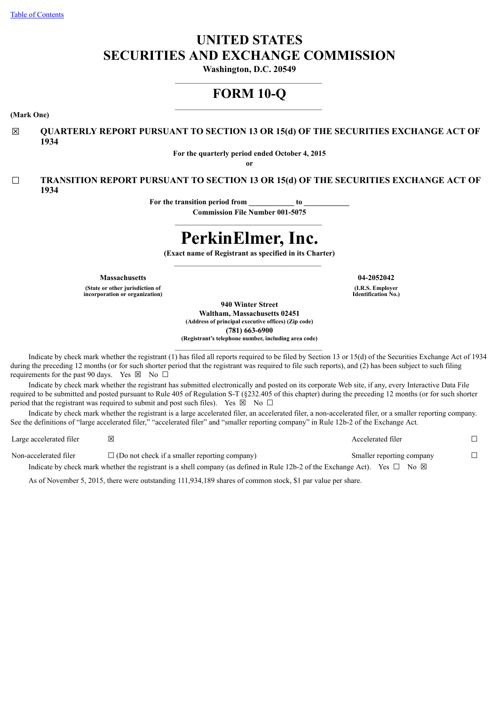# **UNITED STATES SECURITIES AND EXCHANGE COMMISSION**

**Washington, D.C. 20549**

# **FORM 10-Q**  $\mathcal{L}_\text{max}$

**(Mark One)**

☒ **QUARTERLY REPORT PURSUANT TO SECTION 13 OR 15(d) OF THE SECURITIES EXCHANGE ACT OF 1934**

**For the quarterly period ended October 4, 2015**

**or**

# ☐ **TRANSITION REPORT PURSUANT TO SECTION 13 OR 15(d) OF THE SECURITIES EXCHANGE ACT OF 1934**

**For the transition period from \_\_\_\_\_\_\_\_\_\_\_\_ to \_\_\_\_\_\_\_\_\_\_\_\_**

**Commission File Number 001-5075** \_\_\_\_\_\_\_\_\_\_\_\_\_\_\_\_\_\_\_\_\_\_\_\_\_\_\_\_\_\_\_\_\_\_\_\_\_\_\_

# **PerkinElmer, Inc.**

**(Exact name of Registrant as specified in its Charter)**

**Massachusetts 04-2052042 (State or other jurisdiction of**

**incorporation or organization)**

**(I.R.S. Employer Identification No.)**

**940 Winter Street Waltham, Massachusetts 02451 (Address of principal executive offices) (Zip code) (781) 663-6900 (Registrant's telephone number, including area code)**

Indicate by check mark whether the registrant (1) has filed all reports required to be filed by Section 13 or 15(d) of the Securities Exchange Act of 1934 during the preceding 12 months (or for such shorter period that the registrant was required to file such reports), and (2) has been subject to such filing requirements for the past 90 days. Yes  $\boxtimes$  No  $\Box$ 

\_\_\_\_\_\_\_\_\_\_\_\_\_\_\_\_\_\_\_\_\_\_\_\_\_\_\_\_\_\_\_\_\_\_\_\_\_\_\_

Indicate by check mark whether the registrant has submitted electronically and posted on its corporate Web site, if any, every Interactive Data File required to be submitted and posted pursuant to Rule 405 of Regulation S-T (§232.405 of this chapter) during the preceding 12 months (or for such shorter period that the registrant was required to submit and post such files). Yes  $\boxtimes$  No  $\Box$ 

Indicate by check mark whether the registrant is a large accelerated filer, an accelerated filer, a non-accelerated filer, or a smaller reporting company. See the definitions of "large accelerated filer," "accelerated filer" and "smaller reporting company" in Rule 12b-2 of the Exchange Act.

Large accelerated filer ☒ Accelerated filer ☐ Non-accelerated filer  $□$  (Do not check if a smaller reporting company) Smaller reporting company  $□$ 

Indicate by check mark whether the registrant is a shell company (as defined in Rule 12b-2 of the Exchange Act). Yes  $\Box$  No  $\boxtimes$ 

<span id="page-0-0"></span>As of November 5, 2015, there were outstanding 111,934,189 shares of common stock, \$1 par value per share.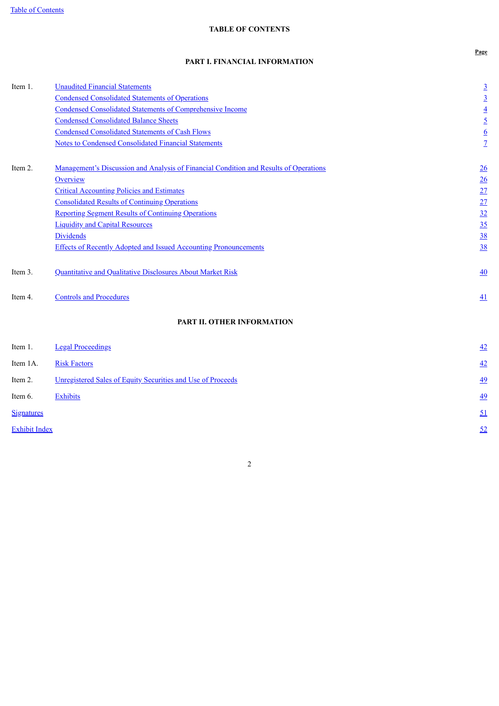# **TABLE OF CONTENTS**

# **PART I. FINANCIAL INFORMATION**

| Item 1.              | <b>Unaudited Financial Statements</b>                                                 | $\overline{3}$                     |
|----------------------|---------------------------------------------------------------------------------------|------------------------------------|
|                      | <b>Condensed Consolidated Statements of Operations</b>                                | $\overline{3}$                     |
|                      | <b>Condensed Consolidated Statements of Comprehensive Income</b>                      | $\overline{4}$                     |
|                      | <b>Condensed Consolidated Balance Sheets</b>                                          | $\overline{5}$                     |
|                      | <b>Condensed Consolidated Statements of Cash Flows</b>                                | $\underline{6}$                    |
|                      | <b>Notes to Condensed Consolidated Financial Statements</b>                           | $\overline{1}$                     |
| Item 2.              | Management's Discussion and Analysis of Financial Condition and Results of Operations | $\frac{26}{5}$                     |
|                      | Overview                                                                              | 26                                 |
|                      | <b>Critical Accounting Policies and Estimates</b>                                     |                                    |
|                      | <b>Consolidated Results of Continuing Operations</b>                                  |                                    |
|                      | <b>Reporting Segment Results of Continuing Operations</b>                             | $\frac{27}{27}$<br>$\frac{32}{35}$ |
|                      | <b>Liquidity and Capital Resources</b>                                                |                                    |
|                      | <b>Dividends</b>                                                                      | <u>38</u>                          |
|                      | <b>Effects of Recently Adopted and Issued Accounting Pronouncements</b>               | <u>38</u>                          |
| Item 3.              | Quantitative and Qualitative Disclosures About Market Risk                            | 40                                 |
| Item 4.              | <b>Controls and Procedures</b>                                                        | 41                                 |
|                      | PART II. OTHER INFORMATION                                                            |                                    |
| Item 1.              | <b>Legal Proceedings</b>                                                              | 42                                 |
| Item 1A.             | <b>Risk Factors</b>                                                                   | 42                                 |
| Item 2.              | Unregistered Sales of Equity Securities and Use of Proceeds                           | <u>49</u>                          |
| Item 6.              | Exhibits                                                                              | 49                                 |
| <b>Signatures</b>    |                                                                                       | <u>51</u>                          |
| <b>Exhibit Index</b> |                                                                                       | 52                                 |

2

**Page**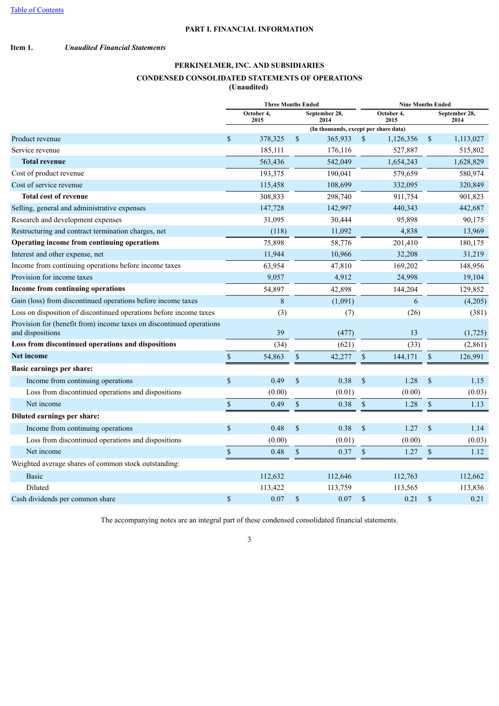# **PART I. FINANCIAL INFORMATION**

<span id="page-2-1"></span><span id="page-2-0"></span>**Item 1.** *Unaudited Financial Statements*

# **PERKINELMER, INC. AND SUBSIDIARIES**

# **CONDENSED CONSOLIDATED STATEMENTS OF OPERATIONS**

**(Unaudited)**

|                                                                                          | <b>Three Months Ended</b> |                    |               |                                       | <b>Nine Months Ended</b> |                    |               |                       |
|------------------------------------------------------------------------------------------|---------------------------|--------------------|---------------|---------------------------------------|--------------------------|--------------------|---------------|-----------------------|
|                                                                                          |                           | October 4,<br>2015 |               | September 28,<br>2014                 |                          | October 4,<br>2015 |               | September 28,<br>2014 |
|                                                                                          |                           |                    |               | (In thousands, except per share data) |                          |                    |               |                       |
| Product revenue                                                                          | $\mathcal{S}$             | 378,325            | $\mathcal{S}$ | 365,933                               | \$                       | 1,126,356          | $\mathbb{S}$  | 1,113,027             |
| Service revenue                                                                          |                           | 185,111            |               | 176,116                               |                          | 527,887            |               | 515,802               |
| <b>Total revenue</b>                                                                     |                           | 563,436            |               | 542,049                               |                          | 1,654,243          |               | 1,628,829             |
| Cost of product revenue                                                                  |                           | 193,375            |               | 190,041                               |                          | 579,659            |               | 580,974               |
| Cost of service revenue                                                                  |                           | 115,458            |               | 108,699                               |                          | 332,095            |               | 320,849               |
| <b>Total cost of revenue</b>                                                             |                           | 308,833            |               | 298,740                               |                          | 911,754            |               | 901,823               |
| Selling, general and administrative expenses                                             |                           | 147,728            |               | 142,997                               |                          | 440,343            |               | 442,687               |
| Research and development expenses                                                        |                           | 31,095             |               | 30,444                                |                          | 95,898             |               | 90,175                |
| Restructuring and contract termination charges, net                                      |                           | (118)              |               | 11,092                                |                          | 4,838              |               | 13,969                |
| Operating income from continuing operations                                              |                           | 75,898             |               | 58,776                                |                          | 201,410            |               | 180,175               |
| Interest and other expense, net                                                          |                           | 11,944             |               | 10,966                                |                          | 32,208             |               | 31,219                |
| Income from continuing operations before income taxes                                    |                           | 63,954             |               | 47,810                                |                          | 169,202            |               | 148,956               |
| Provision for income taxes                                                               |                           | 9,057              |               | 4,912                                 |                          | 24,998             |               | 19,104                |
| Income from continuing operations                                                        |                           | 54,897             |               | 42,898                                |                          | 144,204            |               | 129,852               |
| Gain (loss) from discontinued operations before income taxes                             |                           | $\,8\,$            |               | (1,091)                               |                          | 6                  |               | (4,205)               |
| Loss on disposition of discontinued operations before income taxes                       |                           | (3)                |               | (7)                                   |                          | (26)               |               | (381)                 |
| Provision for (benefit from) income taxes on discontinued operations<br>and dispositions |                           | 39                 |               | (477)                                 |                          | 13                 |               | (1,725)               |
| Loss from discontinued operations and dispositions                                       |                           | (34)               |               | (621)                                 |                          | (33)               |               | (2, 861)              |
| <b>Net income</b>                                                                        | $\mathcal{S}$             | 54,863             | $\$$          | 42,277                                | $\mathbb S$              | 144,171            | $\mathcal{S}$ | 126,991               |
| Basic earnings per share:                                                                |                           |                    |               |                                       |                          |                    |               |                       |
| Income from continuing operations                                                        | $\mathcal{S}$             | 0.49               | \$            | 0.38                                  | \$                       | 1.28               | $\mathcal{S}$ | 1.15                  |
| Loss from discontinued operations and dispositions                                       |                           | (0.00)             |               | (0.01)                                |                          | (0.00)             |               | (0.03)                |
| Net income                                                                               | $\sqrt{\ }$               | 0.49               | $\mathbb S$   | 0.38                                  | $\mathbb S$              | 1.28               | $\mathbb S$   | 1.13                  |
| Diluted earnings per share:                                                              |                           |                    |               |                                       |                          |                    |               |                       |
| Income from continuing operations                                                        | \$                        | 0.48               | \$            | 0.38                                  | \$                       | 1.27               | $\mathcal{S}$ | 1.14                  |
| Loss from discontinued operations and dispositions                                       |                           | (0.00)             |               | (0.01)                                |                          | (0.00)             |               | (0.03)                |
| Net income                                                                               | $\$$                      | 0.48               | $\mathbb S$   | 0.37                                  | $\mathbb S$              | 1.27               | $\mathbb S$   | 1.12                  |
| Weighted average shares of common stock outstanding:                                     |                           |                    |               |                                       |                          |                    |               |                       |
| <b>Basic</b>                                                                             |                           | 112,632            |               | 112,646                               |                          | 112,763            |               | 112,662               |
| Diluted                                                                                  |                           | 113,422            |               | 113,759                               |                          | 113,565            |               | 113,836               |
| Cash dividends per common share                                                          | \$                        | 0.07               | $\$$          | 0.07                                  | \$                       | 0.21               | \$            | 0.21                  |

<span id="page-2-2"></span>The accompanying notes are an integral part of these condensed consolidated financial statements.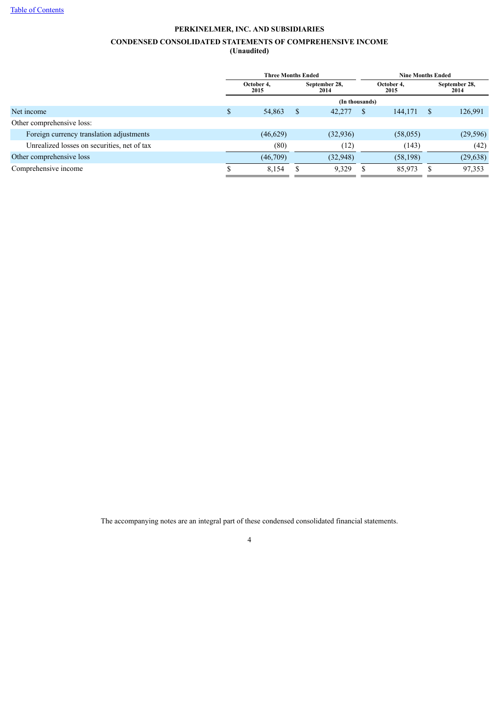# **PERKINELMER, INC. AND SUBSIDIARIES CONDENSED CONSOLIDATED STATEMENTS OF COMPREHENSIVE INCOME (Unaudited)**

|                                             | <b>Three Months Ended</b> |           |                       |                | <b>Nine Months Ended</b> |           |    |                       |
|---------------------------------------------|---------------------------|-----------|-----------------------|----------------|--------------------------|-----------|----|-----------------------|
|                                             | October 4.<br>2015        |           | September 28,<br>2014 |                | October 4,<br>2015       |           |    | September 28,<br>2014 |
|                                             |                           |           |                       | (In thousands) |                          |           |    |                       |
| Net income                                  | \$                        | 54,863    | <sup>S</sup>          | 42,277         | S                        | 144,171   | -S | 126,991               |
| Other comprehensive loss:                   |                           |           |                       |                |                          |           |    |                       |
| Foreign currency translation adjustments    |                           | (46, 629) |                       | (32,936)       |                          | (58,055)  |    | (29, 596)             |
| Unrealized losses on securities, net of tax |                           | (80)      |                       | (12)           |                          | (143)     |    | (42)                  |
| Other comprehensive loss                    |                           | (46,709)  |                       | (32,948)       |                          | (58, 198) |    | (29, 638)             |
| Comprehensive income                        |                           | 8,154     |                       | 9,329          |                          | 85,973    |    | 97,353                |

<span id="page-3-0"></span>The accompanying notes are an integral part of these condensed consolidated financial statements.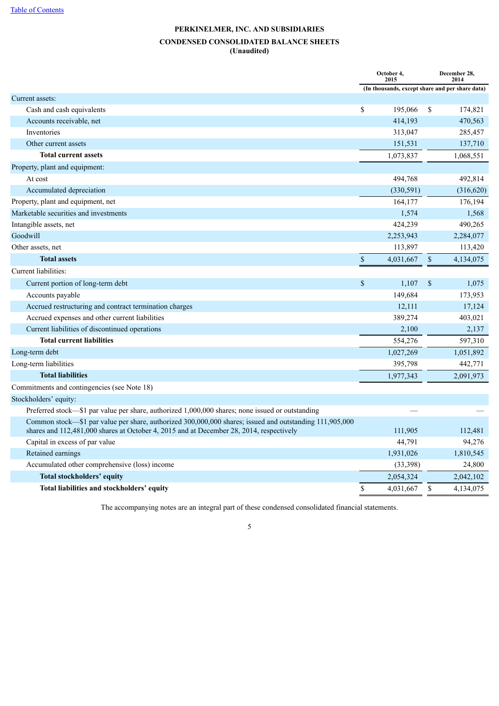# **PERKINELMER, INC. AND SUBSIDIARIES CONDENSED CONSOLIDATED BALANCE SHEETS (Unaudited)**

|                                                                                                                                                                                                    |             | October 4,<br>2015                              |               | December 28,<br>2014 |
|----------------------------------------------------------------------------------------------------------------------------------------------------------------------------------------------------|-------------|-------------------------------------------------|---------------|----------------------|
|                                                                                                                                                                                                    |             | (In thousands, except share and per share data) |               |                      |
| Current assets:                                                                                                                                                                                    |             |                                                 |               |                      |
| Cash and cash equivalents                                                                                                                                                                          | \$          | 195,066                                         | \$            | 174,821              |
| Accounts receivable, net                                                                                                                                                                           |             | 414,193                                         |               | 470,563              |
| Inventories                                                                                                                                                                                        |             | 313,047                                         |               | 285,457              |
| Other current assets                                                                                                                                                                               |             | 151,531                                         |               | 137,710              |
| <b>Total current assets</b>                                                                                                                                                                        |             | 1,073,837                                       |               | 1,068,551            |
| Property, plant and equipment:                                                                                                                                                                     |             |                                                 |               |                      |
| At cost                                                                                                                                                                                            |             | 494,768                                         |               | 492,814              |
| Accumulated depreciation                                                                                                                                                                           |             | (330, 591)                                      |               | (316,620)            |
| Property, plant and equipment, net                                                                                                                                                                 |             | 164,177                                         |               | 176,194              |
| Marketable securities and investments                                                                                                                                                              |             | 1,574                                           |               | 1,568                |
| Intangible assets, net                                                                                                                                                                             |             | 424,239                                         |               | 490,265              |
| Goodwill                                                                                                                                                                                           |             | 2,253,943                                       |               | 2,284,077            |
| Other assets, net                                                                                                                                                                                  |             | 113,897                                         |               | 113,420              |
| <b>Total assets</b>                                                                                                                                                                                | $\mathbb S$ | 4,031,667                                       | $\mathbb{S}$  | 4,134,075            |
| Current liabilities:                                                                                                                                                                               |             |                                                 |               |                      |
| Current portion of long-term debt                                                                                                                                                                  | \$          | 1,107                                           | $\mathcal{S}$ | 1,075                |
| Accounts payable                                                                                                                                                                                   |             | 149,684                                         |               | 173,953              |
| Accrued restructuring and contract termination charges                                                                                                                                             |             | 12,111                                          |               | 17,124               |
| Accrued expenses and other current liabilities                                                                                                                                                     |             | 389,274                                         |               | 403,021              |
| Current liabilities of discontinued operations                                                                                                                                                     |             | 2,100                                           |               | 2,137                |
| <b>Total current liabilities</b>                                                                                                                                                                   |             | 554,276                                         |               | 597,310              |
| Long-term debt                                                                                                                                                                                     |             | 1,027,269                                       |               | 1,051,892            |
| Long-term liabilities                                                                                                                                                                              |             | 395,798                                         |               | 442,771              |
| <b>Total liabilities</b>                                                                                                                                                                           |             | 1,977,343                                       |               | 2,091,973            |
| Commitments and contingencies (see Note 18)                                                                                                                                                        |             |                                                 |               |                      |
| Stockholders' equity:                                                                                                                                                                              |             |                                                 |               |                      |
| Preferred stock—\$1 par value per share, authorized 1,000,000 shares; none issued or outstanding                                                                                                   |             |                                                 |               |                      |
| Common stock—\$1 par value per share, authorized 300,000,000 shares; issued and outstanding 111,905,000<br>shares and 112,481,000 shares at October 4, 2015 and at December 28, 2014, respectively |             | 111,905                                         |               | 112,481              |
| Capital in excess of par value                                                                                                                                                                     |             | 44,791                                          |               | 94,276               |
| Retained earnings                                                                                                                                                                                  |             | 1,931,026                                       |               | 1,810,545            |
| Accumulated other comprehensive (loss) income                                                                                                                                                      |             | (33,398)                                        |               | 24,800               |
| Total stockholders' equity                                                                                                                                                                         |             | 2,054,324                                       |               | 2,042,102            |
| Total liabilities and stockholders' equity                                                                                                                                                         | $\$$        | 4,031,667                                       | \$            | 4,134,075            |

<span id="page-4-0"></span>The accompanying notes are an integral part of these condensed consolidated financial statements.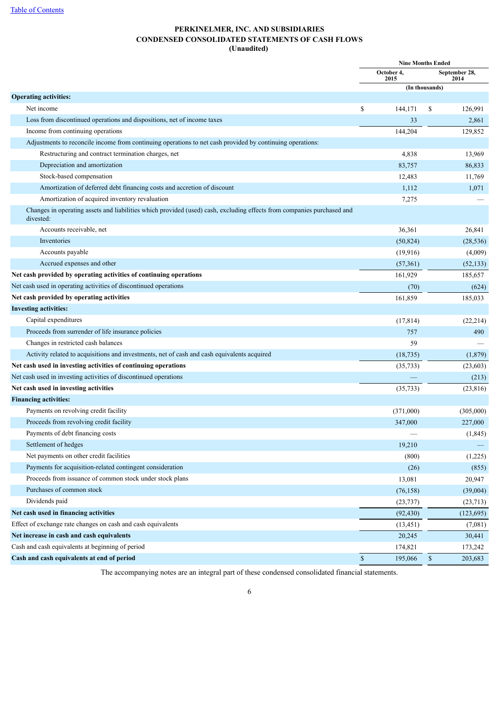# **PERKINELMER, INC. AND SUBSIDIARIES CONDENSED CONSOLIDATED STATEMENTS OF CASH FLOWS (Unaudited)**

|                                                                                                                                     | <b>Nine Months Ended</b> |                    |              |                       |
|-------------------------------------------------------------------------------------------------------------------------------------|--------------------------|--------------------|--------------|-----------------------|
|                                                                                                                                     |                          | October 4,<br>2015 |              | September 28,<br>2014 |
|                                                                                                                                     |                          | (In thousands)     |              |                       |
| <b>Operating activities:</b>                                                                                                        |                          |                    |              |                       |
| Net income                                                                                                                          | \$                       | 144,171            | \$           | 126,991               |
| Loss from discontinued operations and dispositions, net of income taxes                                                             |                          | 33                 |              | 2,861                 |
| Income from continuing operations                                                                                                   |                          | 144,204            |              | 129,852               |
| Adjustments to reconcile income from continuing operations to net cash provided by continuing operations:                           |                          |                    |              |                       |
| Restructuring and contract termination charges, net                                                                                 |                          | 4,838              |              | 13,969                |
| Depreciation and amortization                                                                                                       |                          | 83,757             |              | 86,833                |
| Stock-based compensation                                                                                                            |                          | 12,483             |              | 11,769                |
| Amortization of deferred debt financing costs and accretion of discount                                                             |                          | 1,112              |              | 1,071                 |
| Amortization of acquired inventory revaluation                                                                                      |                          | 7,275              |              |                       |
| Changes in operating assets and liabilities which provided (used) cash, excluding effects from companies purchased and<br>divested: |                          |                    |              |                       |
| Accounts receivable, net                                                                                                            |                          | 36,361             |              | 26,841                |
| Inventories                                                                                                                         |                          | (50, 824)          |              | (28, 536)             |
| Accounts payable                                                                                                                    |                          | (19,916)           |              | (4,009)               |
| Accrued expenses and other                                                                                                          |                          | (57,361)           |              | (52, 133)             |
| Net cash provided by operating activities of continuing operations                                                                  |                          | 161,929            |              | 185,657               |
| Net cash used in operating activities of discontinued operations                                                                    |                          | (70)               |              | (624)                 |
| Net cash provided by operating activities                                                                                           |                          | 161,859            |              | 185,033               |
| <b>Investing activities:</b>                                                                                                        |                          |                    |              |                       |
| Capital expenditures                                                                                                                |                          | (17, 814)          |              | (22, 214)             |
| Proceeds from surrender of life insurance policies                                                                                  |                          | 757                |              | 490                   |
| Changes in restricted cash balances                                                                                                 |                          | 59                 |              |                       |
| Activity related to acquisitions and investments, net of cash and cash equivalents acquired                                         |                          | (18, 735)          |              | (1,879)               |
| Net cash used in investing activities of continuing operations                                                                      |                          | (35, 733)          |              | (23,603)              |
| Net cash used in investing activities of discontinued operations                                                                    |                          |                    |              | (213)                 |
| Net cash used in investing activities                                                                                               |                          | (35, 733)          |              | (23,816)              |
| <b>Financing activities:</b>                                                                                                        |                          |                    |              |                       |
| Payments on revolving credit facility                                                                                               |                          | (371,000)          |              | (305,000)             |
| Proceeds from revolving credit facility                                                                                             |                          | 347,000            |              | 227,000               |
| Payments of debt financing costs                                                                                                    |                          |                    |              | (1, 845)              |
| Settlement of hedges                                                                                                                |                          | 19,210             |              |                       |
| Net payments on other credit facilities                                                                                             |                          | (800)              |              | (1,225)               |
| Payments for acquisition-related contingent consideration                                                                           |                          | (26)               |              | (855)                 |
| Proceeds from issuance of common stock under stock plans                                                                            |                          | 13,081             |              | 20,947                |
| Purchases of common stock                                                                                                           |                          | (76, 158)          |              | (39,004)              |
| Dividends paid                                                                                                                      |                          | (23, 737)          |              | (23,713)              |
| Net cash used in financing activities                                                                                               |                          | (92, 430)          |              | (123, 695)            |
| Effect of exchange rate changes on cash and cash equivalents                                                                        |                          | (13, 451)          |              | (7,081)               |
| Net increase in cash and cash equivalents                                                                                           |                          | 20,245             |              | 30,441                |
| Cash and cash equivalents at beginning of period                                                                                    |                          | 174,821            |              | 173,242               |
| Cash and cash equivalents at end of period                                                                                          |                          |                    | $\mathbb{S}$ |                       |
|                                                                                                                                     | $\mathbb S$              | 195,066            |              | 203,683               |

<span id="page-5-0"></span>The accompanying notes are an integral part of these condensed consolidated financial statements.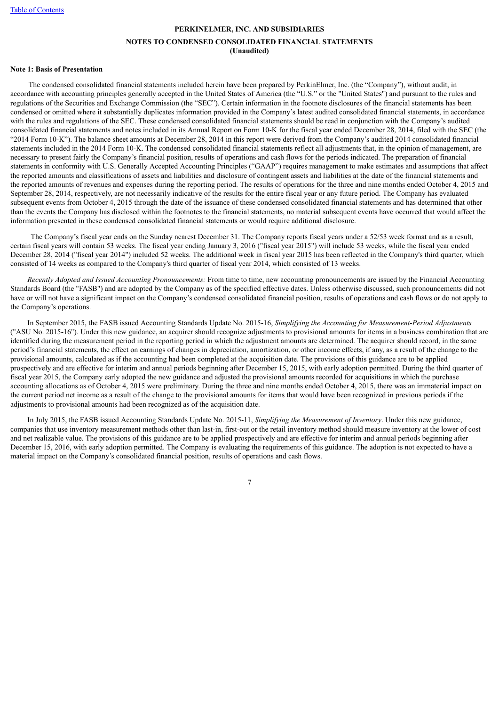# **PERKINELMER, INC. AND SUBSIDIARIES NOTES TO CONDENSED CONSOLIDATED FINANCIAL STATEMENTS (Unaudited)**

# **Note 1: Basis of Presentation**

The condensed consolidated financial statements included herein have been prepared by PerkinElmer, Inc. (the "Company"), without audit, in accordance with accounting principles generally accepted in the United States of America (the "U.S." or the "United States") and pursuant to the rules and regulations of the Securities and Exchange Commission (the "SEC"). Certain information in the footnote disclosures of the financial statements has been condensed or omitted where it substantially duplicates information provided in the Company's latest audited consolidated financial statements, in accordance with the rules and regulations of the SEC. These condensed consolidated financial statements should be read in conjunction with the Company's audited consolidated financial statements and notes included in its Annual Report on Form 10-K for the fiscal year ended December 28, 2014, filed with the SEC (the "2014 Form 10-K"). The balance sheet amounts at December 28, 2014 in this report were derived from the Company's audited 2014 consolidated financial statements included in the 2014 Form 10-K. The condensed consolidated financial statements reflect all adjustments that, in the opinion of management, are necessary to present fairly the Company's financial position, results of operations and cash flows for the periods indicated. The preparation of financial statements in conformity with U.S. Generally Accepted Accounting Principles ("GAAP") requires management to make estimates and assumptions that affect the reported amounts and classifications of assets and liabilities and disclosure of contingent assets and liabilities at the date of the financial statements and the reported amounts of revenues and expenses during the reporting period. The results of operations for the three and nine months ended October 4, 2015 and September 28, 2014, respectively, are not necessarily indicative of the results for the entire fiscal year or any future period. The Company has evaluated subsequent events from October 4, 2015 through the date of the issuance of these condensed consolidated financial statements and has determined that other than the events the Company has disclosed within the footnotes to the financial statements, no material subsequent events have occurred that would affect the information presented in these condensed consolidated financial statements or would require additional disclosure.

The Company's fiscal year ends on the Sunday nearest December 31. The Company reports fiscal years under a 52/53 week format and as a result, certain fiscal years will contain 53 weeks. The fiscal year ending January 3, 2016 ("fiscal year 2015") will include 53 weeks, while the fiscal year ended December 28, 2014 ("fiscal year 2014") included 52 weeks. The additional week in fiscal year 2015 has been reflected in the Company's third quarter, which consisted of 14 weeks as compared to the Company's third quarter of fiscal year 2014, which consisted of 13 weeks.

*Recently Adopted and Issued Accounting Pronouncements:* From time to time, new accounting pronouncements are issued by the Financial Accounting Standards Board (the "FASB") and are adopted by the Company as of the specified effective dates. Unless otherwise discussed, such pronouncements did not have or will not have a significant impact on the Company's condensed consolidated financial position, results of operations and cash flows or do not apply to the Company's operations.

In September 2015, the FASB issued Accounting Standards Update No. 2015-16, *Simplifying the Accounting for Measurement-Period Adjustments* ("ASU No. 2015-16"). Under this new guidance, an acquirer should recognize adjustments to provisional amounts for items in a business combination that are identified during the measurement period in the reporting period in which the adjustment amounts are determined. The acquirer should record, in the same period's financial statements, the effect on earnings of changes in depreciation, amortization, or other income effects, if any, as a result of the change to the provisional amounts, calculated as if the accounting had been completed at the acquisition date. The provisions of this guidance are to be applied prospectively and are effective for interim and annual periods beginning after December 15, 2015, with early adoption permitted. During the third quarter of fiscal year 2015, the Company early adopted the new guidance and adjusted the provisional amounts recorded for acquisitions in which the purchase accounting allocations as of October 4, 2015 were preliminary. During the three and nine months ended October 4, 2015, there was an immaterial impact on the current period net income as a result of the change to the provisional amounts for items that would have been recognized in previous periods if the adjustments to provisional amounts had been recognized as of the acquisition date.

In July 2015, the FASB issued Accounting Standards Update No. 2015-11, *Simplifying the Measurement of Inventory*. Under this new guidance, companies that use inventory measurement methods other than last-in, first-out or the retail inventory method should measure inventory at the lower of cost and net realizable value. The provisions of this guidance are to be applied prospectively and are effective for interim and annual periods beginning after December 15, 2016, with early adoption permitted. The Company is evaluating the requirements of this guidance. The adoption is not expected to have a material impact on the Company's consolidated financial position, results of operations and cash flows.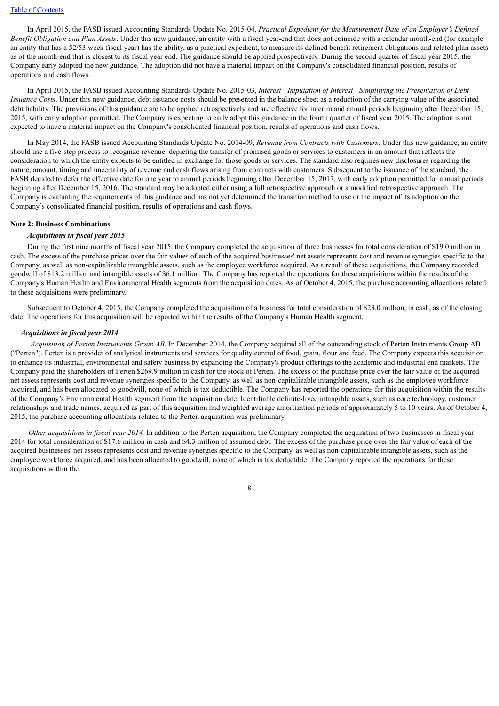In April 2015, the FASB issued Accounting Standards Update No. 2015-04, *Practical Expedient for the Measurement Date of an Employer's Defined Benefit Obligation and Plan Assets*. Under this new guidance, an entity with a fiscal year-end that does not coincide with a calendar month-end (for example an entity that has a 52/53 week fiscal year) has the ability, as a practical expedient, to measure its defined benefit retirement obligations and related plan assets as of the month-end that is closest to its fiscal year end. The guidance should be applied prospectively. During the second quarter of fiscal year 2015, the Company early adopted the new guidance. The adoption did not have a material impact on the Company's consolidated financial position, results of operations and cash flows.

In April 2015, the FASB issued Accounting Standards Update No. 2015-03, *Interest - Imputation of Interest - Simplifying the Presentation of Debt Issuance Costs*. Under this new guidance, debt issuance costs should be presented in the balance sheet as a reduction of the carrying value of the associated debt liability. The provisions of this guidance are to be applied retrospectively and are effective for interim and annual periods beginning after December 15, 2015, with early adoption permitted. The Company is expecting to early adopt this guidance in the fourth quarter of fiscal year 2015. The adoption is not expected to have a material impact on the Company's consolidated financial position, results of operations and cash flows.

In May 2014, the FASB issued Accounting Standards Update No. 2014-09, *Revenue from Contracts with Customers*. Under this new guidance, an entity should use a five-step process to recognize revenue, depicting the transfer of promised goods or services to customers in an amount that reflects the consideration to which the entity expects to be entitled in exchange for those goods or services. The standard also requires new disclosures regarding the nature, amount, timing and uncertainty of revenue and cash flows arising from contracts with customers. Subsequent to the issuance of the standard, the FASB decided to defer the effective date for one year to annual periods beginning after December 15, 2017, with early adoption permitted for annual periods beginning after December 15, 2016. The standard may be adopted either using a full retrospective approach or a modified retrospective approach. The Company is evaluating the requirements of this guidance and has not yet determined the transition method to use or the impact of its adoption on the Company's consolidated financial position, results of operations and cash flows.

## **Note 2: Business Combinations**

#### *Acquisitions in fiscal year 2015*

During the first nine months of fiscal year 2015, the Company completed the acquisition of three businesses for total consideration of \$19.0 million in cash. The excess of the purchase prices over the fair values of each of the acquired businesses' net assets represents cost and revenue synergies specific to the Company, as well as non-capitalizable intangible assets, such as the employee workforce acquired. As a result of these acquisitions, the Company recorded goodwill of \$13.2 million and intangible assets of \$6.1 million. The Company has reported the operations for these acquisitions within the results of the Company's Human Health and Environmental Health segments from the acquisition dates. As of October 4, 2015, the purchase accounting allocations related to these acquisitions were preliminary.

Subsequent to October 4, 2015, the Company completed the acquisition of a business for total consideration of \$23.0 million, in cash, as of the closing date. The operations for this acquisition will be reported within the results of the Company's Human Health segment.

#### *Acquisitions in fiscal year 2014*

*Acquisition of Perten Instruments Group AB.* In December 2014, the Company acquired all of the outstanding stock of Perten Instruments Group AB ("Perten"). Perten is a provider of analytical instruments and services for quality control of food, grain, flour and feed. The Company expects this acquisition to enhance its industrial, environmental and safety business by expanding the Company's product offerings to the academic and industrial end markets. The Company paid the shareholders of Perten \$269.9 million in cash for the stock of Perten. The excess of the purchase price over the fair value of the acquired net assets represents cost and revenue synergies specific to the Company, as well as non-capitalizable intangible assets, such as the employee workforce acquired, and has been allocated to goodwill, none of which is tax deductible. The Company has reported the operations for this acquisition within the results of the Company's Environmental Health segment from the acquisition date. Identifiable definite-lived intangible assets, such as core technology, customer relationships and trade names, acquired as part of this acquisition had weighted average amortization periods of approximately 5 to 10 years. As of October 4, 2015, the purchase accounting allocations related to the Perten acquisition was preliminary.

*Other acquisitions in fiscal year 2014.* In addition to the Perten acquisition, the Company completed the acquisition of two businesses in fiscal year 2014 for total consideration of \$17.6 million in cash and \$4.3 million of assumed debt. The excess of the purchase price over the fair value of each of the acquired businesses' net assets represents cost and revenue synergies specific to the Company, as well as non-capitalizable intangible assets, such as the employee workforce acquired, and has been allocated to goodwill, none of which is tax deductible. The Company reported the operations for these acquisitions within the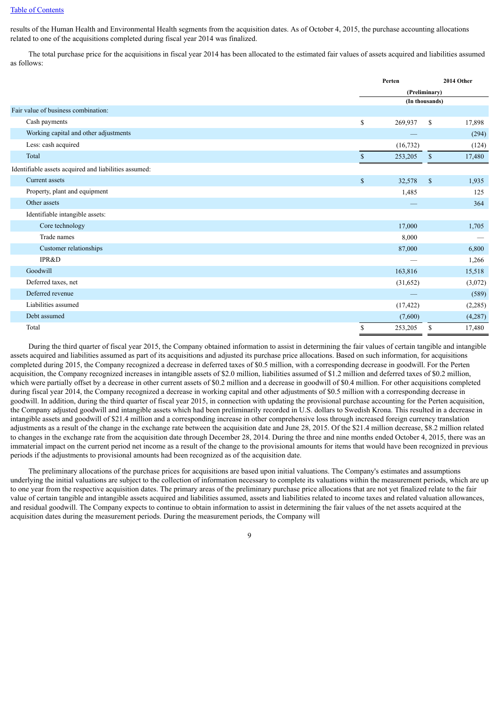results of the Human Health and Environmental Health segments from the acquisition dates. As of October 4, 2015, the purchase accounting allocations related to one of the acquisitions completed during fiscal year 2014 was finalized.

The total purchase price for the acquisitions in fiscal year 2014 has been allocated to the estimated fair values of assets acquired and liabilities assumed as follows:

|                                                       |              | Perten    |                | <b>2014 Other</b> |  |
|-------------------------------------------------------|--------------|-----------|----------------|-------------------|--|
|                                                       |              |           | (Preliminary)  |                   |  |
|                                                       |              |           | (In thousands) |                   |  |
| Fair value of business combination:                   |              |           |                |                   |  |
| Cash payments                                         | \$           | 269,937   | $\mathbf S$    | 17,898            |  |
| Working capital and other adjustments                 |              |           |                | (294)             |  |
| Less: cash acquired                                   |              | (16, 732) |                | (124)             |  |
| Total                                                 | $\mathbb{S}$ | 253,205   | $\mathbb{S}$   | 17,480            |  |
| Identifiable assets acquired and liabilities assumed: |              |           |                |                   |  |
| Current assets                                        | $\mathbb{S}$ | 32,578    | $\mathbb{S}$   | 1,935             |  |
| Property, plant and equipment                         |              | 1,485     |                | 125               |  |
| Other assets                                          |              |           |                | 364               |  |
| Identifiable intangible assets:                       |              |           |                |                   |  |
| Core technology                                       |              | 17,000    |                | 1,705             |  |
| Trade names                                           |              | 8,000     |                |                   |  |
| Customer relationships                                |              | 87,000    |                | 6,800             |  |
| <b>IPR&amp;D</b>                                      |              |           |                | 1,266             |  |
| Goodwill                                              |              | 163,816   |                | 15,518            |  |
| Deferred taxes, net                                   |              | (31,652)  |                | (3,072)           |  |
| Deferred revenue                                      |              |           |                | (589)             |  |
| Liabilities assumed                                   |              | (17, 422) |                | (2, 285)          |  |
| Debt assumed                                          |              | (7,600)   |                | (4,287)           |  |
| Total                                                 | \$           | 253,205   | \$             | 17,480            |  |

During the third quarter of fiscal year 2015, the Company obtained information to assist in determining the fair values of certain tangible and intangible assets acquired and liabilities assumed as part of its acquisitions and adjusted its purchase price allocations. Based on such information, for acquisitions completed during 2015, the Company recognized a decrease in deferred taxes of \$0.5 million, with a corresponding decrease in goodwill. For the Perten acquisition, the Company recognized increases in intangible assets of \$2.0 million, liabilities assumed of \$1.2 million and deferred taxes of \$0.2 million, which were partially offset by a decrease in other current assets of \$0.2 million and a decrease in goodwill of \$0.4 million. For other acquisitions completed during fiscal year 2014, the Company recognized a decrease in working capital and other adjustments of \$0.5 million with a corresponding decrease in goodwill. In addition, during the third quarter of fiscal year 2015, in connection with updating the provisional purchase accounting for the Perten acquisition, the Company adjusted goodwill and intangible assets which had been preliminarily recorded in U.S. dollars to Swedish Krona. This resulted in a decrease in intangible assets and goodwill of \$21.4 million and a corresponding increase in other comprehensive loss through increased foreign currency translation adjustments as a result of the change in the exchange rate between the acquisition date and June 28, 2015. Of the \$21.4 million decrease, \$8.2 million related to changes in the exchange rate from the acquisition date through December 28, 2014. During the three and nine months ended October 4, 2015, there was an immaterial impact on the current period net income as a result of the change to the provisional amounts for items that would have been recognized in previous periods if the adjustments to provisional amounts had been recognized as of the acquisition date.

The preliminary allocations of the purchase prices for acquisitions are based upon initial valuations. The Company's estimates and assumptions underlying the initial valuations are subject to the collection of information necessary to complete its valuations within the measurement periods, which are up to one year from the respective acquisition dates. The primary areas of the preliminary purchase price allocations that are not yet finalized relate to the fair value of certain tangible and intangible assets acquired and liabilities assumed, assets and liabilities related to income taxes and related valuation allowances, and residual goodwill. The Company expects to continue to obtain information to assist in determining the fair values of the net assets acquired at the acquisition dates during the measurement periods. During the measurement periods, the Company will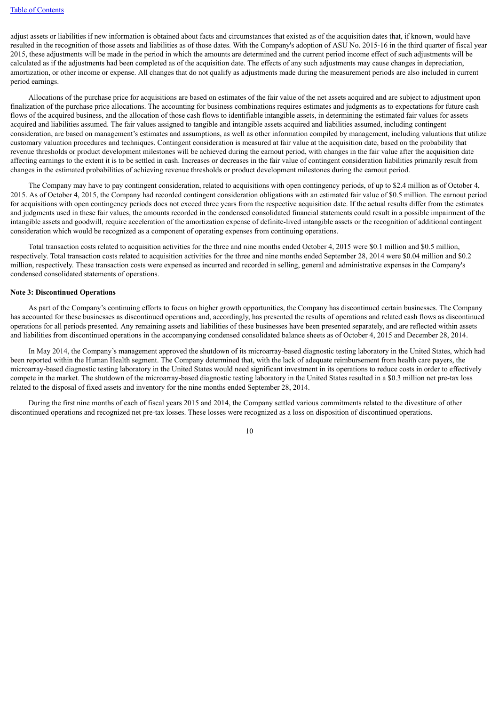adjust assets or liabilities if new information is obtained about facts and circumstances that existed as of the acquisition dates that, if known, would have resulted in the recognition of those assets and liabilities as of those dates. With the Company's adoption of ASU No. 2015-16 in the third quarter of fiscal year 2015, these adjustments will be made in the period in which the amounts are determined and the current period income effect of such adjustments will be calculated as if the adjustments had been completed as of the acquisition date. The effects of any such adjustments may cause changes in depreciation, amortization, or other income or expense. All changes that do not qualify as adjustments made during the measurement periods are also included in current period earnings.

Allocations of the purchase price for acquisitions are based on estimates of the fair value of the net assets acquired and are subject to adjustment upon finalization of the purchase price allocations. The accounting for business combinations requires estimates and judgments as to expectations for future cash flows of the acquired business, and the allocation of those cash flows to identifiable intangible assets, in determining the estimated fair values for assets acquired and liabilities assumed. The fair values assigned to tangible and intangible assets acquired and liabilities assumed, including contingent consideration, are based on management's estimates and assumptions, as well as other information compiled by management, including valuations that utilize customary valuation procedures and techniques. Contingent consideration is measured at fair value at the acquisition date, based on the probability that revenue thresholds or product development milestones will be achieved during the earnout period, with changes in the fair value after the acquisition date affecting earnings to the extent it is to be settled in cash. Increases or decreases in the fair value of contingent consideration liabilities primarily result from changes in the estimated probabilities of achieving revenue thresholds or product development milestones during the earnout period.

The Company may have to pay contingent consideration, related to acquisitions with open contingency periods, of up to \$2.4 million as of October 4, 2015. As of October 4, 2015, the Company had recorded contingent consideration obligations with an estimated fair value of \$0.5 million. The earnout period for acquisitions with open contingency periods does not exceed three years from the respective acquisition date. If the actual results differ from the estimates and judgments used in these fair values, the amounts recorded in the condensed consolidated financial statements could result in a possible impairment of the intangible assets and goodwill, require acceleration of the amortization expense of definite-lived intangible assets or the recognition of additional contingent consideration which would be recognized as a component of operating expenses from continuing operations.

Total transaction costs related to acquisition activities for the three and nine months ended October 4, 2015 were \$0.1 million and \$0.5 million, respectively. Total transaction costs related to acquisition activities for the three and nine months ended September 28, 2014 were \$0.04 million and \$0.2 million, respectively. These transaction costs were expensed as incurred and recorded in selling, general and administrative expenses in the Company's condensed consolidated statements of operations.

## **Note 3: Discontinued Operations**

As part of the Company's continuing efforts to focus on higher growth opportunities, the Company has discontinued certain businesses. The Company has accounted for these businesses as discontinued operations and, accordingly, has presented the results of operations and related cash flows as discontinued operations for all periods presented. Any remaining assets and liabilities of these businesses have been presented separately, and are reflected within assets and liabilities from discontinued operations in the accompanying condensed consolidated balance sheets as of October 4, 2015 and December 28, 2014.

In May 2014, the Company's management approved the shutdown of its microarray-based diagnostic testing laboratory in the United States, which had been reported within the Human Health segment. The Company determined that, with the lack of adequate reimbursement from health care payers, the microarray-based diagnostic testing laboratory in the United States would need significant investment in its operations to reduce costs in order to effectively compete in the market. The shutdown of the microarray-based diagnostic testing laboratory in the United States resulted in a \$0.3 million net pre-tax loss related to the disposal of fixed assets and inventory for the nine months ended September 28, 2014.

During the first nine months of each of fiscal years 2015 and 2014, the Company settled various commitments related to the divestiture of other discontinued operations and recognized net pre-tax losses. These losses were recognized as a loss on disposition of discontinued operations.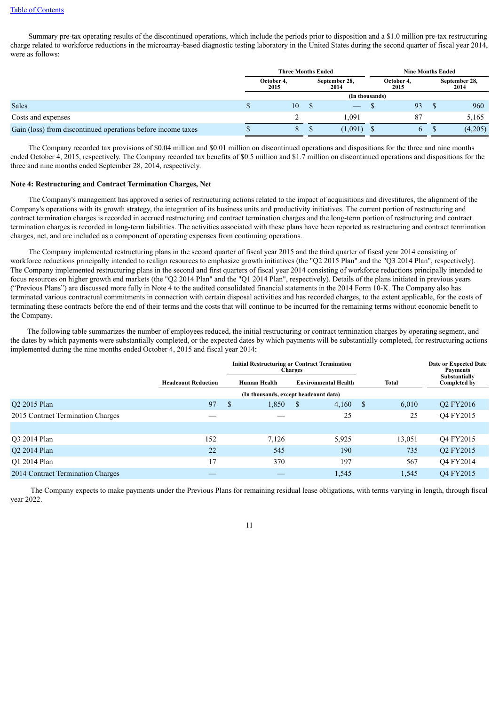Summary pre-tax operating results of the discontinued operations, which include the periods prior to disposition and a \$1.0 million pre-tax restructuring charge related to workforce reductions in the microarray-based diagnostic testing laboratory in the United States during the second quarter of fiscal year 2014, were as follows:

|                                                              | <b>Three Months Ended</b> |  |                                 | <b>Nine Months Ended</b> |                    |  |                       |
|--------------------------------------------------------------|---------------------------|--|---------------------------------|--------------------------|--------------------|--|-----------------------|
|                                                              | October 4.<br>2015        |  | September 28,<br>2014           |                          | October 4,<br>2015 |  | September 28,<br>2014 |
|                                                              |                           |  |                                 | (In thousands)           |                    |  |                       |
| <b>Sales</b>                                                 | 10                        |  | $\hspace{0.1mm}-\hspace{0.1mm}$ |                          | 93                 |  | 960                   |
| Costs and expenses                                           |                           |  | .091                            |                          | 87                 |  | 5,165                 |
| Gain (loss) from discontinued operations before income taxes | 8.                        |  | (1,091)                         |                          | 6                  |  | (4,205)               |

The Company recorded tax provisions of \$0.04 million and \$0.01 million on discontinued operations and dispositions for the three and nine months ended October 4, 2015, respectively. The Company recorded tax benefits of \$0.5 million and \$1.7 million on discontinued operations and dispositions for the three and nine months ended September 28, 2014, respectively.

#### **Note 4: Restructuring and Contract Termination Charges, Net**

The Company's management has approved a series of restructuring actions related to the impact of acquisitions and divestitures, the alignment of the Company's operations with its growth strategy, the integration of its business units and productivity initiatives. The current portion of restructuring and contract termination charges is recorded in accrued restructuring and contract termination charges and the long-term portion of restructuring and contract termination charges is recorded in long-term liabilities. The activities associated with these plans have been reported as restructuring and contract termination charges, net, and are included as a component of operating expenses from continuing operations.

The Company implemented restructuring plans in the second quarter of fiscal year 2015 and the third quarter of fiscal year 2014 consisting of workforce reductions principally intended to realign resources to emphasize growth initiatives (the "Q2 2015 Plan" and the "Q3 2014 Plan", respectively). The Company implemented restructuring plans in the second and first quarters of fiscal year 2014 consisting of workforce reductions principally intended to focus resources on higher growth end markets (the "Q2 2014 Plan" and the "Q1 2014 Plan", respectively). Details of the plans initiated in previous years ("Previous Plans") are discussed more fully in Note 4 to the audited consolidated financial statements in the 2014 Form 10-K. The Company also has terminated various contractual commitments in connection with certain disposal activities and has recorded charges, to the extent applicable, for the costs of terminating these contracts before the end of their terms and the costs that will continue to be incurred for the remaining terms without economic benefit to the Company.

The following table summarizes the number of employees reduced, the initial restructuring or contract termination charges by operating segment, and the dates by which payments were substantially completed, or the expected dates by which payments will be substantially completed, for restructuring actions implemented during the nine months ended October 4, 2015 and fiscal year 2014:

|                                   |                            |    | <b>Initial Restructuring or Contract Termination</b> | <b>Charges</b> |                             |   | <b>Date or Expected Date</b><br><b>Payments</b> |                                      |  |
|-----------------------------------|----------------------------|----|------------------------------------------------------|----------------|-----------------------------|---|-------------------------------------------------|--------------------------------------|--|
|                                   | <b>Headcount Reduction</b> |    | Human Health                                         |                | <b>Environmental Health</b> |   | Total                                           | Substantially<br><b>Completed by</b> |  |
|                                   |                            |    | (In thousands, except headcount data)                |                |                             |   |                                                 |                                      |  |
| Q2 2015 Plan                      | 97                         | \$ | 1,850                                                | <sup>S</sup>   | 4,160                       | S | 6,010                                           | O <sub>2</sub> FY <sub>2016</sub>    |  |
| 2015 Contract Termination Charges |                            |    |                                                      |                | 25                          |   | 25                                              | Q4 FY2015                            |  |
|                                   |                            |    |                                                      |                |                             |   |                                                 |                                      |  |
| Q3 2014 Plan                      | 152                        |    | 7,126                                                |                | 5,925                       |   | 13,051                                          | Q4 FY2015                            |  |
| O <sub>2</sub> 2014 Plan          | 22                         |    | 545                                                  |                | 190                         |   | 735                                             | Q2 FY2015                            |  |
| O1 2014 Plan                      | 17                         |    | 370                                                  |                | 197                         |   | 567                                             | O4 FY2014                            |  |
| 2014 Contract Termination Charges |                            |    |                                                      |                | 1,545                       |   | 1,545                                           | <b>Q4 FY2015</b>                     |  |

The Company expects to make payments under the Previous Plans for remaining residual lease obligations, with terms varying in length, through fiscal year 2022.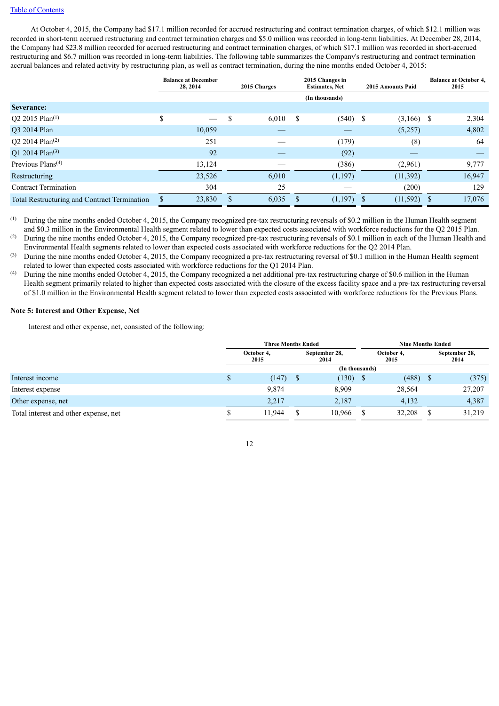#### Table of [Contents](#page-0-0)

At October 4, 2015, the Company had \$17.1 million recorded for accrued restructuring and contract termination charges, of which \$12.1 million was recorded in short-term accrued restructuring and contract termination charges and \$5.0 million was recorded in long-term liabilities. At December 28, 2014, the Company had \$23.8 million recorded for accrued restructuring and contract termination charges, of which \$17.1 million was recorded in short-accrued restructuring and \$6.7 million was recorded in long-term liabilities. The following table summarizes the Company's restructuring and contract termination accrual balances and related activity by restructuring plan, as well as contract termination, during the nine months ended October 4, 2015:

|                                              | <b>Balance at December</b><br>28, 2014 |   | 2015 Charges |   | 2015 Changes in<br><b>Estimates, Net</b> |               | <b>2015 Amounts Paid</b> |      | <b>Balance at October 4,</b><br>2015 |  |
|----------------------------------------------|----------------------------------------|---|--------------|---|------------------------------------------|---------------|--------------------------|------|--------------------------------------|--|
|                                              |                                        |   |              |   | (In thousands)                           |               |                          |      |                                      |  |
| Severance:                                   |                                        |   |              |   |                                          |               |                          |      |                                      |  |
| Q2 2015 Plan $^{(1)}$                        | \$                                     | S | 6,010        | S | (540)                                    | S             | (3,166)                  | - \$ | 2,304                                |  |
| O3 2014 Plan                                 | 10,059                                 |   |              |   |                                          |               | (5,257)                  |      | 4,802                                |  |
| Q2 2014 Plan(2)                              | 251                                    |   |              |   | (179)                                    |               | (8)                      |      | 64                                   |  |
| Q1 2014 Plan <sup>(3)</sup>                  | 92                                     |   |              |   | (92)                                     |               |                          |      |                                      |  |
| Previous $Plan5(4)$                          | 13,124                                 |   |              |   | (386)                                    |               | (2,961)                  |      | 9,777                                |  |
| Restructuring                                | 23,526                                 |   | 6,010        |   | (1,197)                                  |               | (11, 392)                |      | 16,947                               |  |
| <b>Contract Termination</b>                  | 304                                    |   | 25           |   |                                          |               | (200)                    |      | 129                                  |  |
| Total Restructuring and Contract Termination | 23,830                                 | S | 6,035        |   | (1,197)                                  | <sup>\$</sup> | (11, 592)                | - \$ | 17,076                               |  |

(1) During the nine months ended October 4, 2015, the Company recognized pre-tax restructuring reversals of \$0.2 million in the Human Health segment and \$0.3 million in the Environmental Health segment related to lower than expected costs associated with workforce reductions for the Q2 2015 Plan.

(2) During the nine months ended October 4, 2015, the Company recognized pre-tax restructuring reversals of \$0.1 million in each of the Human Health and Environmental Health segments related to lower than expected costs associated with workforce reductions for the Q2 2014 Plan.

(3) During the nine months ended October 4, 2015, the Company recognized a pre-tax restructuring reversal of \$0.1 million in the Human Health segment related to lower than expected costs associated with workforce reductions for the Q1 2014 Plan.

(4) During the nine months ended October 4, 2015, the Company recognized a net additional pre-tax restructuring charge of \$0.6 million in the Human Health segment primarily related to higher than expected costs associated with the closure of the excess facility space and a pre-tax restructuring reversal of \$1.0 million in the Environmental Health segment related to lower than expected costs associated with workforce reductions for the Previous Plans.

# **Note 5: Interest and Other Expense, Net**

Interest and other expense, net, consisted of the following:

|   | <b>Three Months Ended</b> |  |                       | <b>Nine Months Ended</b> |        |                |                       |
|---|---------------------------|--|-----------------------|--------------------------|--------|----------------|-----------------------|
|   | October 4,<br>2015        |  | September 28,<br>2014 | October 4,<br>2015       |        |                | September 28,<br>2014 |
|   |                           |  |                       |                          |        |                |                       |
| S | (147)                     |  | (130)                 | <sup>S</sup>             | (488)  |                | (375)                 |
|   | 9,874                     |  | 8,909                 |                          | 28,564 |                | 27,207                |
|   | 2,217                     |  | 2,187                 |                          | 4,132  |                | 4,387                 |
|   | 11,944                    |  | 10,966                |                          | 32,208 |                | 31,219                |
|   |                           |  |                       |                          |        | (In thousands) |                       |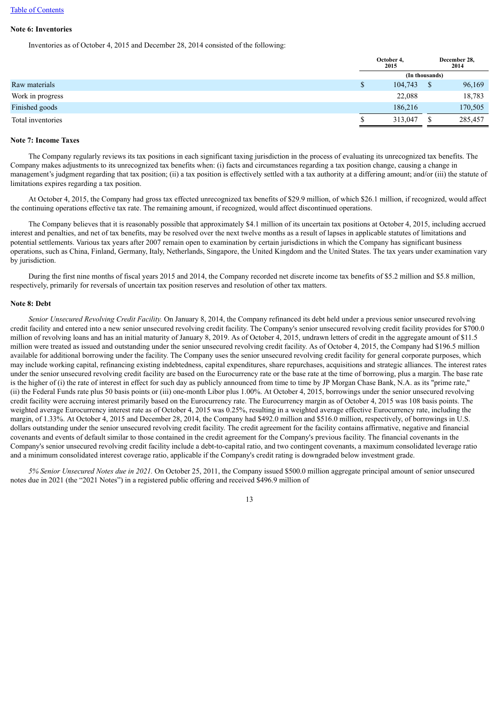# **Note 6: Inventories**

Inventories as of October 4, 2015 and December 28, 2014 consisted of the following:

|                   | October 4,<br>2015 |                | December 28,<br>2014 |
|-------------------|--------------------|----------------|----------------------|
|                   |                    | (In thousands) |                      |
| Raw materials     | 104,743            | -S             | 96,169               |
| Work in progress  | 22,088             |                | 18,783               |
| Finished goods    | 186,216            |                | 170,505              |
| Total inventories | 313,047            |                | 285,457              |

# **Note 7: Income Taxes**

The Company regularly reviews its tax positions in each significant taxing jurisdiction in the process of evaluating its unrecognized tax benefits. The Company makes adjustments to its unrecognized tax benefits when: (i) facts and circumstances regarding a tax position change, causing a change in management's judgment regarding that tax position; (ii) a tax position is effectively settled with a tax authority at a differing amount; and/or (iii) the statute of limitations expires regarding a tax position.

At October 4, 2015, the Company had gross tax effected unrecognized tax benefits of \$29.9 million, of which \$26.1 million, if recognized, would affect the continuing operations effective tax rate. The remaining amount, if recognized, would affect discontinued operations.

The Company believes that it is reasonably possible that approximately \$4.1 million of its uncertain tax positions at October 4, 2015, including accrued interest and penalties, and net of tax benefits, may be resolved over the next twelve months as a result of lapses in applicable statutes of limitations and potential settlements. Various tax years after 2007 remain open to examination by certain jurisdictions in which the Company has significant business operations, such as China, Finland, Germany, Italy, Netherlands, Singapore, the United Kingdom and the United States. The tax years under examination vary by jurisdiction.

During the first nine months of fiscal years 2015 and 2014, the Company recorded net discrete income tax benefits of \$5.2 million and \$5.8 million, respectively, primarily for reversals of uncertain tax position reserves and resolution of other tax matters.

#### **Note 8: Debt**

*Senior Unsecured Revolving Credit Facility.* On January 8, 2014, the Company refinanced its debt held under a previous senior unsecured revolving credit facility and entered into a new senior unsecured revolving credit facility. The Company's senior unsecured revolving credit facility provides for \$700.0 million of revolving loans and has an initial maturity of January 8, 2019. As of October 4, 2015, undrawn letters of credit in the aggregate amount of \$11.5 million were treated as issued and outstanding under the senior unsecured revolving credit facility. As of October 4, 2015, the Company had \$196.5 million available for additional borrowing under the facility. The Company uses the senior unsecured revolving credit facility for general corporate purposes, which may include working capital, refinancing existing indebtedness, capital expenditures, share repurchases, acquisitions and strategic alliances. The interest rates under the senior unsecured revolving credit facility are based on the Eurocurrency rate or the base rate at the time of borrowing, plus a margin. The base rate is the higher of (i) the rate of interest in effect for such day as publicly announced from time to time by JP Morgan Chase Bank, N.A. as its "prime rate," (ii) the Federal Funds rate plus 50 basis points or (iii) one-month Libor plus 1.00%. At October 4, 2015, borrowings under the senior unsecured revolving credit facility were accruing interest primarily based on the Eurocurrency rate. The Eurocurrency margin as of October 4, 2015 was 108 basis points. The weighted average Eurocurrency interest rate as of October 4, 2015 was 0.25%, resulting in a weighted average effective Eurocurrency rate, including the margin, of 1.33%. At October 4, 2015 and December 28, 2014, the Company had \$492.0 million and \$516.0 million, respectively, of borrowings in U.S. dollars outstanding under the senior unsecured revolving credit facility. The credit agreement for the facility contains affirmative, negative and financial covenants and events of default similar to those contained in the credit agreement for the Company's previous facility. The financial covenants in the Company's senior unsecured revolving credit facility include a debt-to-capital ratio, and two contingent covenants, a maximum consolidated leverage ratio and a minimum consolidated interest coverage ratio, applicable if the Company's credit rating is downgraded below investment grade.

*5% Senior Unsecured Notes due in 2021.* On October 25, 2011, the Company issued \$500.0 million aggregate principal amount of senior unsecured notes due in 2021 (the "2021 Notes") in a registered public offering and received \$496.9 million of

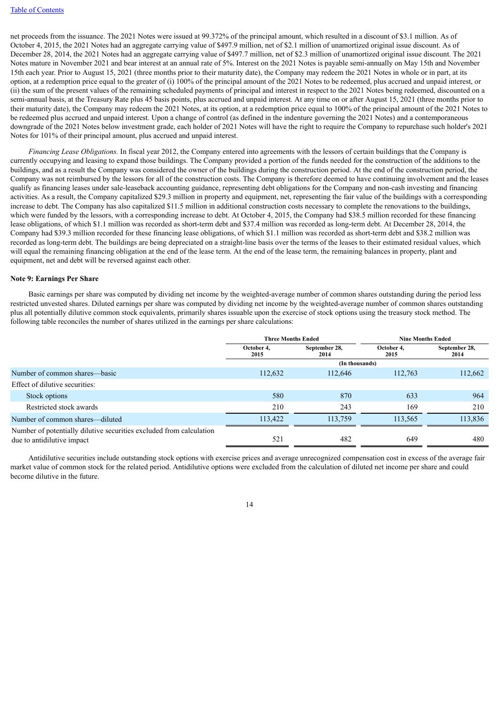net proceeds from the issuance. The 2021 Notes were issued at 99.372% of the principal amount, which resulted in a discount of \$3.1 million. As of October 4, 2015, the 2021 Notes had an aggregate carrying value of \$497.9 million, net of \$2.1 million of unamortized original issue discount. As of December 28, 2014, the 2021 Notes had an aggregate carrying value of \$497.7 million, net of \$2.3 million of unamortized original issue discount. The 2021 Notes mature in November 2021 and bear interest at an annual rate of 5%. Interest on the 2021 Notes is payable semi-annually on May 15th and November 15th each year. Prior to August 15, 2021 (three months prior to their maturity date), the Company may redeem the 2021 Notes in whole or in part, at its option, at a redemption price equal to the greater of (i) 100% of the principal amount of the 2021 Notes to be redeemed, plus accrued and unpaid interest, or (ii) the sum of the present values of the remaining scheduled payments of principal and interest in respect to the 2021 Notes being redeemed, discounted on a semi-annual basis, at the Treasury Rate plus 45 basis points, plus accrued and unpaid interest. At any time on or after August 15, 2021 (three months prior to their maturity date), the Company may redeem the 2021 Notes, at its option, at a redemption price equal to 100% of the principal amount of the 2021 Notes to be redeemed plus accrued and unpaid interest. Upon a change of control (as defined in the indenture governing the 2021 Notes) and a contemporaneous downgrade of the 2021 Notes below investment grade, each holder of 2021 Notes will have the right to require the Company to repurchase such holder's 2021 Notes for 101% of their principal amount, plus accrued and unpaid interest.

*Financing Lease Obligations.* In fiscal year 2012, the Company entered into agreements with the lessors of certain buildings that the Company is currently occupying and leasing to expand those buildings. The Company provided a portion of the funds needed for the construction of the additions to the buildings, and as a result the Company was considered the owner of the buildings during the construction period. At the end of the construction period, the Company was not reimbursed by the lessors for all of the construction costs. The Company is therefore deemed to have continuing involvement and the leases qualify as financing leases under sale-leaseback accounting guidance, representing debt obligations for the Company and non-cash investing and financing activities. As a result, the Company capitalized \$29.3 million in property and equipment, net, representing the fair value of the buildings with a corresponding increase to debt. The Company has also capitalized \$11.5 million in additional construction costs necessary to complete the renovations to the buildings, which were funded by the lessors, with a corresponding increase to debt. At October 4, 2015, the Company had \$38.5 million recorded for these financing lease obligations, of which \$1.1 million was recorded as short-term debt and \$37.4 million was recorded as long-term debt. At December 28, 2014, the Company had \$39.3 million recorded for these financing lease obligations, of which \$1.1 million was recorded as short-term debt and \$38.2 million was recorded as long-term debt. The buildings are being depreciated on a straight-line basis over the terms of the leases to their estimated residual values, which will equal the remaining financing obligation at the end of the lease term. At the end of the lease term, the remaining balances in property, plant and equipment, net and debt will be reversed against each other.

# **Note 9: Earnings Per Share**

Basic earnings per share was computed by dividing net income by the weighted-average number of common shares outstanding during the period less restricted unvested shares. Diluted earnings per share was computed by dividing net income by the weighted-average number of common shares outstanding plus all potentially dilutive common stock equivalents, primarily shares issuable upon the exercise of stock options using the treasury stock method. The following table reconciles the number of shares utilized in the earnings per share calculations:

|                                                                                                   | <b>Three Months Ended</b> |                       |                    | <b>Nine Months Ended</b> |
|---------------------------------------------------------------------------------------------------|---------------------------|-----------------------|--------------------|--------------------------|
|                                                                                                   | October 4.<br>2015        | September 28,<br>2014 | October 4.<br>2015 | September 28,<br>2014    |
|                                                                                                   |                           | (In thousands)        |                    |                          |
| Number of common shares—basic                                                                     | 112,632                   | 112,646               | 112,763            | 112,662                  |
| Effect of dilutive securities:                                                                    |                           |                       |                    |                          |
| Stock options                                                                                     | 580                       | 870                   | 633                | 964                      |
| Restricted stock awards                                                                           | 210                       | 243                   | 169                | 210                      |
| Number of common shares—diluted                                                                   | 113,422                   | 113.759               | 113,565            | 113,836                  |
| Number of potentially dilutive securities excluded from calculation<br>due to antidilutive impact | 521                       | 482                   | 649                | 480                      |

Antidilutive securities include outstanding stock options with exercise prices and average unrecognized compensation cost in excess of the average fair market value of common stock for the related period. Antidilutive options were excluded from the calculation of diluted net income per share and could become dilutive in the future.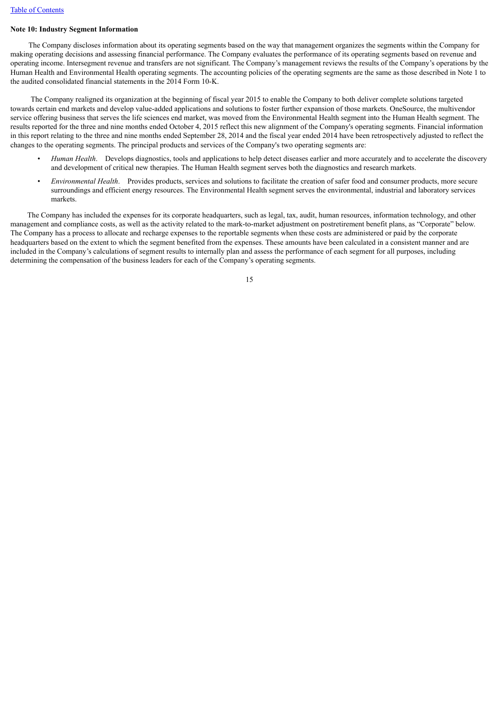# **Note 10: Industry Segment Information**

The Company discloses information about its operating segments based on the way that management organizes the segments within the Company for making operating decisions and assessing financial performance. The Company evaluates the performance of its operating segments based on revenue and operating income. Intersegment revenue and transfers are not significant. The Company's management reviews the results of the Company's operations by the Human Health and Environmental Health operating segments. The accounting policies of the operating segments are the same as those described in Note 1 to the audited consolidated financial statements in the 2014 Form 10-K.

The Company realigned its organization at the beginning of fiscal year 2015 to enable the Company to both deliver complete solutions targeted towards certain end markets and develop value-added applications and solutions to foster further expansion of those markets. OneSource, the multivendor service offering business that serves the life sciences end market, was moved from the Environmental Health segment into the Human Health segment. The results reported for the three and nine months ended October 4, 2015 reflect this new alignment of the Company's operating segments. Financial information in this report relating to the three and nine months ended September 28, 2014 and the fiscal year ended 2014 have been retrospectively adjusted to reflect the changes to the operating segments. The principal products and services of the Company's two operating segments are:

- *Human Health*. Develops diagnostics, tools and applications to help detect diseases earlier and more accurately and to accelerate the discovery and development of critical new therapies. The Human Health segment serves both the diagnostics and research markets.
- *Environmental Health*. Provides products, services and solutions to facilitate the creation of safer food and consumer products, more secure surroundings and efficient energy resources. The Environmental Health segment serves the environmental, industrial and laboratory services markets.

The Company has included the expenses for its corporate headquarters, such as legal, tax, audit, human resources, information technology, and other management and compliance costs, as well as the activity related to the mark-to-market adjustment on postretirement benefit plans, as "Corporate" below. The Company has a process to allocate and recharge expenses to the reportable segments when these costs are administered or paid by the corporate headquarters based on the extent to which the segment benefited from the expenses. These amounts have been calculated in a consistent manner and are included in the Company's calculations of segment results to internally plan and assess the performance of each segment for all purposes, including determining the compensation of the business leaders for each of the Company's operating segments.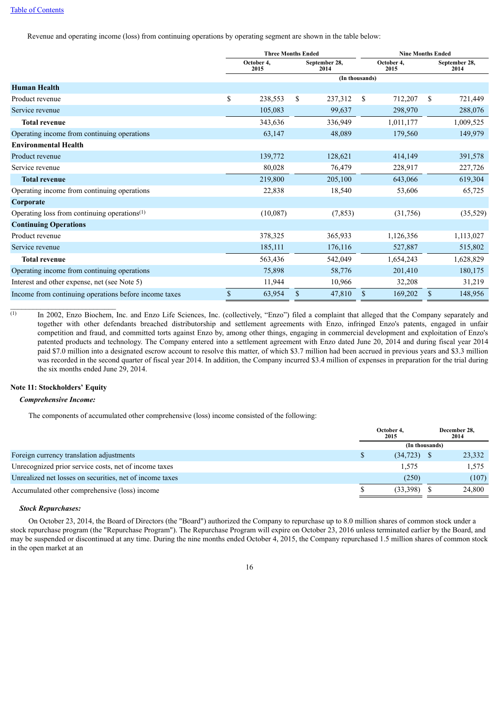Revenue and operating income (loss) from continuing operations by operating segment are shown in the table below:

|                                                          |              | <b>Three Months Ended</b> |    |                       |               | <b>Nine Months Ended</b> |               |                       |  |
|----------------------------------------------------------|--------------|---------------------------|----|-----------------------|---------------|--------------------------|---------------|-----------------------|--|
|                                                          |              | October 4,<br>2015        |    | September 28,<br>2014 |               | October 4,<br>2015       |               | September 28,<br>2014 |  |
|                                                          |              |                           |    | (In thousands)        |               |                          |               |                       |  |
| <b>Human Health</b>                                      |              |                           |    |                       |               |                          |               |                       |  |
| Product revenue                                          | \$           | 238,553                   | \$ | 237,312               | S             | 712,207                  | <sup>\$</sup> | 721,449               |  |
| Service revenue                                          |              | 105,083                   |    | 99,637                |               | 298,970                  |               | 288,076               |  |
| <b>Total revenue</b>                                     |              | 343,636                   |    | 336,949               |               | 1,011,177                |               | 1,009,525             |  |
| Operating income from continuing operations              |              | 63,147                    |    | 48,089                |               | 179,560                  |               | 149,979               |  |
| <b>Environmental Health</b>                              |              |                           |    |                       |               |                          |               |                       |  |
| Product revenue                                          |              | 139,772                   |    | 128,621               |               | 414,149                  |               | 391,578               |  |
| Service revenue                                          |              | 80,028                    |    | 76,479                |               | 228,917                  |               | 227,726               |  |
| <b>Total revenue</b>                                     |              | 219,800                   |    | 205,100               |               | 643,066                  |               | 619,304               |  |
| Operating income from continuing operations              |              | 22,838                    |    | 18,540                |               | 53,606                   |               | 65,725                |  |
| Corporate                                                |              |                           |    |                       |               |                          |               |                       |  |
| Operating loss from continuing operations <sup>(1)</sup> |              | (10,087)                  |    | (7, 853)              |               | (31,756)                 |               | (35, 529)             |  |
| <b>Continuing Operations</b>                             |              |                           |    |                       |               |                          |               |                       |  |
| Product revenue                                          |              | 378,325                   |    | 365,933               |               | 1,126,356                |               | 1,113,027             |  |
| Service revenue                                          |              | 185,111                   |    | 176,116               |               | 527,887                  |               | 515,802               |  |
| <b>Total revenue</b>                                     |              | 563,436                   |    | 542,049               |               | 1,654,243                |               | 1,628,829             |  |
| Operating income from continuing operations              |              | 75,898                    |    | 58,776                |               | 201,410                  |               | 180,175               |  |
| Interest and other expense, net (see Note 5)             |              | 11,944                    |    | 10,966                |               | 32,208                   |               | 31,219                |  |
| Income from continuing operations before income taxes    | $\mathbb{S}$ | 63,954                    | \$ | 47,810                | $\mathcal{S}$ | 169,202                  | \$            | 148,956               |  |

 $\overline{10}$  In 2002, Enzo Biochem, Inc. and Enzo Life Sciences, Inc. (collectively, "Enzo") filed a complaint that alleged that the Company separately and together with other defendants breached distributorship and settlement agreements with Enzo, infringed Enzo's patents, engaged in unfair competition and fraud, and committed torts against Enzo by, among other things, engaging in commercial development and exploitation of Enzo's patented products and technology. The Company entered into a settlement agreement with Enzo dated June 20, 2014 and during fiscal year 2014 paid \$7.0 million into a designated escrow account to resolve this matter, of which \$3.7 million had been accrued in previous years and \$3.3 million was recorded in the second quarter of fiscal year 2014. In addition, the Company incurred \$3.4 million of expenses in preparation for the trial during the six months ended June 29, 2014.

## **Note 11: Stockholders' Equity**

 $\mathcal{L}_\text{max}$ 

# *Comprehensive Income:*

The components of accumulated other comprehensive (loss) income consisted of the following:

|                                                          | October 4.<br>2015 |  | December 28,<br>2014 |
|----------------------------------------------------------|--------------------|--|----------------------|
|                                                          | (In thousands)     |  |                      |
| Foreign currency translation adjustments                 | $(34,723)$ \$      |  | 23,332               |
| Unrecognized prior service costs, net of income taxes    | 1,575              |  | 1,575                |
| Unrealized net losses on securities, net of income taxes | (250)              |  | (107)                |
| Accumulated other comprehensive (loss) income            | $(33,398)$ \$      |  | 24,800               |

# *Stock Repurchases:*

On October 23, 2014, the Board of Directors (the "Board") authorized the Company to repurchase up to 8.0 million shares of common stock under a stock repurchase program (the "Repurchase Program"). The Repurchase Program will expire on October 23, 2016 unless terminated earlier by the Board, and may be suspended or discontinued at any time. During the nine months ended October 4, 2015, the Company repurchased 1.5 million shares of common stock in the open market at an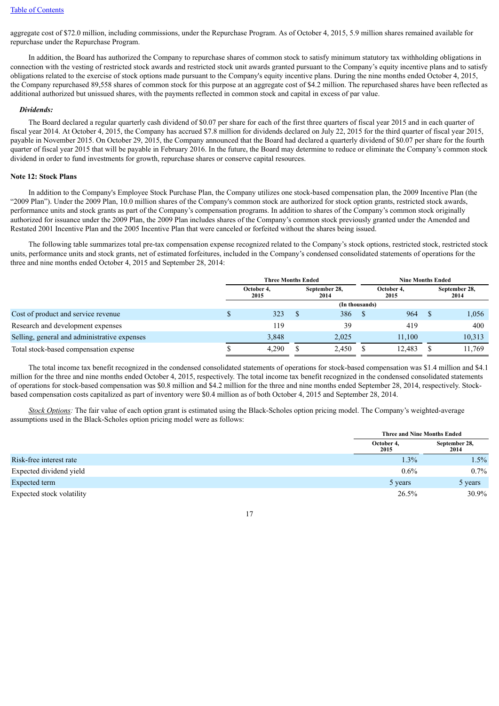aggregate cost of \$72.0 million, including commissions, under the Repurchase Program. As of October 4, 2015, 5.9 million shares remained available for repurchase under the Repurchase Program.

In addition, the Board has authorized the Company to repurchase shares of common stock to satisfy minimum statutory tax withholding obligations in connection with the vesting of restricted stock awards and restricted stock unit awards granted pursuant to the Company's equity incentive plans and to satisfy obligations related to the exercise of stock options made pursuant to the Company's equity incentive plans. During the nine months ended October 4, 2015, the Company repurchased 89,558 shares of common stock for this purpose at an aggregate cost of \$4.2 million. The repurchased shares have been reflected as additional authorized but unissued shares, with the payments reflected in common stock and capital in excess of par value.

#### *Dividends:*

The Board declared a regular quarterly cash dividend of \$0.07 per share for each of the first three quarters of fiscal year 2015 and in each quarter of fiscal year 2014. At October 4, 2015, the Company has accrued \$7.8 million for dividends declared on July 22, 2015 for the third quarter of fiscal year 2015, payable in November 2015. On October 29, 2015, the Company announced that the Board had declared a quarterly dividend of \$0.07 per share for the fourth quarter of fiscal year 2015 that will be payable in February 2016. In the future, the Board may determine to reduce or eliminate the Company's common stock dividend in order to fund investments for growth, repurchase shares or conserve capital resources.

# **Note 12: Stock Plans**

In addition to the Company's Employee Stock Purchase Plan, the Company utilizes one stock-based compensation plan, the 2009 Incentive Plan (the "2009 Plan"). Under the 2009 Plan, 10.0 million shares of the Company's common stock are authorized for stock option grants, restricted stock awards, performance units and stock grants as part of the Company's compensation programs. In addition to shares of the Company's common stock originally authorized for issuance under the 2009 Plan, the 2009 Plan includes shares of the Company's common stock previously granted under the Amended and Restated 2001 Incentive Plan and the 2005 Incentive Plan that were canceled or forfeited without the shares being issued.

The following table summarizes total pre-tax compensation expense recognized related to the Company's stock options, restricted stock, restricted stock units, performance units and stock grants, net of estimated forfeitures, included in the Company's condensed consolidated statements of operations for the three and nine months ended October 4, 2015 and September 28, 2014:

|                                              | <b>Three Months Ended</b> |                    |  | <b>Nine Months Ended</b> |  |                    |  |                       |
|----------------------------------------------|---------------------------|--------------------|--|--------------------------|--|--------------------|--|-----------------------|
|                                              |                           | October 4,<br>2015 |  | September 28,<br>2014    |  | October 4,<br>2015 |  | September 28,<br>2014 |
|                                              |                           |                    |  | (In thousands)           |  |                    |  |                       |
| Cost of product and service revenue          | \$                        | 323                |  | 386                      |  | 964                |  | 1,056                 |
| Research and development expenses            |                           | 119                |  | 39                       |  | 419                |  | 400                   |
| Selling, general and administrative expenses |                           | 3.848              |  | 2.025                    |  | 11.100             |  | 10,313                |
| Total stock-based compensation expense       |                           | 4.290              |  | 2,450                    |  | 12.483             |  | 11,769                |

The total income tax benefit recognized in the condensed consolidated statements of operations for stock-based compensation was \$1.4 million and \$4.1 million for the three and nine months ended October 4, 2015, respectively. The total income tax benefit recognized in the condensed consolidated statements of operations for stock-based compensation was \$0.8 million and \$4.2 million for the three and nine months ended September 28, 2014, respectively. Stockbased compensation costs capitalized as part of inventory were \$0.4 million as of both October 4, 2015 and September 28, 2014.

*Stock Options:* The fair value of each option grant is estimated using the Black-Scholes option pricing model. The Company's weighted-average assumptions used in the Black-Scholes option pricing model were as follows:

|                           | <b>Three and Nine Months Ended</b> |                       |
|---------------------------|------------------------------------|-----------------------|
|                           | October 4,<br>2015                 | September 28,<br>2014 |
| Risk-free interest rate   | $1.3\%$                            | $1.5\%$               |
| Expected dividend yield   | $0.6\%$                            | $0.7\%$               |
| Expected term             | 5 years                            | 5 years               |
| Expected stock volatility | 26.5%                              | 30.9%                 |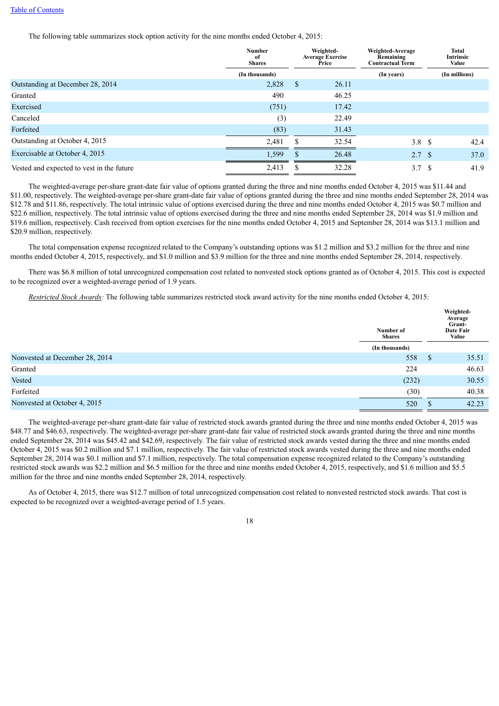The following table summarizes stock option activity for the nine months ended October 4, 2015:

|                                           | <b>Number</b><br>of<br><b>Shares</b> |                    | Weighted-<br><b>Average Exercise</b><br>Price | Weighted-Average<br>Remaining<br><b>Contractual Term</b> |      | <b>Total</b><br>Intrinsic<br>Value |
|-------------------------------------------|--------------------------------------|--------------------|-----------------------------------------------|----------------------------------------------------------|------|------------------------------------|
|                                           | (In thousands)                       |                    |                                               | (In years)                                               |      | (In millions)                      |
| Outstanding at December 28, 2014          | 2,828                                | $\mathbf{\hat{s}}$ | 26.11                                         |                                                          |      |                                    |
| Granted                                   | 490                                  |                    | 46.25                                         |                                                          |      |                                    |
| Exercised                                 | (751)                                |                    | 17.42                                         |                                                          |      |                                    |
| Canceled                                  | (3)                                  |                    | 22.49                                         |                                                          |      |                                    |
| Forfeited                                 | (83)                                 |                    | 31.43                                         |                                                          |      |                                    |
| Outstanding at October 4, 2015            | 2,481                                |                    | 32.54                                         | 3.8                                                      | - \$ | 42.4                               |
| Exercisable at October 4, 2015            | 1,599                                | ъ                  | 26.48                                         | 2.7 <sup>°</sup>                                         |      | 37.0                               |
| Vested and expected to vest in the future | 2,413                                | S                  | 32.28                                         | 3.7                                                      | - \$ | 41.9                               |
|                                           |                                      |                    |                                               |                                                          |      |                                    |

The weighted-average per-share grant-date fair value of options granted during the three and nine months ended October 4, 2015 was \$11.44 and \$11.00, respectively. The weighted-average per-share grant-date fair value of options granted during the three and nine months ended September 28, 2014 was \$12.78 and \$11.86, respectively. The total intrinsic value of options exercised during the three and nine months ended October 4, 2015 was \$0.7 million and \$22.6 million, respectively. The total intrinsic value of options exercised during the three and nine months ended September 28, 2014 was \$1.9 million and \$19.6 million, respectively. Cash received from option exercises for the nine months ended October 4, 2015 and September 28, 2014 was \$13.1 million and \$20.9 million, respectively.

The total compensation expense recognized related to the Company's outstanding options was \$1.2 million and \$3.2 million for the three and nine months ended October 4, 2015, respectively, and \$1.0 million and \$3.9 million for the three and nine months ended September 28, 2014, respectively.

There was \$6.8 million of total unrecognized compensation cost related to nonvested stock options granted as of October 4, 2015. This cost is expected to be recognized over a weighted-average period of 1.9 years.

*Restricted Stock Awards:* The following table summarizes restricted stock award activity for the nine months ended October 4, 2015:

|                                | Number of<br><b>Shares</b> |   | Weighted-<br>Average<br>Grant-<br>Date Fair<br>Value |
|--------------------------------|----------------------------|---|------------------------------------------------------|
|                                | (In thousands)             |   |                                                      |
| Nonvested at December 28, 2014 | 558                        | S | 35.51                                                |
| Granted                        | 224                        |   | 46.63                                                |
| Vested                         | (232)                      |   | 30.55                                                |
| Forfeited                      | (30)                       |   | 40.38                                                |
| Nonvested at October 4, 2015   | 520                        | S | 42.23                                                |

The weighted-average per-share grant-date fair value of restricted stock awards granted during the three and nine months ended October 4, 2015 was \$48.77 and \$46.63, respectively. The weighted-average per-share grant-date fair value of restricted stock awards granted during the three and nine months ended September 28, 2014 was \$45.42 and \$42.69, respectively. The fair value of restricted stock awards vested during the three and nine months ended October 4, 2015 was \$0.2 million and \$7.1 million, respectively. The fair value of restricted stock awards vested during the three and nine months ended September 28, 2014 was \$0.1 million and \$7.1 million, respectively. The total compensation expense recognized related to the Company's outstanding restricted stock awards was \$2.2 million and \$6.5 million for the three and nine months ended October 4, 2015, respectively, and \$1.6 million and \$5.5 million for the three and nine months ended September 28, 2014, respectively.

As of October 4, 2015, there was \$12.7 million of total unrecognized compensation cost related to nonvested restricted stock awards. That cost is expected to be recognized over a weighted-average period of 1.5 years.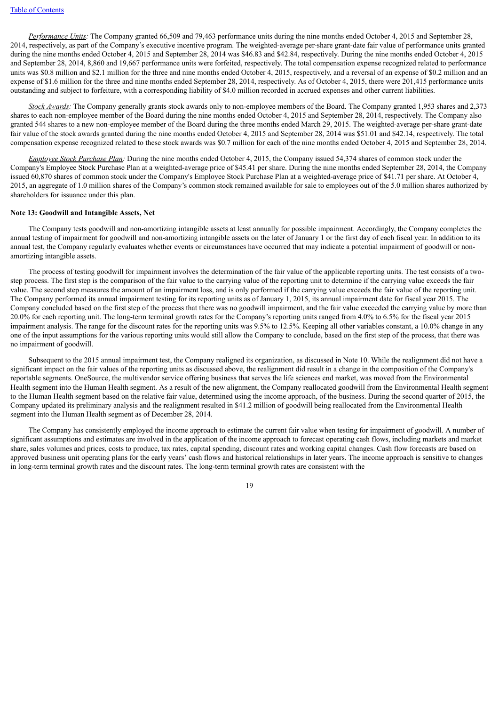*Performance Units:* The Company granted 66,509 and 79,463 performance units during the nine months ended October 4, 2015 and September 28, 2014, respectively, as part of the Company's executive incentive program. The weighted-average per-share grant-date fair value of performance units granted during the nine months ended October 4, 2015 and September 28, 2014 was \$46.83 and \$42.84, respectively. During the nine months ended October 4, 2015 and September 28, 2014, 8,860 and 19,667 performance units were forfeited, respectively. The total compensation expense recognized related to performance units was \$0.8 million and \$2.1 million for the three and nine months ended October 4, 2015, respectively, and a reversal of an expense of \$0.2 million and an expense of \$1.6 million for the three and nine months ended September 28, 2014, respectively. As of October 4, 2015, there were 201,415 performance units outstanding and subject to forfeiture, with a corresponding liability of \$4.0 million recorded in accrued expenses and other current liabilities.

*Stock Awards:* The Company generally grants stock awards only to non-employee members of the Board. The Company granted 1,953 shares and 2,373 shares to each non-employee member of the Board during the nine months ended October 4, 2015 and September 28, 2014, respectively. The Company also granted 544 shares to a new non-employee member of the Board during the three months ended March 29, 2015. The weighted-average per-share grant-date fair value of the stock awards granted during the nine months ended October 4, 2015 and September 28, 2014 was \$51.01 and \$42.14, respectively. The total compensation expense recognized related to these stock awards was \$0.7 million for each of the nine months ended October 4, 2015 and September 28, 2014.

*Employee Stock Purchase Plan:* During the nine months ended October 4, 2015, the Company issued 54,374 shares of common stock under the Company's Employee Stock Purchase Plan at a weighted-average price of \$45.41 per share. During the nine months ended September 28, 2014, the Company issued 60,870 shares of common stock under the Company's Employee Stock Purchase Plan at a weighted-average price of \$41.71 per share. At October 4, 2015, an aggregate of 1.0 million shares of the Company's common stock remained available for sale to employees out of the 5.0 million shares authorized by shareholders for issuance under this plan.

#### **Note 13: Goodwill and Intangible Assets, Net**

The Company tests goodwill and non-amortizing intangible assets at least annually for possible impairment. Accordingly, the Company completes the annual testing of impairment for goodwill and non-amortizing intangible assets on the later of January 1 or the first day of each fiscal year. In addition to its annual test, the Company regularly evaluates whether events or circumstances have occurred that may indicate a potential impairment of goodwill or nonamortizing intangible assets.

The process of testing goodwill for impairment involves the determination of the fair value of the applicable reporting units. The test consists of a twostep process. The first step is the comparison of the fair value to the carrying value of the reporting unit to determine if the carrying value exceeds the fair value. The second step measures the amount of an impairment loss, and is only performed if the carrying value exceeds the fair value of the reporting unit. The Company performed its annual impairment testing for its reporting units as of January 1, 2015, its annual impairment date for fiscal year 2015. The Company concluded based on the first step of the process that there was no goodwill impairment, and the fair value exceeded the carrying value by more than 20.0% for each reporting unit. The long-term terminal growth rates for the Company's reporting units ranged from 4.0% to 6.5% for the fiscal year 2015 impairment analysis. The range for the discount rates for the reporting units was 9.5% to 12.5%. Keeping all other variables constant, a 10.0% change in any one of the input assumptions for the various reporting units would still allow the Company to conclude, based on the first step of the process, that there was no impairment of goodwill.

Subsequent to the 2015 annual impairment test, the Company realigned its organization, as discussed in Note 10. While the realignment did not have a significant impact on the fair values of the reporting units as discussed above, the realignment did result in a change in the composition of the Company's reportable segments. OneSource, the multivendor service offering business that serves the life sciences end market, was moved from the Environmental Health segment into the Human Health segment. As a result of the new alignment, the Company reallocated goodwill from the Environmental Health segment to the Human Health segment based on the relative fair value, determined using the income approach, of the business. During the second quarter of 2015, the Company updated its preliminary analysis and the realignment resulted in \$41.2 million of goodwill being reallocated from the Environmental Health segment into the Human Health segment as of December 28, 2014.

The Company has consistently employed the income approach to estimate the current fair value when testing for impairment of goodwill. A number of significant assumptions and estimates are involved in the application of the income approach to forecast operating cash flows, including markets and market share, sales volumes and prices, costs to produce, tax rates, capital spending, discount rates and working capital changes. Cash flow forecasts are based on approved business unit operating plans for the early years' cash flows and historical relationships in later years. The income approach is sensitive to changes in long-term terminal growth rates and the discount rates. The long-term terminal growth rates are consistent with the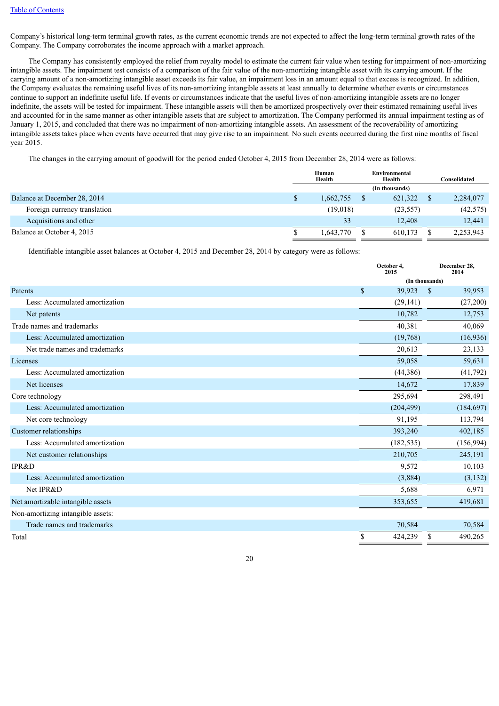Company's historical long-term terminal growth rates, as the current economic trends are not expected to affect the long-term terminal growth rates of the Company. The Company corroborates the income approach with a market approach.

The Company has consistently employed the relief from royalty model to estimate the current fair value when testing for impairment of non-amortizing intangible assets. The impairment test consists of a comparison of the fair value of the non-amortizing intangible asset with its carrying amount. If the carrying amount of a non-amortizing intangible asset exceeds its fair value, an impairment loss in an amount equal to that excess is recognized*.* In addition, the Company evaluates the remaining useful lives of its non-amortizing intangible assets at least annually to determine whether events or circumstances continue to support an indefinite useful life. If events or circumstances indicate that the useful lives of non-amortizing intangible assets are no longer indefinite, the assets will be tested for impairment. These intangible assets will then be amortized prospectively over their estimated remaining useful lives and accounted for in the same manner as other intangible assets that are subject to amortization. The Company performed its annual impairment testing as of January 1, 2015, and concluded that there was no impairment of non-amortizing intangible assets. An assessment of the recoverability of amortizing intangible assets takes place when events have occurred that may give rise to an impairment. No such events occurred during the first nine months of fiscal year 2015.

The changes in the carrying amount of goodwill for the period ended October 4, 2015 from December 28, 2014 were as follows:

|                              | Human<br>Health | Environmental<br>Health | C <b>onsolidated</b> |
|------------------------------|-----------------|-------------------------|----------------------|
|                              |                 | (In thousands)          |                      |
| Balance at December 28, 2014 | 1,662,755       | 621,322                 | 2,284,077            |
| Foreign currency translation | (19,018)        | (23, 557)               | (42, 575)            |
| Acquisitions and other       | 33              | 12.408                  | 12,441               |
| Balance at October 4, 2015   | 1,643,770       | 610,173                 | 2,253,943            |

Identifiable intangible asset balances at October 4, 2015 and December 28, 2014 by category were as follows:

|                                   | October 4,<br>2015 |                | December 28,<br>2014 |
|-----------------------------------|--------------------|----------------|----------------------|
|                                   |                    | (In thousands) |                      |
| Patents                           | \$<br>39,923       | - S            | 39,953               |
| Less: Accumulated amortization    | (29, 141)          |                | (27,200)             |
| Net patents                       | 10,782             |                | 12,753               |
| Trade names and trademarks        | 40,381             |                | 40,069               |
| Less: Accumulated amortization    | (19,768)           |                | (16,936)             |
| Net trade names and trademarks    | 20,613             |                | 23,133               |
| Licenses                          | 59,058             |                | 59,631               |
| Less: Accumulated amortization    | (44, 386)          |                | (41, 792)            |
| Net licenses                      | 14,672             |                | 17,839               |
| Core technology                   | 295,694            |                | 298,491              |
| Less: Accumulated amortization    | (204, 499)         |                | (184, 697)           |
| Net core technology               | 91,195             |                | 113,794              |
| Customer relationships            | 393,240            |                | 402,185              |
| Less: Accumulated amortization    | (182, 535)         |                | (156,994)            |
| Net customer relationships        | 210,705            |                | 245,191              |
| <b>IPR&amp;D</b>                  |                    | 9,572          | 10,103               |
| Less: Accumulated amortization    |                    | (3,884)        | (3, 132)             |
| Net IPR&D                         |                    | 5,688          | 6,971                |
| Net amortizable intangible assets | 353,655            |                | 419,681              |
| Non-amortizing intangible assets: |                    |                |                      |
| Trade names and trademarks        | 70,584             |                | 70,584               |
| Total                             | \$<br>424,239      | \$             | 490,265              |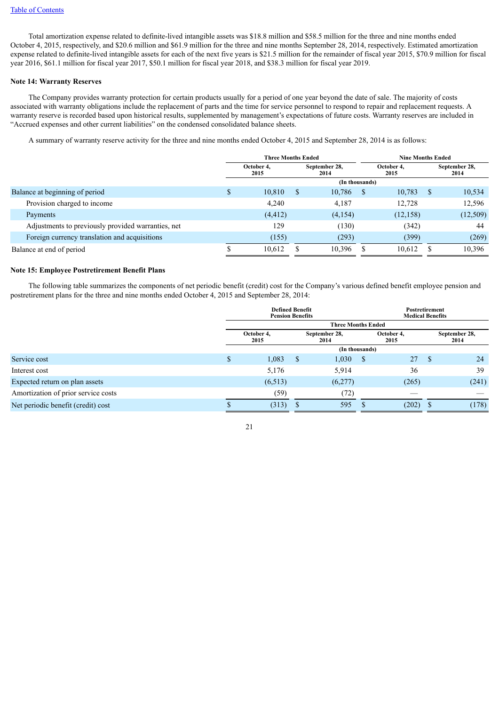Total amortization expense related to definite-lived intangible assets was \$18.8 million and \$58.5 million for the three and nine months ended October 4, 2015, respectively, and \$20.6 million and \$61.9 million for the three and nine months September 28, 2014, respectively. Estimated amortization expense related to definite-lived intangible assets for each of the next five years is \$21.5 million for the remainder of fiscal year 2015, \$70.9 million for fiscal year 2016, \$61.1 million for fiscal year 2017, \$50.1 million for fiscal year 2018, and \$38.3 million for fiscal year 2019.

# **Note 14: Warranty Reserves**

The Company provides warranty protection for certain products usually for a period of one year beyond the date of sale. The majority of costs associated with warranty obligations include the replacement of parts and the time for service personnel to respond to repair and replacement requests. A warranty reserve is recorded based upon historical results, supplemented by management's expectations of future costs. Warranty reserves are included in "Accrued expenses and other current liabilities" on the condensed consolidated balance sheets.

A summary of warranty reserve activity for the three and nine months ended October 4, 2015 and September 28, 2014 is as follows:

|                                                    |              | <b>Three Months Ended</b> |   |                       |   | <b>Nine Months Ended</b> |          |                       |  |
|----------------------------------------------------|--------------|---------------------------|---|-----------------------|---|--------------------------|----------|-----------------------|--|
|                                                    |              | October 4,<br>2015        |   | September 28,<br>2014 |   | October 4,<br>2015       |          | September 28,<br>2014 |  |
|                                                    |              |                           |   | (In thousands)        |   |                          |          |                       |  |
| Balance at beginning of period                     | $\mathbb{S}$ | 10,810                    | S | 10,786                | S | 10,783                   | <b>S</b> | 10,534                |  |
| Provision charged to income                        |              | 4,240                     |   | 4,187                 |   | 12,728                   |          | 12,596                |  |
| Payments                                           |              | (4, 412)                  |   | (4,154)               |   | (12, 158)                |          | (12, 509)             |  |
| Adjustments to previously provided warranties, net |              | 129                       |   | (130)                 |   | (342)                    |          | 44                    |  |
| Foreign currency translation and acquisitions      |              | (155)                     |   | (293)                 |   | (399)                    |          | (269)                 |  |
| Balance at end of period                           |              | 10,612                    |   | 10,396                |   | 10,612                   |          | 10,396                |  |
|                                                    |              |                           |   |                       |   |                          |          |                       |  |

# **Note 15: Employee Postretirement Benefit Plans**

The following table summarizes the components of net periodic benefit (credit) cost for the Company's various defined benefit employee pension and postretirement plans for the three and nine months ended October 4, 2015 and September 28, 2014:

|                                     | <b>Defined Benefit</b><br><b>Postretirement</b><br><b>Pension Benefits</b><br><b>Medical Benefits</b> |                    |    |                           |    |                    |    |                       |
|-------------------------------------|-------------------------------------------------------------------------------------------------------|--------------------|----|---------------------------|----|--------------------|----|-----------------------|
|                                     |                                                                                                       |                    |    | <b>Three Months Ended</b> |    |                    |    |                       |
|                                     |                                                                                                       | October 4,<br>2015 |    | September 28,<br>2014     |    | October 4,<br>2015 |    | September 28,<br>2014 |
|                                     |                                                                                                       |                    |    | (In thousands)            |    |                    |    |                       |
| Service cost                        | \$                                                                                                    | 1,083              | -S | 1,030                     | S  | 27                 | -S | 24                    |
| Interest cost                       |                                                                                                       | 5,176              |    | 5,914                     |    | 36                 |    | 39                    |
| Expected return on plan assets      |                                                                                                       | (6,513)            |    | (6,277)                   |    | (265)              |    | (241)                 |
| Amortization of prior service costs |                                                                                                       | (59)               |    | (72)                      |    |                    |    |                       |
| Net periodic benefit (credit) cost  |                                                                                                       | (313)              |    | 595                       | -S | (202)              | -8 | (178)                 |

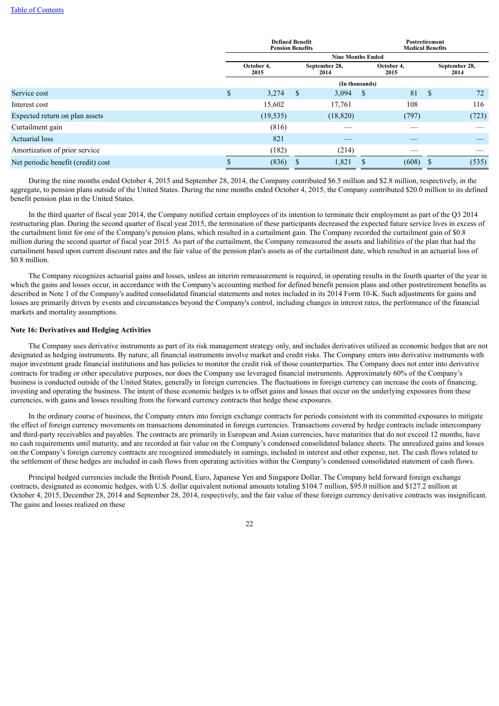|                                    | <b>Defined Benefit</b><br><b>Pension Benefits</b> |    |                          |               |                    | Postretirement<br><b>Medical Benefits</b> |                       |
|------------------------------------|---------------------------------------------------|----|--------------------------|---------------|--------------------|-------------------------------------------|-----------------------|
|                                    |                                                   |    | <b>Nine Months Ended</b> |               |                    |                                           |                       |
|                                    | October 4,<br>2015                                |    | September 28,<br>2014    |               | October 4,<br>2015 |                                           | September 28,<br>2014 |
|                                    |                                                   |    | (In thousands)           |               |                    |                                           |                       |
| Service cost                       | \$<br>3,274                                       | -S | 3,094                    | <sup>\$</sup> | 81                 | -S                                        | 72                    |
| Interest cost                      | 15,602                                            |    | 17,761                   |               | 108                |                                           | 116                   |
| Expected return on plan assets     | (19, 535)                                         |    | (18, 820)                |               | (797)              |                                           | (723)                 |
| Curtailment gain                   | (816)                                             |    |                          |               |                    |                                           |                       |
| <b>Actuarial loss</b>              | 821                                               |    |                          |               |                    |                                           |                       |
| Amortization of prior service      | (182)                                             |    | (214)                    |               |                    |                                           |                       |
| Net periodic benefit (credit) cost | (836)                                             |    | 1,821                    |               | (608)              |                                           | (535)                 |

During the nine months ended October 4, 2015 and September 28, 2014, the Company contributed \$6.5 million and \$2.8 million, respectively, in the aggregate, to pension plans outside of the United States. During the nine months ended October 4, 2015, the Company contributed \$20.0 million to its defined benefit pension plan in the United States.

In the third quarter of fiscal year 2014, the Company notified certain employees of its intention to terminate their employment as part of the Q3 2014 restructuring plan. During the second quarter of fiscal year 2015, the termination of these participants decreased the expected future service lives in excess of the curtailment limit for one of the Company's pension plans, which resulted in a curtailment gain. The Company recorded the curtailment gain of \$0.8 million during the second quarter of fiscal year 2015. As part of the curtailment, the Company remeasured the assets and liabilities of the plan that had the curtailment based upon current discount rates and the fair value of the pension plan's assets as of the curtailment date, which resulted in an actuarial loss of \$0.8 million.

The Company recognizes actuarial gains and losses, unless an interim remeasurement is required, in operating results in the fourth quarter of the year in which the gains and losses occur, in accordance with the Company's accounting method for defined benefit pension plans and other postretirement benefits as described in Note 1 of the Company's audited consolidated financial statements and notes included in its 2014 Form 10-K. Such adjustments for gains and losses are primarily driven by events and circumstances beyond the Company's control, including changes in interest rates, the performance of the financial markets and mortality assumptions.

#### **Note 16: Derivatives and Hedging Activities**

The Company uses derivative instruments as part of its risk management strategy only, and includes derivatives utilized as economic hedges that are not designated as hedging instruments. By nature, all financial instruments involve market and credit risks. The Company enters into derivative instruments with major investment grade financial institutions and has policies to monitor the credit risk of those counterparties. The Company does not enter into derivative contracts for trading or other speculative purposes, nor does the Company use leveraged financial instruments. Approximately 60% of the Company's business is conducted outside of the United States, generally in foreign currencies. The fluctuations in foreign currency can increase the costs of financing, investing and operating the business. The intent of these economic hedges is to offset gains and losses that occur on the underlying exposures from these currencies, with gains and losses resulting from the forward currency contracts that hedge these exposures.

In the ordinary course of business, the Company enters into foreign exchange contracts for periods consistent with its committed exposures to mitigate the effect of foreign currency movements on transactions denominated in foreign currencies. Transactions covered by hedge contracts include intercompany and third-party receivables and payables. The contracts are primarily in European and Asian currencies, have maturities that do not exceed 12 months, have no cash requirements until maturity, and are recorded at fair value on the Company's condensed consolidated balance sheets. The unrealized gains and losses on the Company's foreign currency contracts are recognized immediately in earnings, included in interest and other expense, net. The cash flows related to the settlement of these hedges are included in cash flows from operating activities within the Company's condensed consolidated statement of cash flows.

Principal hedged currencies include the British Pound, Euro, Japanese Yen and Singapore Dollar. The Company held forward foreign exchange contracts, designated as economic hedges, with U.S. dollar equivalent notional amounts totaling \$104.7 million, \$95.0 million and \$127.2 million at October 4, 2015, December 28, 2014 and September 28, 2014, respectively, and the fair value of these foreign currency derivative contracts was insignificant. The gains and losses realized on these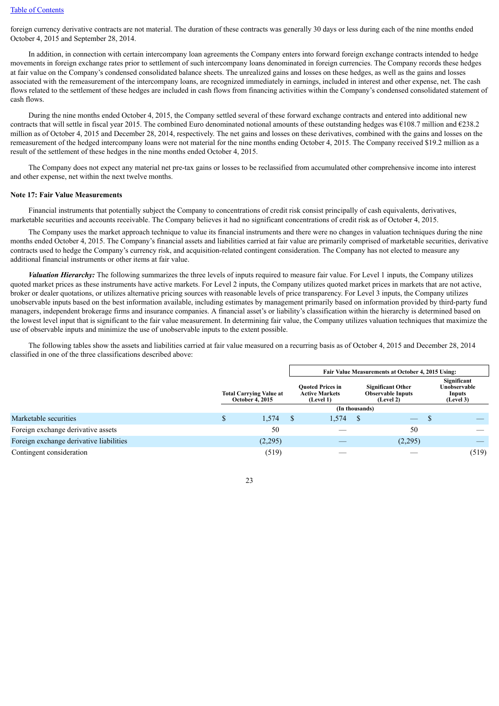foreign currency derivative contracts are not material. The duration of these contracts was generally 30 days or less during each of the nine months ended October 4, 2015 and September 28, 2014.

In addition, in connection with certain intercompany loan agreements the Company enters into forward foreign exchange contracts intended to hedge movements in foreign exchange rates prior to settlement of such intercompany loans denominated in foreign currencies. The Company records these hedges at fair value on the Company's condensed consolidated balance sheets. The unrealized gains and losses on these hedges, as well as the gains and losses associated with the remeasurement of the intercompany loans, are recognized immediately in earnings, included in interest and other expense, net. The cash flows related to the settlement of these hedges are included in cash flows from financing activities within the Company's condensed consolidated statement of cash flows.

During the nine months ended October 4, 2015, the Company settled several of these forward exchange contracts and entered into additional new contracts that will settle in fiscal year 2015. The combined Euro denominated notional amounts of these outstanding hedges was €108.7 million and €238.2 million as of October 4, 2015 and December 28, 2014, respectively. The net gains and losses on these derivatives, combined with the gains and losses on the remeasurement of the hedged intercompany loans were not material for the nine months ending October 4, 2015. The Company received \$19.2 million as a result of the settlement of these hedges in the nine months ended October 4, 2015.

The Company does not expect any material net pre-tax gains or losses to be reclassified from accumulated other comprehensive income into interest and other expense, net within the next twelve months.

#### **Note 17: Fair Value Measurements**

Financial instruments that potentially subject the Company to concentrations of credit risk consist principally of cash equivalents, derivatives, marketable securities and accounts receivable. The Company believes it had no significant concentrations of credit risk as of October 4, 2015.

The Company uses the market approach technique to value its financial instruments and there were no changes in valuation techniques during the nine months ended October 4, 2015. The Company's financial assets and liabilities carried at fair value are primarily comprised of marketable securities, derivative contracts used to hedge the Company's currency risk, and acquisition-related contingent consideration. The Company has not elected to measure any additional financial instruments or other items at fair value.

*Valuation Hierarchy:* The following summarizes the three levels of inputs required to measure fair value. For Level 1 inputs, the Company utilizes quoted market prices as these instruments have active markets. For Level 2 inputs, the Company utilizes quoted market prices in markets that are not active, broker or dealer quotations, or utilizes alternative pricing sources with reasonable levels of price transparency. For Level 3 inputs, the Company utilizes unobservable inputs based on the best information available, including estimates by management primarily based on information provided by third-party fund managers, independent brokerage firms and insurance companies. A financial asset's or liability's classification within the hierarchy is determined based on the lowest level input that is significant to the fair value measurement. In determining fair value, the Company utilizes valuation techniques that maximize the use of observable inputs and minimize the use of unobservable inputs to the extent possible.

The following tables show the assets and liabilities carried at fair value measured on a recurring basis as of October 4, 2015 and December 28, 2014 classified in one of the three classifications described above:

|                                         |   |                                                          | Fair Value Measurements at October 4, 2015 Using: |                                                               |    |                                                                   |   |                                                    |  |
|-----------------------------------------|---|----------------------------------------------------------|---------------------------------------------------|---------------------------------------------------------------|----|-------------------------------------------------------------------|---|----------------------------------------------------|--|
|                                         |   | <b>Total Carrying Value at</b><br><b>October 4, 2015</b> |                                                   | <b>Ouoted Prices in</b><br><b>Active Markets</b><br>(Level 1) |    | <b>Significant Other</b><br><b>Observable Inputs</b><br>(Level 2) |   | Significant<br>Unobservable<br>Inputs<br>(Level 3) |  |
|                                         |   |                                                          |                                                   | (In thousands)                                                |    |                                                                   |   |                                                    |  |
| Marketable securities                   | S | 1,574                                                    | -S                                                | 1,574                                                         | -S | $\overline{\phantom{m}}$                                          | S |                                                    |  |
| Foreign exchange derivative assets      |   | 50                                                       |                                                   |                                                               |    | 50                                                                |   |                                                    |  |
| Foreign exchange derivative liabilities |   | (2,295)                                                  |                                                   |                                                               |    | (2,295)                                                           |   |                                                    |  |
| Contingent consideration                |   | (519)                                                    |                                                   |                                                               |    |                                                                   |   | (519)                                              |  |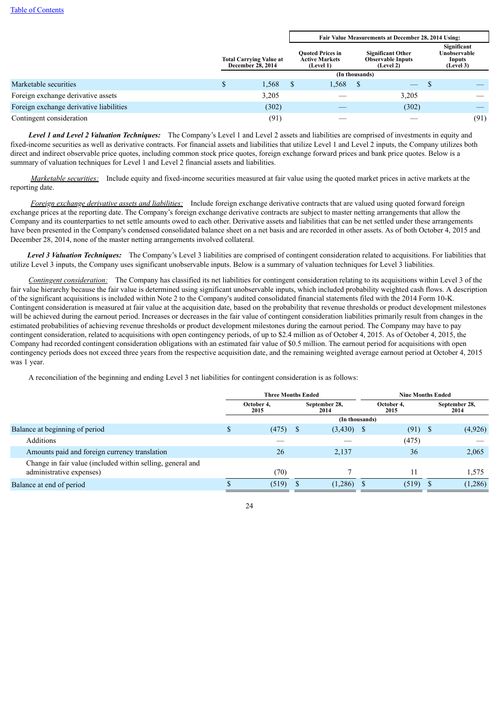|                                         |                                                            |              | Fair Value Measurements at December 28, 2014 Using:           |                |                                                                   |    |                                                    |
|-----------------------------------------|------------------------------------------------------------|--------------|---------------------------------------------------------------|----------------|-------------------------------------------------------------------|----|----------------------------------------------------|
|                                         | <b>Total Carrying Value at</b><br><b>December 28, 2014</b> |              | <b>Ouoted Prices in</b><br><b>Active Markets</b><br>(Level 1) |                | <b>Significant Other</b><br><b>Observable Inputs</b><br>(Level 2) |    | Significant<br>Unobservable<br>Inputs<br>(Level 3) |
|                                         |                                                            |              |                                                               | (In thousands) |                                                                   |    |                                                    |
| Marketable securities                   | 1,568                                                      | <sup>S</sup> | 1,568                                                         | -S             | $\overline{\phantom{0}}$                                          | -S |                                                    |
| Foreign exchange derivative assets      | 3,205                                                      |              |                                                               |                | 3,205                                                             |    |                                                    |
| Foreign exchange derivative liabilities | (302)                                                      |              |                                                               |                | (302)                                                             |    |                                                    |
| Contingent consideration                | (91)                                                       |              |                                                               |                |                                                                   |    | (91)                                               |

*Level 1 and Level 2 Valuation Techniques:* The Company's Level 1 and Level 2 assets and liabilities are comprised of investments in equity and fixed-income securities as well as derivative contracts. For financial assets and liabilities that utilize Level 1 and Level 2 inputs, the Company utilizes both direct and indirect observable price quotes, including common stock price quotes, foreign exchange forward prices and bank price quotes. Below is a summary of valuation techniques for Level 1 and Level 2 financial assets and liabilities.

*Marketable securities:* Include equity and fixed-income securities measured at fair value using the quoted market prices in active markets at the reporting date.

*Foreign exchange derivative assets and liabilities:* Include foreign exchange derivative contracts that are valued using quoted forward foreign exchange prices at the reporting date. The Company's foreign exchange derivative contracts are subject to master netting arrangements that allow the Company and its counterparties to net settle amounts owed to each other. Derivative assets and liabilities that can be net settled under these arrangements have been presented in the Company's condensed consolidated balance sheet on a net basis and are recorded in other assets. As of both October 4, 2015 and December 28, 2014, none of the master netting arrangements involved collateral.

*Level 3 Valuation Techniques:* The Company's Level 3 liabilities are comprised of contingent consideration related to acquisitions. For liabilities that utilize Level 3 inputs, the Company uses significant unobservable inputs. Below is a summary of valuation techniques for Level 3 liabilities.

*Contingent consideration:* The Company has classified its net liabilities for contingent consideration relating to its acquisitions within Level 3 of the fair value hierarchy because the fair value is determined using significant unobservable inputs, which included probability weighted cash flows. A description of the significant acquisitions is included within Note 2 to the Company's audited consolidated financial statements filed with the 2014 Form 10-K. Contingent consideration is measured at fair value at the acquisition date, based on the probability that revenue thresholds or product development milestones will be achieved during the earnout period. Increases or decreases in the fair value of contingent consideration liabilities primarily result from changes in the estimated probabilities of achieving revenue thresholds or product development milestones during the earnout period. The Company may have to pay contingent consideration, related to acquisitions with open contingency periods, of up to \$2.4 million as of October 4, 2015. As of October 4, 2015, the Company had recorded contingent consideration obligations with an estimated fair value of \$0.5 million. The earnout period for acquisitions with open contingency periods does not exceed three years from the respective acquisition date, and the remaining weighted average earnout period at October 4, 2015 was 1 year.

A reconciliation of the beginning and ending Level 3 net liabilities for contingent consideration is as follows:

|                                                                                        |                    | <b>Three Months Ended</b> |   |                       |                    | <b>Nine Months Ended</b> |  |                       |  |
|----------------------------------------------------------------------------------------|--------------------|---------------------------|---|-----------------------|--------------------|--------------------------|--|-----------------------|--|
|                                                                                        | October 4.<br>2015 |                           |   | September 28,<br>2014 | October 4.<br>2015 |                          |  | September 28,<br>2014 |  |
|                                                                                        |                    |                           |   | (In thousands)        |                    |                          |  |                       |  |
| Balance at beginning of period                                                         | S                  | (475)                     | S | $(3,430)$ \$          |                    | $(91)$ \$                |  | (4,926)               |  |
| Additions                                                                              |                    |                           |   |                       |                    | (475)                    |  |                       |  |
| Amounts paid and foreign currency translation                                          |                    | 26                        |   | 2,137                 |                    | 36                       |  | 2,065                 |  |
| Change in fair value (included within selling, general and<br>administrative expenses) |                    | (70)                      |   |                       |                    |                          |  | 1,575                 |  |
| Balance at end of period                                                               |                    | (519)                     |   | (1,286)               | - \$               | (519) S                  |  | (1,286)               |  |
|                                                                                        |                    |                           |   |                       |                    |                          |  |                       |  |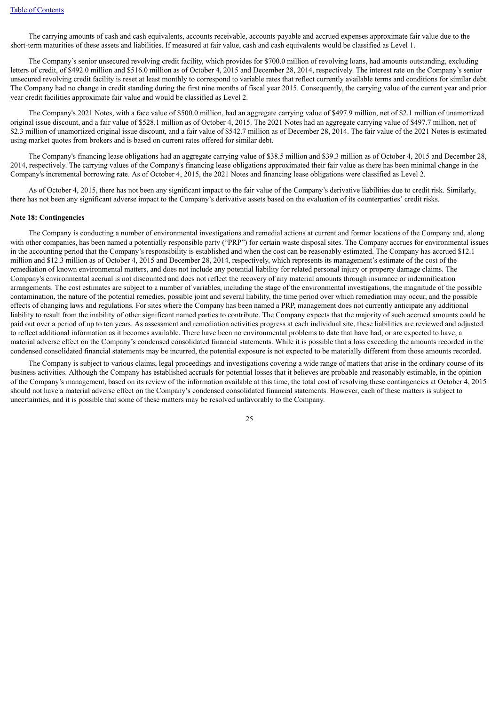The carrying amounts of cash and cash equivalents, accounts receivable, accounts payable and accrued expenses approximate fair value due to the short-term maturities of these assets and liabilities. If measured at fair value, cash and cash equivalents would be classified as Level 1.

The Company's senior unsecured revolving credit facility, which provides for \$700.0 million of revolving loans, had amounts outstanding, excluding letters of credit, of \$492.0 million and \$516.0 million as of October 4, 2015 and December 28, 2014, respectively. The interest rate on the Company's senior unsecured revolving credit facility is reset at least monthly to correspond to variable rates that reflect currently available terms and conditions for similar debt. The Company had no change in credit standing during the first nine months of fiscal year 2015. Consequently, the carrying value of the current year and prior year credit facilities approximate fair value and would be classified as Level 2.

The Company's 2021 Notes, with a face value of \$500.0 million, had an aggregate carrying value of \$497.9 million, net of \$2.1 million of unamortized original issue discount, and a fair value of \$528.1 million as of October 4, 2015. The 2021 Notes had an aggregate carrying value of \$497.7 million, net of \$2.3 million of unamortized original issue discount, and a fair value of \$542.7 million as of December 28, 2014. The fair value of the 2021 Notes is estimated using market quotes from brokers and is based on current rates offered for similar debt.

The Company's financing lease obligations had an aggregate carrying value of \$38.5 million and \$39.3 million as of October 4, 2015 and December 28, 2014, respectively. The carrying values of the Company's financing lease obligations approximated their fair value as there has been minimal change in the Company's incremental borrowing rate. As of October 4, 2015, the 2021 Notes and financing lease obligations were classified as Level 2.

As of October 4, 2015, there has not been any significant impact to the fair value of the Company's derivative liabilities due to credit risk. Similarly, there has not been any significant adverse impact to the Company's derivative assets based on the evaluation of its counterparties' credit risks.

#### **Note 18: Contingencies**

The Company is conducting a number of environmental investigations and remedial actions at current and former locations of the Company and, along with other companies, has been named a potentially responsible party ("PRP") for certain waste disposal sites. The Company accrues for environmental issues in the accounting period that the Company's responsibility is established and when the cost can be reasonably estimated. The Company has accrued \$12.1 million and \$12.3 million as of October 4, 2015 and December 28, 2014, respectively, which represents its management's estimate of the cost of the remediation of known environmental matters, and does not include any potential liability for related personal injury or property damage claims. The Company's environmental accrual is not discounted and does not reflect the recovery of any material amounts through insurance or indemnification arrangements. The cost estimates are subject to a number of variables, including the stage of the environmental investigations, the magnitude of the possible contamination, the nature of the potential remedies, possible joint and several liability, the time period over which remediation may occur, and the possible effects of changing laws and regulations. For sites where the Company has been named a PRP, management does not currently anticipate any additional liability to result from the inability of other significant named parties to contribute. The Company expects that the majority of such accrued amounts could be paid out over a period of up to ten years. As assessment and remediation activities progress at each individual site, these liabilities are reviewed and adjusted to reflect additional information as it becomes available. There have been no environmental problems to date that have had, or are expected to have, a material adverse effect on the Company's condensed consolidated financial statements. While it is possible that a loss exceeding the amounts recorded in the condensed consolidated financial statements may be incurred, the potential exposure is not expected to be materially different from those amounts recorded.

<span id="page-24-0"></span>The Company is subject to various claims, legal proceedings and investigations covering a wide range of matters that arise in the ordinary course of its business activities. Although the Company has established accruals for potential losses that it believes are probable and reasonably estimable, in the opinion of the Company's management, based on its review of the information available at this time, the total cost of resolving these contingencies at October 4, 2015 should not have a material adverse effect on the Company's condensed consolidated financial statements. However, each of these matters is subject to uncertainties, and it is possible that some of these matters may be resolved unfavorably to the Company.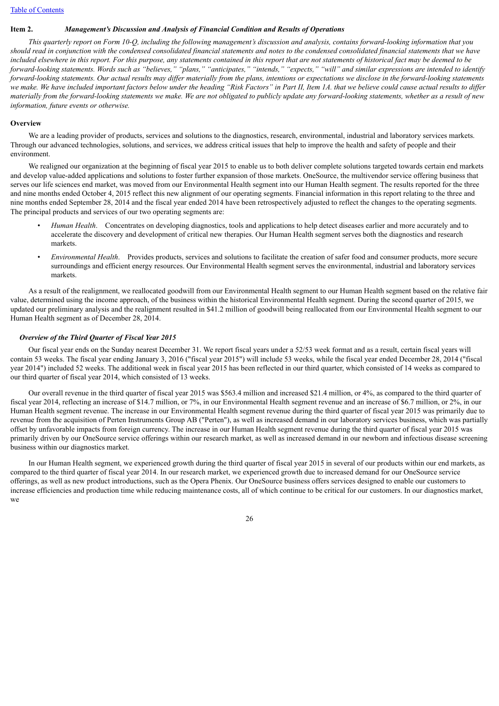## **Item 2.** *Management's Discussion and Analysis of Financial Condition and Results of Operations*

This quarterly report on Form 10-Q, including the following management's discussion and analysis, contains forward-looking information that you should read in conjunction with the condensed consolidated financial statements and notes to the condensed consolidated financial statements that we have included elsewhere in this report. For this purpose, any statements contained in this report that are not statements of historical fact may be deemed to be forward-looking statements. Words such as "believes," "plans," "anticipates," "intends," "expects," "will" and similar expressions are intended to identify forward-looking statements. Our actual results may differ materially from the plans, intentions or expectations we disclose in the forward-looking statements we make. We have included important factors below under the heading "Risk Factors" in Part II, Item 1A. that we believe could cause actual results to differ materially from the forward-looking statements we make. We are not obligated to publicly update any forward-looking statements, whether as a result of new *information, future events or otherwise.*

# <span id="page-25-0"></span>**Overview**

We are a leading provider of products, services and solutions to the diagnostics, research, environmental, industrial and laboratory services markets. Through our advanced technologies, solutions, and services, we address critical issues that help to improve the health and safety of people and their environment.

We realigned our organization at the beginning of fiscal year 2015 to enable us to both deliver complete solutions targeted towards certain end markets and develop value-added applications and solutions to foster further expansion of those markets. OneSource, the multivendor service offering business that serves our life sciences end market, was moved from our Environmental Health segment into our Human Health segment. The results reported for the three and nine months ended October 4, 2015 reflect this new alignment of our operating segments. Financial information in this report relating to the three and nine months ended September 28, 2014 and the fiscal year ended 2014 have been retrospectively adjusted to reflect the changes to the operating segments. The principal products and services of our two operating segments are:

- *Human Health*. Concentrates on developing diagnostics, tools and applications to help detect diseases earlier and more accurately and to accelerate the discovery and development of critical new therapies. Our Human Health segment serves both the diagnostics and research markets.
- *Environmental Health*. Provides products, services and solutions to facilitate the creation of safer food and consumer products, more secure surroundings and efficient energy resources. Our Environmental Health segment serves the environmental, industrial and laboratory services markets.

As a result of the realignment, we reallocated goodwill from our Environmental Health segment to our Human Health segment based on the relative fair value, determined using the income approach, of the business within the historical Environmental Health segment. During the second quarter of 2015, we updated our preliminary analysis and the realignment resulted in \$41.2 million of goodwill being reallocated from our Environmental Health segment to our Human Health segment as of December 28, 2014.

# *Overview of the Third Quarter of Fiscal Year 2015*

Our fiscal year ends on the Sunday nearest December 31. We report fiscal years under a 52/53 week format and as a result, certain fiscal years will contain 53 weeks. The fiscal year ending January 3, 2016 ("fiscal year 2015") will include 53 weeks, while the fiscal year ended December 28, 2014 ("fiscal year 2014") included 52 weeks. The additional week in fiscal year 2015 has been reflected in our third quarter, which consisted of 14 weeks as compared to our third quarter of fiscal year 2014, which consisted of 13 weeks.

Our overall revenue in the third quarter of fiscal year 2015 was \$563.4 million and increased \$21.4 million, or 4%, as compared to the third quarter of fiscal year 2014, reflecting an increase of \$14.7 million, or 7%, in our Environmental Health segment revenue and an increase of \$6.7 million, or 2%, in our Human Health segment revenue. The increase in our Environmental Health segment revenue during the third quarter of fiscal year 2015 was primarily due to revenue from the acquisition of Perten Instruments Group AB ("Perten"), as well as increased demand in our laboratory services business, which was partially offset by unfavorable impacts from foreign currency. The increase in our Human Health segment revenue during the third quarter of fiscal year 2015 was primarily driven by our OneSource service offerings within our research market, as well as increased demand in our newborn and infectious disease screening business within our diagnostics market.

In our Human Health segment, we experienced growth during the third quarter of fiscal year 2015 in several of our products within our end markets, as compared to the third quarter of fiscal year 2014. In our research market, we experienced growth due to increased demand for our OneSource service offerings, as well as new product introductions, such as the Opera Phenix. Our OneSource business offers services designed to enable our customers to increase efficiencies and production time while reducing maintenance costs, all of which continue to be critical for our customers. In our diagnostics market, we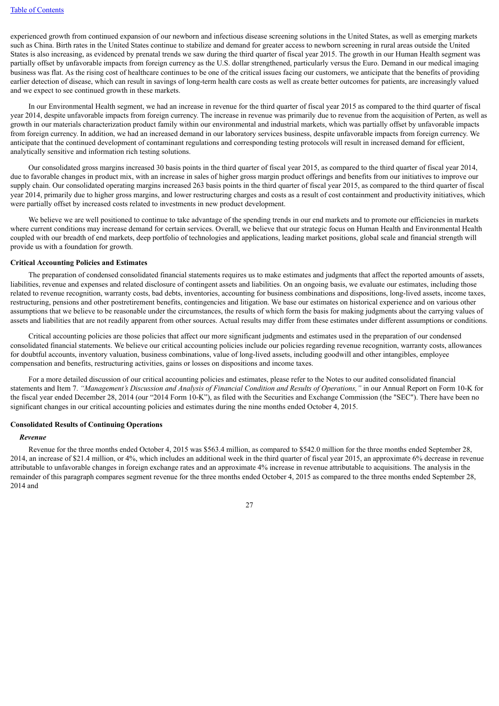experienced growth from continued expansion of our newborn and infectious disease screening solutions in the United States, as well as emerging markets such as China. Birth rates in the United States continue to stabilize and demand for greater access to newborn screening in rural areas outside the United States is also increasing, as evidenced by prenatal trends we saw during the third quarter of fiscal year 2015. The growth in our Human Health segment was partially offset by unfavorable impacts from foreign currency as the U.S. dollar strengthened, particularly versus the Euro. Demand in our medical imaging business was flat. As the rising cost of healthcare continues to be one of the critical issues facing our customers, we anticipate that the benefits of providing earlier detection of disease, which can result in savings of long-term health care costs as well as create better outcomes for patients, are increasingly valued and we expect to see continued growth in these markets.

In our Environmental Health segment, we had an increase in revenue for the third quarter of fiscal year 2015 as compared to the third quarter of fiscal year 2014, despite unfavorable impacts from foreign currency. The increase in revenue was primarily due to revenue from the acquisition of Perten, as well as growth in our materials characterization product family within our environmental and industrial markets, which was partially offset by unfavorable impacts from foreign currency. In addition, we had an increased demand in our laboratory services business, despite unfavorable impacts from foreign currency. We anticipate that the continued development of contaminant regulations and corresponding testing protocols will result in increased demand for efficient, analytically sensitive and information rich testing solutions.

Our consolidated gross margins increased 30 basis points in the third quarter of fiscal year 2015, as compared to the third quarter of fiscal year 2014, due to favorable changes in product mix, with an increase in sales of higher gross margin product offerings and benefits from our initiatives to improve our supply chain. Our consolidated operating margins increased 263 basis points in the third quarter of fiscal year 2015, as compared to the third quarter of fiscal year 2014, primarily due to higher gross margins, and lower restructuring charges and costs as a result of cost containment and productivity initiatives, which were partially offset by increased costs related to investments in new product development.

We believe we are well positioned to continue to take advantage of the spending trends in our end markets and to promote our efficiencies in markets where current conditions may increase demand for certain services. Overall, we believe that our strategic focus on Human Health and Environmental Health coupled with our breadth of end markets, deep portfolio of technologies and applications, leading market positions, global scale and financial strength will provide us with a foundation for growth.

#### <span id="page-26-0"></span>**Critical Accounting Policies and Estimates**

The preparation of condensed consolidated financial statements requires us to make estimates and judgments that affect the reported amounts of assets, liabilities, revenue and expenses and related disclosure of contingent assets and liabilities. On an ongoing basis, we evaluate our estimates, including those related to revenue recognition, warranty costs, bad debts, inventories, accounting for business combinations and dispositions, long-lived assets, income taxes, restructuring, pensions and other postretirement benefits, contingencies and litigation. We base our estimates on historical experience and on various other assumptions that we believe to be reasonable under the circumstances, the results of which form the basis for making judgments about the carrying values of assets and liabilities that are not readily apparent from other sources. Actual results may differ from these estimates under different assumptions or conditions.

Critical accounting policies are those policies that affect our more significant judgments and estimates used in the preparation of our condensed consolidated financial statements. We believe our critical accounting policies include our policies regarding revenue recognition, warranty costs, allowances for doubtful accounts, inventory valuation, business combinations, value of long-lived assets, including goodwill and other intangibles, employee compensation and benefits, restructuring activities, gains or losses on dispositions and income taxes.

For a more detailed discussion of our critical accounting policies and estimates, please refer to the Notes to our audited consolidated financial statements and Item 7. "Management's Discussion and Analysis of Financial Condition and Results of Operations," in our Annual Report on Form 10-K for the fiscal year ended December 28, 2014 (our "2014 Form 10-K"), as filed with the Securities and Exchange Commission (the "SEC"). There have been no significant changes in our critical accounting policies and estimates during the nine months ended October 4, 2015.

#### <span id="page-26-1"></span>**Consolidated Results of Continuing Operations**

#### *Revenue*

Revenue for the three months ended October 4, 2015 was \$563.4 million, as compared to \$542.0 million for the three months ended September 28, 2014, an increase of \$21.4 million, or 4%, which includes an additional week in the third quarter of fiscal year 2015, an approximate 6% decrease in revenue attributable to unfavorable changes in foreign exchange rates and an approximate 4% increase in revenue attributable to acquisitions. The analysis in the remainder of this paragraph compares segment revenue for the three months ended October 4, 2015 as compared to the three months ended September 28, 2014 and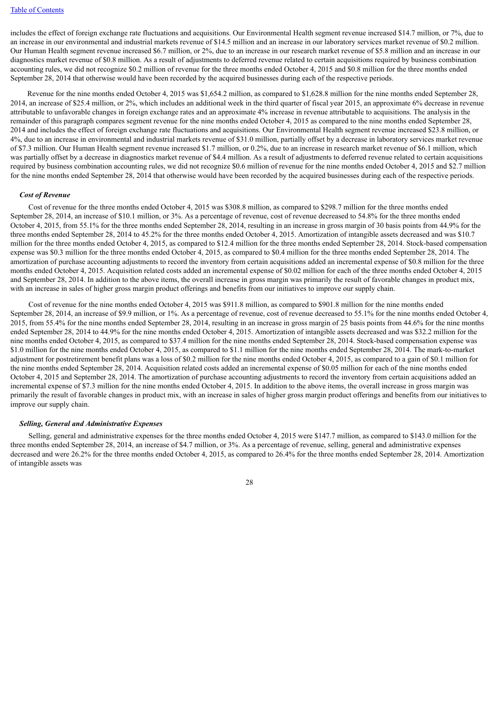includes the effect of foreign exchange rate fluctuations and acquisitions. Our Environmental Health segment revenue increased \$14.7 million, or 7%, due to an increase in our environmental and industrial markets revenue of \$14.5 million and an increase in our laboratory services market revenue of \$0.2 million. Our Human Health segment revenue increased \$6.7 million, or 2%, due to an increase in our research market revenue of \$5.8 million and an increase in our diagnostics market revenue of \$0.8 million. As a result of adjustments to deferred revenue related to certain acquisitions required by business combination accounting rules, we did not recognize \$0.2 million of revenue for the three months ended October 4, 2015 and \$0.8 million for the three months ended September 28, 2014 that otherwise would have been recorded by the acquired businesses during each of the respective periods.

Revenue for the nine months ended October 4, 2015 was \$1,654.2 million, as compared to \$1,628.8 million for the nine months ended September 28, 2014, an increase of \$25.4 million, or 2%, which includes an additional week in the third quarter of fiscal year 2015, an approximate 6% decrease in revenue attributable to unfavorable changes in foreign exchange rates and an approximate 4% increase in revenue attributable to acquisitions. The analysis in the remainder of this paragraph compares segment revenue for the nine months ended October 4, 2015 as compared to the nine months ended September 28, 2014 and includes the effect of foreign exchange rate fluctuations and acquisitions. Our Environmental Health segment revenue increased \$23.8 million, or 4%, due to an increase in environmental and industrial markets revenue of \$31.0 million, partially offset by a decrease in laboratory services market revenue of \$7.3 million. Our Human Health segment revenue increased \$1.7 million, or 0.2%, due to an increase in research market revenue of \$6.1 million, which was partially offset by a decrease in diagnostics market revenue of \$4.4 million. As a result of adjustments to deferred revenue related to certain acquisitions required by business combination accounting rules, we did not recognize \$0.6 million of revenue for the nine months ended October 4, 2015 and \$2.7 million for the nine months ended September 28, 2014 that otherwise would have been recorded by the acquired businesses during each of the respective periods.

#### *Cost of Revenue*

Cost of revenue for the three months ended October 4, 2015 was \$308.8 million, as compared to \$298.7 million for the three months ended September 28, 2014, an increase of \$10.1 million, or 3%. As a percentage of revenue, cost of revenue decreased to 54.8% for the three months ended October 4, 2015, from 55.1% for the three months ended September 28, 2014, resulting in an increase in gross margin of 30 basis points from 44.9% for the three months ended September 28, 2014 to 45.2% for the three months ended October 4, 2015. Amortization of intangible assets decreased and was \$10.7 million for the three months ended October 4, 2015, as compared to \$12.4 million for the three months ended September 28, 2014. Stock-based compensation expense was \$0.3 million for the three months ended October 4, 2015, as compared to \$0.4 million for the three months ended September 28, 2014. The amortization of purchase accounting adjustments to record the inventory from certain acquisitions added an incremental expense of \$0.8 million for the three months ended October 4, 2015. Acquisition related costs added an incremental expense of \$0.02 million for each of the three months ended October 4, 2015 and September 28, 2014. In addition to the above items, the overall increase in gross margin was primarily the result of favorable changes in product mix, with an increase in sales of higher gross margin product offerings and benefits from our initiatives to improve our supply chain.

Cost of revenue for the nine months ended October 4, 2015 was \$911.8 million, as compared to \$901.8 million for the nine months ended September 28, 2014, an increase of \$9.9 million, or 1%. As a percentage of revenue, cost of revenue decreased to 55.1% for the nine months ended October 4, 2015, from 55.4% for the nine months ended September 28, 2014, resulting in an increase in gross margin of 25 basis points from 44.6% for the nine months ended September 28, 2014 to 44.9% for the nine months ended October 4, 2015. Amortization of intangible assets decreased and was \$32.2 million for the nine months ended October 4, 2015, as compared to \$37.4 million for the nine months ended September 28, 2014. Stock-based compensation expense was \$1.0 million for the nine months ended October 4, 2015, as compared to \$1.1 million for the nine months ended September 28, 2014. The mark-to-market adjustment for postretirement benefit plans was a loss of \$0.2 million for the nine months ended October 4, 2015, as compared to a gain of \$0.1 million for the nine months ended September 28, 2014. Acquisition related costs added an incremental expense of \$0.05 million for each of the nine months ended October 4, 2015 and September 28, 2014. The amortization of purchase accounting adjustments to record the inventory from certain acquisitions added an incremental expense of \$7.3 million for the nine months ended October 4, 2015. In addition to the above items, the overall increase in gross margin was primarily the result of favorable changes in product mix, with an increase in sales of higher gross margin product offerings and benefits from our initiatives to improve our supply chain.

#### *Selling, General and Administrative Expenses*

Selling, general and administrative expenses for the three months ended October 4, 2015 were \$147.7 million, as compared to \$143.0 million for the three months ended September 28, 2014, an increase of \$4.7 million, or 3%. As a percentage of revenue, selling, general and administrative expenses decreased and were 26.2% for the three months ended October 4, 2015, as compared to 26.4% for the three months ended September 28, 2014. Amortization of intangible assets was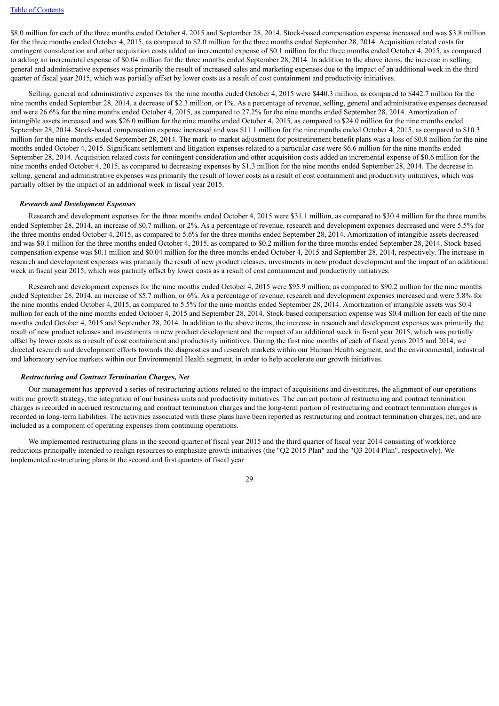\$8.0 million for each of the three months ended October 4, 2015 and September 28, 2014. Stock-based compensation expense increased and was \$3.8 million for the three months ended October 4, 2015, as compared to \$2.0 million for the three months ended September 28, 2014. Acquisition related costs for contingent consideration and other acquisition costs added an incremental expense of \$0.1 million for the three months ended October 4, 2015, as compared to adding an incremental expense of \$0.04 million for the three months ended September 28, 2014. In addition to the above items, the increase in selling, general and administrative expenses was primarily the result of increased sales and marketing expenses due to the impact of an additional week in the third quarter of fiscal year 2015, which was partially offset by lower costs as a result of cost containment and productivity initiatives.

Selling, general and administrative expenses for the nine months ended October 4, 2015 were \$440.3 million, as compared to \$442.7 million for the nine months ended September 28, 2014, a decrease of \$2.3 million, or 1%. As a percentage of revenue, selling, general and administrative expenses decreased and were 26.6% for the nine months ended October 4, 2015, as compared to 27.2% for the nine months ended September 28, 2014. Amortization of intangible assets increased and was \$26.0 million for the nine months ended October 4, 2015, as compared to \$24.0 million for the nine months ended September 28, 2014. Stock-based compensation expense increased and was \$11.1 million for the nine months ended October 4, 2015, as compared to \$10.3 million for the nine months ended September 28, 2014. The mark-to-market adjustment for postretirement benefit plans was a loss of \$0.8 million for the nine months ended October 4, 2015. Significant settlement and litigation expenses related to a particular case were \$6.6 million for the nine months ended September 28, 2014. Acquisition related costs for contingent consideration and other acquisition costs added an incremental expense of \$0.6 million for the nine months ended October 4, 2015, as compared to decreasing expenses by \$1.3 million for the nine months ended September 28, 2014. The decrease in selling, general and administrative expenses was primarily the result of lower costs as a result of cost containment and productivity initiatives, which was partially offset by the impact of an additional week in fiscal year 2015.

#### *Research and Development Expenses*

Research and development expenses for the three months ended October 4, 2015 were \$31.1 million, as compared to \$30.4 million for the three months ended September 28, 2014, an increase of \$0.7 million, or 2%. As a percentage of revenue, research and development expenses decreased and were 5.5% for the three months ended October 4, 2015, as compared to 5.6% for the three months ended September 28, 2014. Amortization of intangible assets decreased and was \$0.1 million for the three months ended October 4, 2015, as compared to \$0.2 million for the three months ended September 28, 2014. Stock-based compensation expense was \$0.1 million and \$0.04 million for the three months ended October 4, 2015 and September 28, 2014, respectively. The increase in research and development expenses was primarily the result of new product releases, investments in new product development and the impact of an additional week in fiscal year 2015, which was partially offset by lower costs as a result of cost containment and productivity initiatives.

Research and development expenses for the nine months ended October 4, 2015 were \$95.9 million, as compared to \$90.2 million for the nine months ended September 28, 2014, an increase of \$5.7 million, or 6%. As a percentage of revenue, research and development expenses increased and were 5.8% for the nine months ended October 4, 2015, as compared to 5.5% for the nine months ended September 28, 2014. Amortization of intangible assets was \$0.4 million for each of the nine months ended October 4, 2015 and September 28, 2014. Stock-based compensation expense was \$0.4 million for each of the nine months ended October 4, 2015 and September 28, 2014. In addition to the above items, the increase in research and development expenses was primarily the result of new product releases and investments in new product development and the impact of an additional week in fiscal year 2015, which was partially offset by lower costs as a result of cost containment and productivity initiatives. During the first nine months of each of fiscal years 2015 and 2014, we directed research and development efforts towards the diagnostics and research markets within our Human Health segment, and the environmental, industrial and laboratory service markets within our Environmental Health segment, in order to help accelerate our growth initiatives.

#### *Restructuring and Contract Termination Charges, Net*

Our management has approved a series of restructuring actions related to the impact of acquisitions and divestitures, the alignment of our operations with our growth strategy, the integration of our business units and productivity initiatives. The current portion of restructuring and contract termination charges is recorded in accrued restructuring and contract termination charges and the long-term portion of restructuring and contract termination charges is recorded in long-term liabilities. The activities associated with these plans have been reported as restructuring and contract termination charges, net, and are included as a component of operating expenses from continuing operations.

We implemented restructuring plans in the second quarter of fiscal year 2015 and the third quarter of fiscal year 2014 consisting of workforce reductions principally intended to realign resources to emphasize growth initiatives (the "Q2 2015 Plan" and the "Q3 2014 Plan", respectively). We implemented restructuring plans in the second and first quarters of fiscal year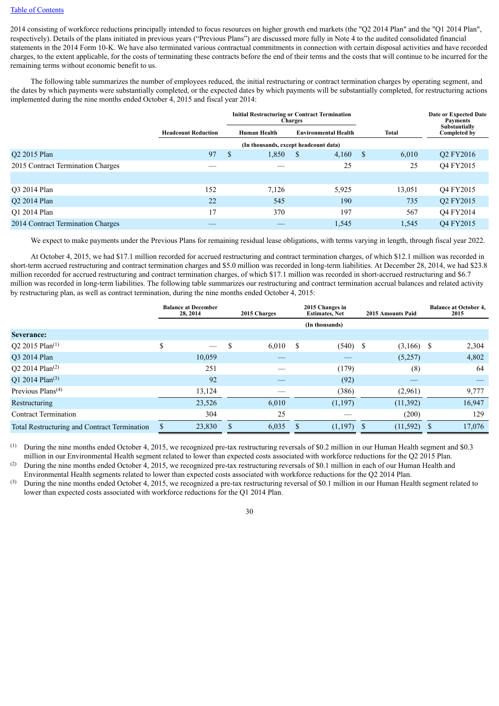2014 consisting of workforce reductions principally intended to focus resources on higher growth end markets (the "Q2 2014 Plan" and the "Q1 2014 Plan", respectively). Details of the plans initiated in previous years ("Previous Plans") are discussed more fully in Note 4 to the audited consolidated financial statements in the 2014 Form 10-K. We have also terminated various contractual commitments in connection with certain disposal activities and have recorded charges, to the extent applicable, for the costs of terminating these contracts before the end of their terms and the costs that will continue to be incurred for the remaining terms without economic benefit to us.

The following table summarizes the number of employees reduced, the initial restructuring or contract termination charges by operating segment, and the dates by which payments were substantially completed, or the expected dates by which payments will be substantially completed, for restructuring actions implemented during the nine months ended October 4, 2015 and fiscal year 2014:

|                                   |                            | <b>Initial Restructuring or Contract Termination</b><br><b>Charges</b> |   |                             |              |        | <b>Date or Expected Date</b><br><b>Payments</b> |
|-----------------------------------|----------------------------|------------------------------------------------------------------------|---|-----------------------------|--------------|--------|-------------------------------------------------|
|                                   | <b>Headcount Reduction</b> | <b>Human Health</b>                                                    |   | <b>Environmental Health</b> | <b>Total</b> |        | Substantially<br><b>Completed by</b>            |
|                                   |                            |                                                                        |   |                             |              |        |                                                 |
| Q2 2015 Plan                      | 97                         | \$<br>1,850                                                            | S | 4,160                       | \$           | 6,010  | Q2 FY2016                                       |
| 2015 Contract Termination Charges |                            | __                                                                     |   | 25                          |              | 25     | <b>Q4 FY2015</b>                                |
|                                   |                            |                                                                        |   |                             |              |        |                                                 |
| O3 2014 Plan                      | 152                        | 7,126                                                                  |   | 5,925                       |              | 13,051 | O4 FY2015                                       |
| Q2 2014 Plan                      | 22                         | 545                                                                    |   | 190                         |              | 735    | Q2 FY2015                                       |
| O1 2014 Plan                      | 17                         | 370                                                                    |   | 197                         |              | 567    | O4 FY2014                                       |
| 2014 Contract Termination Charges |                            |                                                                        |   | 1,545                       |              | 1,545  | <b>Q4 FY2015</b>                                |

We expect to make payments under the Previous Plans for remaining residual lease obligations, with terms varying in length, through fiscal year 2022.

At October 4, 2015, we had \$17.1 million recorded for accrued restructuring and contract termination charges, of which \$12.1 million was recorded in short-term accrued restructuring and contract termination charges and \$5.0 million was recorded in long-term liabilities. At December 28, 2014, we had \$23.8 million recorded for accrued restructuring and contract termination charges, of which \$17.1 million was recorded in short-accrued restructuring and \$6.7 million was recorded in long-term liabilities. The following table summarizes our restructuring and contract termination accrual balances and related activity by restructuring plan, as well as contract termination, during the nine months ended October 4, 2015:

|                                              | <b>Balance at December</b><br>28, 2014 |                          | 2015 Charges  |       |                | 2015 Changes in<br><b>Estimates, Net</b> |               | 2015 Amounts Paid |  | <b>Balance at October 4,</b><br>2015 |  |
|----------------------------------------------|----------------------------------------|--------------------------|---------------|-------|----------------|------------------------------------------|---------------|-------------------|--|--------------------------------------|--|
|                                              |                                        |                          |               |       | (In thousands) |                                          |               |                   |  |                                      |  |
| Severance:                                   |                                        |                          |               |       |                |                                          |               |                   |  |                                      |  |
| Q2 2015 Plan(1)                              | \$                                     | $\overline{\phantom{m}}$ | <sup>\$</sup> | 6,010 | S              | (540)                                    | -S            | $(3,166)$ \$      |  | 2,304                                |  |
| O3 2014 Plan                                 |                                        | 10,059                   |               |       |                |                                          |               | (5,257)           |  | 4,802                                |  |
| Q2 2014 Plan <sup>(2)</sup>                  |                                        | 251                      |               |       |                | (179)                                    |               | (8)               |  | 64                                   |  |
| Q1 2014 Plan $^{(3)}$                        |                                        | 92                       |               |       |                | (92)                                     |               |                   |  |                                      |  |
| Previous Plans <sup><math>(4)</math></sup>   |                                        | 13,124                   |               |       |                | (386)                                    |               | (2,961)           |  | 9,777                                |  |
| Restructuring                                |                                        | 23,526                   |               | 6,010 |                | (1,197)                                  |               | (11, 392)         |  | 16,947                               |  |
| <b>Contract Termination</b>                  |                                        | 304                      |               | 25    |                |                                          |               | (200)             |  | 129                                  |  |
| Total Restructuring and Contract Termination |                                        | 23,830                   | <sup>\$</sup> | 6,035 | S              | (1,197)                                  | <sup>\$</sup> | $(11,592)$ \$     |  | 17,076                               |  |

 $^{(1)}$  During the nine months ended October 4, 2015, we recognized pre-tax restructuring reversals of \$0.2 million in our Human Health segment and \$0.3 million in our Environmental Health segment related to lower than expected costs associated with workforce reductions for the Q2 2015 Plan.

<sup>(2)</sup> During the nine months ended October 4, 2015, we recognized pre-tax restructuring reversals of \$0.1 million in each of our Human Health and Environmental Health segments related to lower than expected costs associated with workforce reductions for the Q2 2014 Plan.

(3) During the nine months ended October 4, 2015, we recognized a pre-tax restructuring reversal of \$0.1 million in our Human Health segment related to lower than expected costs associated with workforce reductions for the Q1 2014 Plan.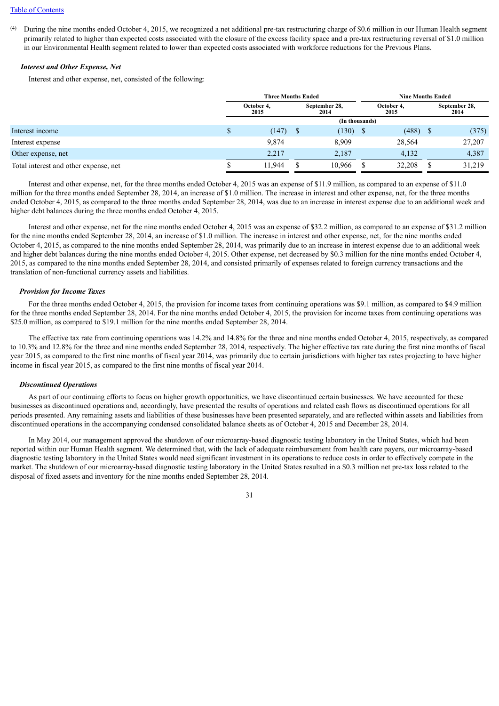#### Table of [Contents](#page-0-0)

(4) During the nine months ended October 4, 2015, we recognized a net additional pre-tax restructuring charge of \$0.6 million in our Human Health segment primarily related to higher than expected costs associated with the closure of the excess facility space and a pre-tax restructuring reversal of \$1.0 million in our Environmental Health segment related to lower than expected costs associated with workforce reductions for the Previous Plans.

#### *Interest and Other Expense, Net*

Interest and other expense, net, consisted of the following:

|                                       |   | <b>Three Months Ended</b> |  |                       |                    | <b>Nine Months Ended</b> |  |                       |  |
|---------------------------------------|---|---------------------------|--|-----------------------|--------------------|--------------------------|--|-----------------------|--|
|                                       |   | October 4,<br>2015        |  | September 28,<br>2014 | October 4,<br>2015 |                          |  | September 28,<br>2014 |  |
|                                       |   | (In thousands)            |  |                       |                    |                          |  |                       |  |
| Interest income                       | ъ | (147)                     |  | (130)                 |                    | (488)                    |  | (375)                 |  |
| Interest expense                      |   | 9,874                     |  | 8,909                 |                    | 28,564                   |  | 27,207                |  |
| Other expense, net                    |   | 2.217                     |  | 2.187                 |                    | 4.132                    |  | 4,387                 |  |
| Total interest and other expense, net |   | 11.944                    |  | 10,966                |                    | 32,208                   |  | 31,219                |  |

Interest and other expense, net, for the three months ended October 4, 2015 was an expense of \$11.9 million, as compared to an expense of \$11.0 million for the three months ended September 28, 2014, an increase of \$1.0 million. The increase in interest and other expense, net, for the three months ended October 4, 2015, as compared to the three months ended September 28, 2014, was due to an increase in interest expense due to an additional week and higher debt balances during the three months ended October 4, 2015.

Interest and other expense, net for the nine months ended October 4, 2015 was an expense of \$32.2 million, as compared to an expense of \$31.2 million for the nine months ended September 28, 2014, an increase of \$1.0 million. The increase in interest and other expense, net, for the nine months ended October 4, 2015, as compared to the nine months ended September 28, 2014, was primarily due to an increase in interest expense due to an additional week and higher debt balances during the nine months ended October 4, 2015. Other expense, net decreased by \$0.3 million for the nine months ended October 4, 2015, as compared to the nine months ended September 28, 2014, and consisted primarily of expenses related to foreign currency transactions and the translation of non-functional currency assets and liabilities.

#### *Provision for Income Taxes*

For the three months ended October 4, 2015, the provision for income taxes from continuing operations was \$9.1 million, as compared to \$4.9 million for the three months ended September 28, 2014. For the nine months ended October 4, 2015, the provision for income taxes from continuing operations was \$25.0 million, as compared to \$19.1 million for the nine months ended September 28, 2014.

The effective tax rate from continuing operations was 14.2% and 14.8% for the three and nine months ended October 4, 2015, respectively, as compared to 10.3% and 12.8% for the three and nine months ended September 28, 2014, respectively. The higher effective tax rate during the first nine months of fiscal year 2015, as compared to the first nine months of fiscal year 2014, was primarily due to certain jurisdictions with higher tax rates projecting to have higher income in fiscal year 2015, as compared to the first nine months of fiscal year 2014.

#### *Discontinued Operations*

As part of our continuing efforts to focus on higher growth opportunities, we have discontinued certain businesses. We have accounted for these businesses as discontinued operations and, accordingly, have presented the results of operations and related cash flows as discontinued operations for all periods presented. Any remaining assets and liabilities of these businesses have been presented separately, and are reflected within assets and liabilities from discontinued operations in the accompanying condensed consolidated balance sheets as of October 4, 2015 and December 28, 2014.

In May 2014, our management approved the shutdown of our microarray-based diagnostic testing laboratory in the United States, which had been reported within our Human Health segment. We determined that, with the lack of adequate reimbursement from health care payers, our microarray-based diagnostic testing laboratory in the United States would need significant investment in its operations to reduce costs in order to effectively compete in the market. The shutdown of our microarray-based diagnostic testing laboratory in the United States resulted in a \$0.3 million net pre-tax loss related to the disposal of fixed assets and inventory for the nine months ended September 28, 2014.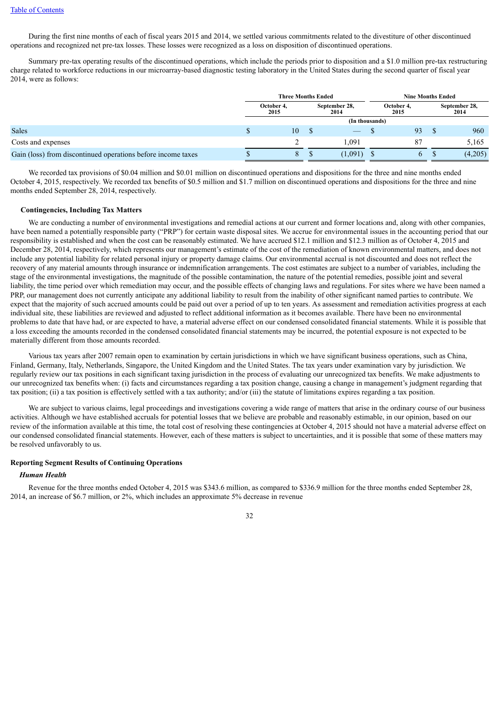During the first nine months of each of fiscal years 2015 and 2014, we settled various commitments related to the divestiture of other discontinued operations and recognized net pre-tax losses. These losses were recognized as a loss on disposition of discontinued operations.

Summary pre-tax operating results of the discontinued operations, which include the periods prior to disposition and a \$1.0 million pre-tax restructuring charge related to workforce reductions in our microarray-based diagnostic testing laboratory in the United States during the second quarter of fiscal year 2014, were as follows:

|                                                              | <b>Three Months Ended</b> |  |                                 |                | <b>Nine Months Ended</b> |  |                       |  |
|--------------------------------------------------------------|---------------------------|--|---------------------------------|----------------|--------------------------|--|-----------------------|--|
|                                                              | October 4,<br>2015        |  | September 28.<br>2014           |                | October 4,<br>2015       |  | September 28,<br>2014 |  |
|                                                              |                           |  |                                 | (In thousands) |                          |  |                       |  |
| <b>Sales</b>                                                 | 10                        |  | $\hspace{0.1mm}-\hspace{0.1mm}$ |                | 93                       |  | 960                   |  |
| Costs and expenses                                           |                           |  | 1.091                           |                | -87                      |  | 5,165                 |  |
| Gain (loss) from discontinued operations before income taxes | 8                         |  | (1,091)                         |                | 6                        |  | (4,205)               |  |

We recorded tax provisions of \$0.04 million and \$0.01 million on discontinued operations and dispositions for the three and nine months ended October 4, 2015, respectively. We recorded tax benefits of \$0.5 million and \$1.7 million on discontinued operations and dispositions for the three and nine months ended September 28, 2014, respectively.

# **Contingencies, Including Tax Matters**

We are conducting a number of environmental investigations and remedial actions at our current and former locations and, along with other companies, have been named a potentially responsible party ("PRP") for certain waste disposal sites. We accrue for environmental issues in the accounting period that our responsibility is established and when the cost can be reasonably estimated. We have accrued \$12.1 million and \$12.3 million as of October 4, 2015 and December 28, 2014, respectively, which represents our management's estimate of the cost of the remediation of known environmental matters, and does not include any potential liability for related personal injury or property damage claims. Our environmental accrual is not discounted and does not reflect the recovery of any material amounts through insurance or indemnification arrangements. The cost estimates are subject to a number of variables, including the stage of the environmental investigations, the magnitude of the possible contamination, the nature of the potential remedies, possible joint and several liability, the time period over which remediation may occur, and the possible effects of changing laws and regulations. For sites where we have been named a PRP, our management does not currently anticipate any additional liability to result from the inability of other significant named parties to contribute. We expect that the majority of such accrued amounts could be paid out over a period of up to ten years. As assessment and remediation activities progress at each individual site, these liabilities are reviewed and adjusted to reflect additional information as it becomes available. There have been no environmental problems to date that have had, or are expected to have, a material adverse effect on our condensed consolidated financial statements. While it is possible that a loss exceeding the amounts recorded in the condensed consolidated financial statements may be incurred, the potential exposure is not expected to be materially different from those amounts recorded.

Various tax years after 2007 remain open to examination by certain jurisdictions in which we have significant business operations, such as China, Finland, Germany, Italy, Netherlands, Singapore, the United Kingdom and the United States. The tax years under examination vary by jurisdiction. We regularly review our tax positions in each significant taxing jurisdiction in the process of evaluating our unrecognized tax benefits. We make adjustments to our unrecognized tax benefits when: (i) facts and circumstances regarding a tax position change, causing a change in management's judgment regarding that tax position; (ii) a tax position is effectively settled with a tax authority; and/or (iii) the statute of limitations expires regarding a tax position.

We are subject to various claims, legal proceedings and investigations covering a wide range of matters that arise in the ordinary course of our business activities. Although we have established accruals for potential losses that we believe are probable and reasonably estimable, in our opinion, based on our review of the information available at this time, the total cost of resolving these contingencies at October 4, 2015 should not have a material adverse effect on our condensed consolidated financial statements. However, each of these matters is subject to uncertainties, and it is possible that some of these matters may be resolved unfavorably to us.

# <span id="page-31-0"></span>**Reporting Segment Results of Continuing Operations**

#### *Human Health*

Revenue for the three months ended October 4, 2015 was \$343.6 million, as compared to \$336.9 million for the three months ended September 28, 2014, an increase of \$6.7 million, or 2%, which includes an approximate 5% decrease in revenue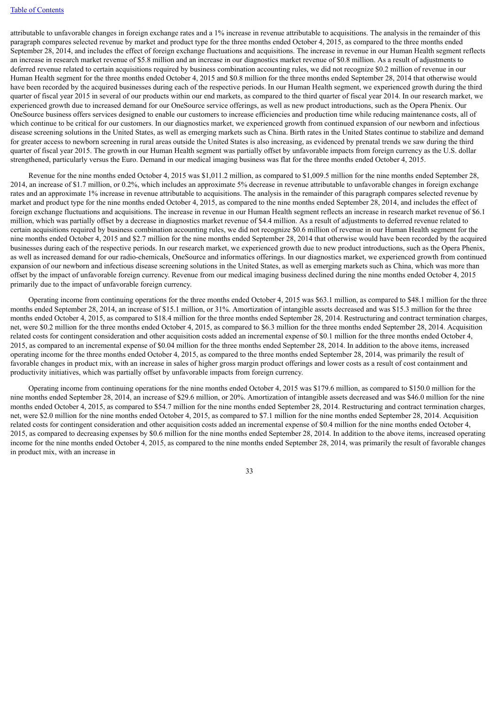attributable to unfavorable changes in foreign exchange rates and a 1% increase in revenue attributable to acquisitions. The analysis in the remainder of this paragraph compares selected revenue by market and product type for the three months ended October 4, 2015, as compared to the three months ended September 28, 2014, and includes the effect of foreign exchange fluctuations and acquisitions. The increase in revenue in our Human Health segment reflects an increase in research market revenue of \$5.8 million and an increase in our diagnostics market revenue of \$0.8 million. As a result of adjustments to deferred revenue related to certain acquisitions required by business combination accounting rules, we did not recognize \$0.2 million of revenue in our Human Health segment for the three months ended October 4, 2015 and \$0.8 million for the three months ended September 28, 2014 that otherwise would have been recorded by the acquired businesses during each of the respective periods. In our Human Health segment, we experienced growth during the third quarter of fiscal year 2015 in several of our products within our end markets, as compared to the third quarter of fiscal year 2014. In our research market, we experienced growth due to increased demand for our OneSource service offerings, as well as new product introductions, such as the Opera Phenix. Our OneSource business offers services designed to enable our customers to increase efficiencies and production time while reducing maintenance costs, all of which continue to be critical for our customers. In our diagnostics market, we experienced growth from continued expansion of our newborn and infectious disease screening solutions in the United States, as well as emerging markets such as China. Birth rates in the United States continue to stabilize and demand for greater access to newborn screening in rural areas outside the United States is also increasing, as evidenced by prenatal trends we saw during the third quarter of fiscal year 2015. The growth in our Human Health segment was partially offset by unfavorable impacts from foreign currency as the U.S. dollar strengthened, particularly versus the Euro. Demand in our medical imaging business was flat for the three months ended October 4, 2015.

Revenue for the nine months ended October 4, 2015 was \$1,011.2 million, as compared to \$1,009.5 million for the nine months ended September 28, 2014, an increase of \$1.7 million, or 0.2%, which includes an approximate 5% decrease in revenue attributable to unfavorable changes in foreign exchange rates and an approximate 1% increase in revenue attributable to acquisitions. The analysis in the remainder of this paragraph compares selected revenue by market and product type for the nine months ended October 4, 2015, as compared to the nine months ended September 28, 2014, and includes the effect of foreign exchange fluctuations and acquisitions. The increase in revenue in our Human Health segment reflects an increase in research market revenue of \$6.1 million, which was partially offset by a decrease in diagnostics market revenue of \$4.4 million. As a result of adjustments to deferred revenue related to certain acquisitions required by business combination accounting rules, we did not recognize \$0.6 million of revenue in our Human Health segment for the nine months ended October 4, 2015 and \$2.7 million for the nine months ended September 28, 2014 that otherwise would have been recorded by the acquired businesses during each of the respective periods. In our research market, we experienced growth due to new product introductions, such as the Opera Phenix, as well as increased demand for our radio-chemicals, OneSource and informatics offerings. In our diagnostics market, we experienced growth from continued expansion of our newborn and infectious disease screening solutions in the United States, as well as emerging markets such as China, which was more than offset by the impact of unfavorable foreign currency. Revenue from our medical imaging business declined during the nine months ended October 4, 2015 primarily due to the impact of unfavorable foreign currency.

Operating income from continuing operations for the three months ended October 4, 2015 was \$63.1 million, as compared to \$48.1 million for the three months ended September 28, 2014, an increase of \$15.1 million, or 31%. Amortization of intangible assets decreased and was \$15.3 million for the three months ended October 4, 2015, as compared to \$18.4 million for the three months ended September 28, 2014. Restructuring and contract termination charges, net, were \$0.2 million for the three months ended October 4, 2015, as compared to \$6.3 million for the three months ended September 28, 2014. Acquisition related costs for contingent consideration and other acquisition costs added an incremental expense of \$0.1 million for the three months ended October 4, 2015, as compared to an incremental expense of \$0.04 million for the three months ended September 28, 2014. In addition to the above items, increased operating income for the three months ended October 4, 2015, as compared to the three months ended September 28, 2014, was primarily the result of favorable changes in product mix, with an increase in sales of higher gross margin product offerings and lower costs as a result of cost containment and productivity initiatives, which was partially offset by unfavorable impacts from foreign currency.

Operating income from continuing operations for the nine months ended October 4, 2015 was \$179.6 million, as compared to \$150.0 million for the nine months ended September 28, 2014, an increase of \$29.6 million, or 20%. Amortization of intangible assets decreased and was \$46.0 million for the nine months ended October 4, 2015, as compared to \$54.7 million for the nine months ended September 28, 2014. Restructuring and contract termination charges, net, were \$2.0 million for the nine months ended October 4, 2015, as compared to \$7.1 million for the nine months ended September 28, 2014. Acquisition related costs for contingent consideration and other acquisition costs added an incremental expense of \$0.4 million for the nine months ended October 4, 2015, as compared to decreasing expenses by \$0.6 million for the nine months ended September 28, 2014. In addition to the above items, increased operating income for the nine months ended October 4, 2015, as compared to the nine months ended September 28, 2014, was primarily the result of favorable changes in product mix, with an increase in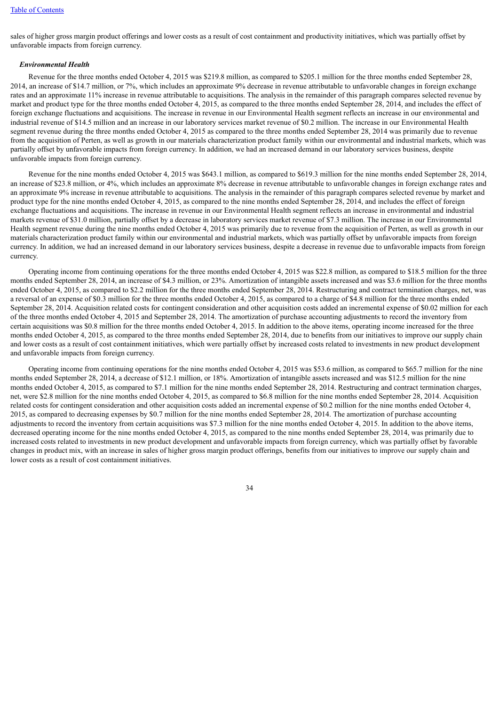sales of higher gross margin product offerings and lower costs as a result of cost containment and productivity initiatives, which was partially offset by unfavorable impacts from foreign currency.

# *Environmental Health*

Revenue for the three months ended October 4, 2015 was \$219.8 million, as compared to \$205.1 million for the three months ended September 28, 2014, an increase of \$14.7 million, or 7%, which includes an approximate 9% decrease in revenue attributable to unfavorable changes in foreign exchange rates and an approximate 11% increase in revenue attributable to acquisitions. The analysis in the remainder of this paragraph compares selected revenue by market and product type for the three months ended October 4, 2015, as compared to the three months ended September 28, 2014, and includes the effect of foreign exchange fluctuations and acquisitions. The increase in revenue in our Environmental Health segment reflects an increase in our environmental and industrial revenue of \$14.5 million and an increase in our laboratory services market revenue of \$0.2 million. The increase in our Environmental Health segment revenue during the three months ended October 4, 2015 as compared to the three months ended September 28, 2014 was primarily due to revenue from the acquisition of Perten, as well as growth in our materials characterization product family within our environmental and industrial markets, which was partially offset by unfavorable impacts from foreign currency. In addition, we had an increased demand in our laboratory services business, despite unfavorable impacts from foreign currency.

Revenue for the nine months ended October 4, 2015 was \$643.1 million, as compared to \$619.3 million for the nine months ended September 28, 2014, an increase of \$23.8 million, or 4%, which includes an approximate 8% decrease in revenue attributable to unfavorable changes in foreign exchange rates and an approximate 9% increase in revenue attributable to acquisitions. The analysis in the remainder of this paragraph compares selected revenue by market and product type for the nine months ended October 4, 2015, as compared to the nine months ended September 28, 2014, and includes the effect of foreign exchange fluctuations and acquisitions. The increase in revenue in our Environmental Health segment reflects an increase in environmental and industrial markets revenue of \$31.0 million, partially offset by a decrease in laboratory services market revenue of \$7.3 million. The increase in our Environmental Health segment revenue during the nine months ended October 4, 2015 was primarily due to revenue from the acquisition of Perten, as well as growth in our materials characterization product family within our environmental and industrial markets, which was partially offset by unfavorable impacts from foreign currency. In addition, we had an increased demand in our laboratory services business, despite a decrease in revenue due to unfavorable impacts from foreign currency.

Operating income from continuing operations for the three months ended October 4, 2015 was \$22.8 million, as compared to \$18.5 million for the three months ended September 28, 2014, an increase of \$4.3 million, or 23%. Amortization of intangible assets increased and was \$3.6 million for the three months ended October 4, 2015, as compared to \$2.2 million for the three months ended September 28, 2014. Restructuring and contract termination charges, net, was a reversal of an expense of \$0.3 million for the three months ended October 4, 2015, as compared to a charge of \$4.8 million for the three months ended September 28, 2014. Acquisition related costs for contingent consideration and other acquisition costs added an incremental expense of \$0.02 million for each of the three months ended October 4, 2015 and September 28, 2014. The amortization of purchase accounting adjustments to record the inventory from certain acquisitions was \$0.8 million for the three months ended October 4, 2015. In addition to the above items, operating income increased for the three months ended October 4, 2015, as compared to the three months ended September 28, 2014, due to benefits from our initiatives to improve our supply chain and lower costs as a result of cost containment initiatives, which were partially offset by increased costs related to investments in new product development and unfavorable impacts from foreign currency.

<span id="page-33-0"></span>Operating income from continuing operations for the nine months ended October 4, 2015 was \$53.6 million, as compared to \$65.7 million for the nine months ended September 28, 2014, a decrease of \$12.1 million, or 18%. Amortization of intangible assets increased and was \$12.5 million for the nine months ended October 4, 2015, as compared to \$7.1 million for the nine months ended September 28, 2014. Restructuring and contract termination charges, net, were \$2.8 million for the nine months ended October 4, 2015, as compared to \$6.8 million for the nine months ended September 28, 2014. Acquisition related costs for contingent consideration and other acquisition costs added an incremental expense of \$0.2 million for the nine months ended October 4, 2015, as compared to decreasing expenses by \$0.7 million for the nine months ended September 28, 2014. The amortization of purchase accounting adjustments to record the inventory from certain acquisitions was \$7.3 million for the nine months ended October 4, 2015. In addition to the above items, decreased operating income for the nine months ended October 4, 2015, as compared to the nine months ended September 28, 2014, was primarily due to increased costs related to investments in new product development and unfavorable impacts from foreign currency, which was partially offset by favorable changes in product mix, with an increase in sales of higher gross margin product offerings, benefits from our initiatives to improve our supply chain and lower costs as a result of cost containment initiatives.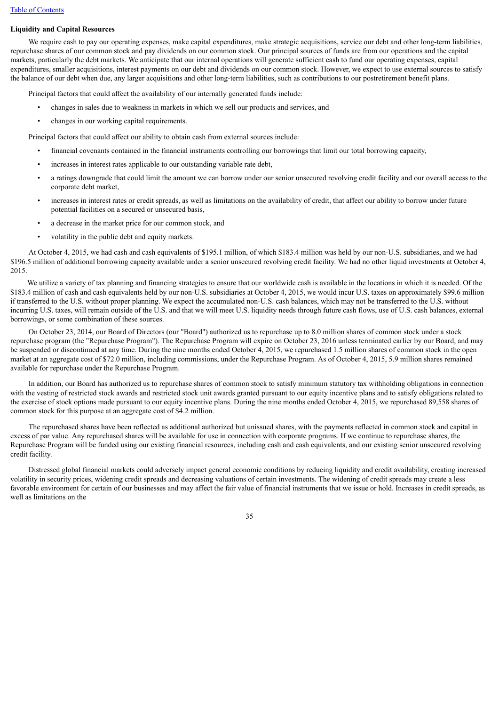# **Liquidity and Capital Resources**

We require cash to pay our operating expenses, make capital expenditures, make strategic acquisitions, service our debt and other long-term liabilities, repurchase shares of our common stock and pay dividends on our common stock. Our principal sources of funds are from our operations and the capital markets, particularly the debt markets. We anticipate that our internal operations will generate sufficient cash to fund our operating expenses, capital expenditures, smaller acquisitions, interest payments on our debt and dividends on our common stock. However, we expect to use external sources to satisfy the balance of our debt when due, any larger acquisitions and other long-term liabilities, such as contributions to our postretirement benefit plans.

Principal factors that could affect the availability of our internally generated funds include:

- changes in sales due to weakness in markets in which we sell our products and services, and
- changes in our working capital requirements.

Principal factors that could affect our ability to obtain cash from external sources include:

- financial covenants contained in the financial instruments controlling our borrowings that limit our total borrowing capacity,
- increases in interest rates applicable to our outstanding variable rate debt,
- a ratings downgrade that could limit the amount we can borrow under our senior unsecured revolving credit facility and our overall access to the corporate debt market,
- increases in interest rates or credit spreads, as well as limitations on the availability of credit, that affect our ability to borrow under future potential facilities on a secured or unsecured basis,
- a decrease in the market price for our common stock, and
- volatility in the public debt and equity markets.

At October 4, 2015, we had cash and cash equivalents of \$195.1 million, of which \$183.4 million was held by our non-U.S. subsidiaries, and we had \$196.5 million of additional borrowing capacity available under a senior unsecured revolving credit facility. We had no other liquid investments at October 4, 2015.

We utilize a variety of tax planning and financing strategies to ensure that our worldwide cash is available in the locations in which it is needed. Of the \$183.4 million of cash and cash equivalents held by our non-U.S. subsidiaries at October 4, 2015, we would incur U.S. taxes on approximately \$99.6 million if transferred to the U.S. without proper planning. We expect the accumulated non-U.S. cash balances, which may not be transferred to the U.S. without incurring U.S. taxes, will remain outside of the U.S. and that we will meet U.S. liquidity needs through future cash flows, use of U.S. cash balances, external borrowings, or some combination of these sources.

On October 23, 2014, our Board of Directors (our "Board") authorized us to repurchase up to 8.0 million shares of common stock under a stock repurchase program (the "Repurchase Program"). The Repurchase Program will expire on October 23, 2016 unless terminated earlier by our Board, and may be suspended or discontinued at any time. During the nine months ended October 4, 2015, we repurchased 1.5 million shares of common stock in the open market at an aggregate cost of \$72.0 million, including commissions, under the Repurchase Program. As of October 4, 2015, 5.9 million shares remained available for repurchase under the Repurchase Program.

In addition, our Board has authorized us to repurchase shares of common stock to satisfy minimum statutory tax withholding obligations in connection with the vesting of restricted stock awards and restricted stock unit awards granted pursuant to our equity incentive plans and to satisfy obligations related to the exercise of stock options made pursuant to our equity incentive plans. During the nine months ended October 4, 2015, we repurchased 89,558 shares of common stock for this purpose at an aggregate cost of \$4.2 million.

The repurchased shares have been reflected as additional authorized but unissued shares, with the payments reflected in common stock and capital in excess of par value. Any repurchased shares will be available for use in connection with corporate programs. If we continue to repurchase shares, the Repurchase Program will be funded using our existing financial resources, including cash and cash equivalents, and our existing senior unsecured revolving credit facility.

Distressed global financial markets could adversely impact general economic conditions by reducing liquidity and credit availability, creating increased volatility in security prices, widening credit spreads and decreasing valuations of certain investments. The widening of credit spreads may create a less favorable environment for certain of our businesses and may affect the fair value of financial instruments that we issue or hold. Increases in credit spreads, as well as limitations on the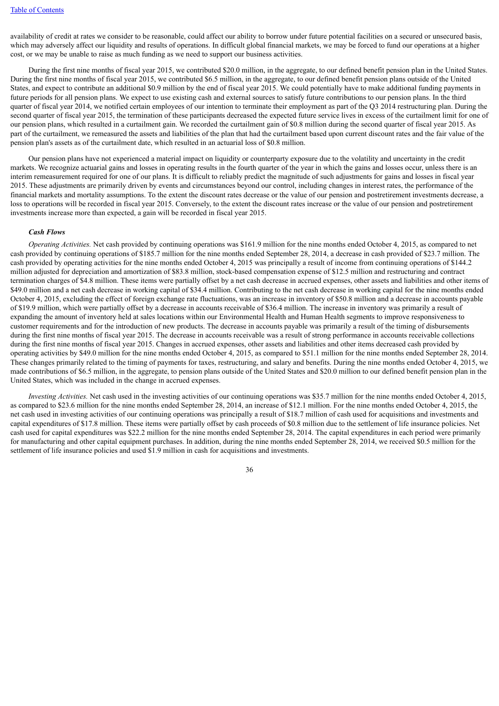availability of credit at rates we consider to be reasonable, could affect our ability to borrow under future potential facilities on a secured or unsecured basis, which may adversely affect our liquidity and results of operations. In difficult global financial markets, we may be forced to fund our operations at a higher cost, or we may be unable to raise as much funding as we need to support our business activities.

During the first nine months of fiscal year 2015, we contributed \$20.0 million, in the aggregate, to our defined benefit pension plan in the United States. During the first nine months of fiscal year 2015, we contributed \$6.5 million, in the aggregate, to our defined benefit pension plans outside of the United States, and expect to contribute an additional \$0.9 million by the end of fiscal year 2015. We could potentially have to make additional funding payments in future periods for all pension plans. We expect to use existing cash and external sources to satisfy future contributions to our pension plans. In the third quarter of fiscal year 2014, we notified certain employees of our intention to terminate their employment as part of the Q3 2014 restructuring plan. During the second quarter of fiscal year 2015, the termination of these participants decreased the expected future service lives in excess of the curtailment limit for one of our pension plans, which resulted in a curtailment gain. We recorded the curtailment gain of \$0.8 million during the second quarter of fiscal year 2015. As part of the curtailment, we remeasured the assets and liabilities of the plan that had the curtailment based upon current discount rates and the fair value of the pension plan's assets as of the curtailment date, which resulted in an actuarial loss of \$0.8 million.

Our pension plans have not experienced a material impact on liquidity or counterparty exposure due to the volatility and uncertainty in the credit markets. We recognize actuarial gains and losses in operating results in the fourth quarter of the year in which the gains and losses occur, unless there is an interim remeasurement required for one of our plans. It is difficult to reliably predict the magnitude of such adjustments for gains and losses in fiscal year 2015. These adjustments are primarily driven by events and circumstances beyond our control, including changes in interest rates, the performance of the financial markets and mortality assumptions. To the extent the discount rates decrease or the value of our pension and postretirement investments decrease, a loss to operations will be recorded in fiscal year 2015. Conversely, to the extent the discount rates increase or the value of our pension and postretirement investments increase more than expected, a gain will be recorded in fiscal year 2015.

#### *Cash Flows*

*Operating Activities.* Net cash provided by continuing operations was \$161.9 million for the nine months ended October 4, 2015, as compared to net cash provided by continuing operations of \$185.7 million for the nine months ended September 28, 2014, a decrease in cash provided of \$23.7 million. The cash provided by operating activities for the nine months ended October 4, 2015 was principally a result of income from continuing operations of \$144.2 million adjusted for depreciation and amortization of \$83.8 million, stock-based compensation expense of \$12.5 million and restructuring and contract termination charges of \$4.8 million. These items were partially offset by a net cash decrease in accrued expenses, other assets and liabilities and other items of \$49.0 million and a net cash decrease in working capital of \$34.4 million. Contributing to the net cash decrease in working capital for the nine months ended October 4, 2015, excluding the effect of foreign exchange rate fluctuations, was an increase in inventory of \$50.8 million and a decrease in accounts payable of \$19.9 million, which were partially offset by a decrease in accounts receivable of \$36.4 million. The increase in inventory was primarily a result of expanding the amount of inventory held at sales locations within our Environmental Health and Human Health segments to improve responsiveness to customer requirements and for the introduction of new products. The decrease in accounts payable was primarily a result of the timing of disbursements during the first nine months of fiscal year 2015. The decrease in accounts receivable was a result of strong performance in accounts receivable collections during the first nine months of fiscal year 2015. Changes in accrued expenses, other assets and liabilities and other items decreased cash provided by operating activities by \$49.0 million for the nine months ended October 4, 2015, as compared to \$51.1 million for the nine months ended September 28, 2014. These changes primarily related to the timing of payments for taxes, restructuring, and salary and benefits. During the nine months ended October 4, 2015, we made contributions of \$6.5 million, in the aggregate, to pension plans outside of the United States and \$20.0 million to our defined benefit pension plan in the United States, which was included in the change in accrued expenses.

*Investing Activities*. Net cash used in the investing activities of our continuing operations was \$35.7 million for the nine months ended October 4, 2015, as compared to \$23.6 million for the nine months ended September 28, 2014, an increase of \$12.1 million. For the nine months ended October 4, 2015, the net cash used in investing activities of our continuing operations was principally a result of \$18.7 million of cash used for acquisitions and investments and capital expenditures of \$17.8 million. These items were partially offset by cash proceeds of \$0.8 million due to the settlement of life insurance policies. Net cash used for capital expenditures was \$22.2 million for the nine months ended September 28, 2014. The capital expenditures in each period were primarily for manufacturing and other capital equipment purchases. In addition, during the nine months ended September 28, 2014, we received \$0.5 million for the settlement of life insurance policies and used \$1.9 million in cash for acquisitions and investments.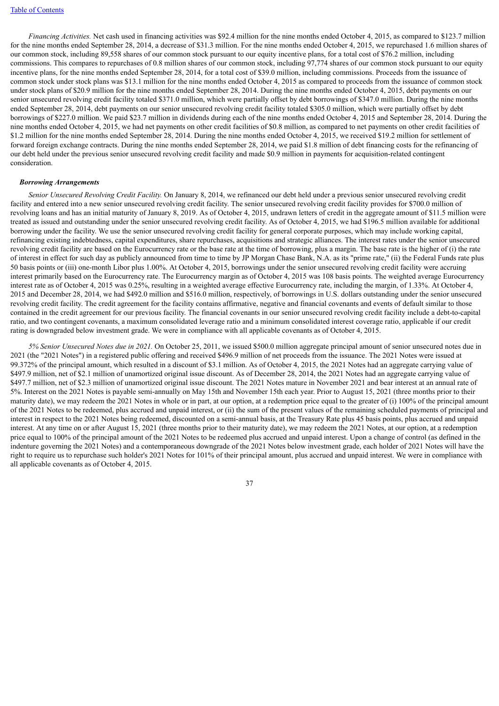*Financing Activities.* Net cash used in financing activities was \$92.4 million for the nine months ended October 4, 2015, as compared to \$123.7 million for the nine months ended September 28, 2014, a decrease of \$31.3 million. For the nine months ended October 4, 2015, we repurchased 1.6 million shares of our common stock, including 89,558 shares of our common stock pursuant to our equity incentive plans, for a total cost of \$76.2 million, including commissions. This compares to repurchases of 0.8 million shares of our common stock, including 97,774 shares of our common stock pursuant to our equity incentive plans, for the nine months ended September 28, 2014, for a total cost of \$39.0 million, including commissions. Proceeds from the issuance of common stock under stock plans was \$13.1 million for the nine months ended October 4, 2015 as compared to proceeds from the issuance of common stock under stock plans of \$20.9 million for the nine months ended September 28, 2014. During the nine months ended October 4, 2015, debt payments on our senior unsecured revolving credit facility totaled \$371.0 million, which were partially offset by debt borrowings of \$347.0 million. During the nine months ended September 28, 2014, debt payments on our senior unsecured revolving credit facility totaled \$305.0 million, which were partially offset by debt borrowings of \$227.0 million. We paid \$23.7 million in dividends during each of the nine months ended October 4, 2015 and September 28, 2014. During the nine months ended October 4, 2015, we had net payments on other credit facilities of \$0.8 million, as compared to net payments on other credit facilities of \$1.2 million for the nine months ended September 28, 2014. During the nine months ended October 4, 2015, we received \$19.2 million for settlement of forward foreign exchange contracts. During the nine months ended September 28, 2014, we paid \$1.8 million of debt financing costs for the refinancing of our debt held under the previous senior unsecured revolving credit facility and made \$0.9 million in payments for acquisition-related contingent consideration.

#### *Borrowing Arrangements*

*Senior Unsecured Revolving Credit Facility.* On January 8, 2014, we refinanced our debt held under a previous senior unsecured revolving credit facility and entered into a new senior unsecured revolving credit facility. The senior unsecured revolving credit facility provides for \$700.0 million of revolving loans and has an initial maturity of January 8, 2019. As of October 4, 2015, undrawn letters of credit in the aggregate amount of \$11.5 million were treated as issued and outstanding under the senior unsecured revolving credit facility. As of October 4, 2015, we had \$196.5 million available for additional borrowing under the facility. We use the senior unsecured revolving credit facility for general corporate purposes, which may include working capital, refinancing existing indebtedness, capital expenditures, share repurchases, acquisitions and strategic alliances. The interest rates under the senior unsecured revolving credit facility are based on the Eurocurrency rate or the base rate at the time of borrowing, plus a margin. The base rate is the higher of (i) the rate of interest in effect for such day as publicly announced from time to time by JP Morgan Chase Bank, N.A. as its "prime rate," (ii) the Federal Funds rate plus 50 basis points or (iii) one-month Libor plus 1.00%. At October 4, 2015, borrowings under the senior unsecured revolving credit facility were accruing interest primarily based on the Eurocurrency rate. The Eurocurrency margin as of October 4, 2015 was 108 basis points. The weighted average Eurocurrency interest rate as of October 4, 2015 was 0.25%, resulting in a weighted average effective Eurocurrency rate, including the margin, of 1.33%. At October 4, 2015 and December 28, 2014, we had \$492.0 million and \$516.0 million, respectively, of borrowings in U.S. dollars outstanding under the senior unsecured revolving credit facility. The credit agreement for the facility contains affirmative, negative and financial covenants and events of default similar to those contained in the credit agreement for our previous facility. The financial covenants in our senior unsecured revolving credit facility include a debt-to-capital ratio, and two contingent covenants, a maximum consolidated leverage ratio and a minimum consolidated interest coverage ratio, applicable if our credit rating is downgraded below investment grade. We were in compliance with all applicable covenants as of October 4, 2015.

*5% Senior Unsecured Notes due in 2021.* On October 25, 2011, we issued \$500.0 million aggregate principal amount of senior unsecured notes due in 2021 (the "2021 Notes") in a registered public offering and received \$496.9 million of net proceeds from the issuance. The 2021 Notes were issued at 99.372% of the principal amount, which resulted in a discount of \$3.1 million. As of October 4, 2015, the 2021 Notes had an aggregate carrying value of \$497.9 million, net of \$2.1 million of unamortized original issue discount. As of December 28, 2014, the 2021 Notes had an aggregate carrying value of \$497.7 million, net of \$2.3 million of unamortized original issue discount. The 2021 Notes mature in November 2021 and bear interest at an annual rate of 5%. Interest on the 2021 Notes is payable semi-annually on May 15th and November 15th each year. Prior to August 15, 2021 (three months prior to their maturity date), we may redeem the 2021 Notes in whole or in part, at our option, at a redemption price equal to the greater of (i) 100% of the principal amount of the 2021 Notes to be redeemed, plus accrued and unpaid interest, or (ii) the sum of the present values of the remaining scheduled payments of principal and interest in respect to the 2021 Notes being redeemed, discounted on a semi-annual basis, at the Treasury Rate plus 45 basis points, plus accrued and unpaid interest. At any time on or after August 15, 2021 (three months prior to their maturity date), we may redeem the 2021 Notes, at our option, at a redemption price equal to 100% of the principal amount of the 2021 Notes to be redeemed plus accrued and unpaid interest. Upon a change of control (as defined in the indenture governing the 2021 Notes) and a contemporaneous downgrade of the 2021 Notes below investment grade, each holder of 2021 Notes will have the right to require us to repurchase such holder's 2021 Notes for 101% of their principal amount, plus accrued and unpaid interest. We were in compliance with all applicable covenants as of October 4, 2015.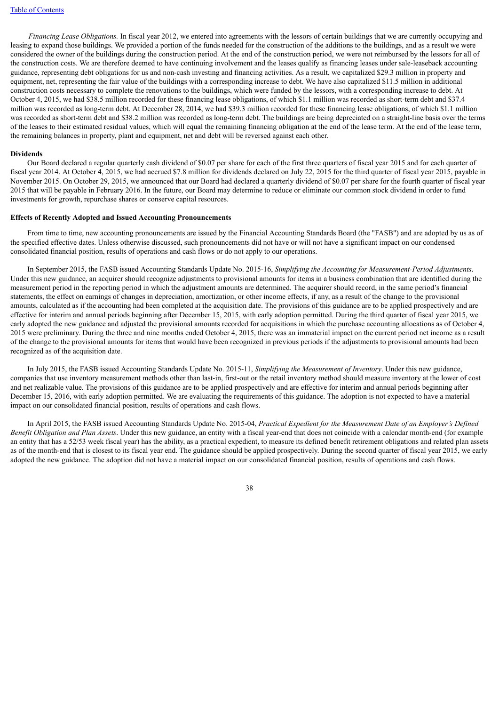*Financing Lease Obligations.* In fiscal year 2012, we entered into agreements with the lessors of certain buildings that we are currently occupying and leasing to expand those buildings. We provided a portion of the funds needed for the construction of the additions to the buildings, and as a result we were considered the owner of the buildings during the construction period. At the end of the construction period, we were not reimbursed by the lessors for all of the construction costs. We are therefore deemed to have continuing involvement and the leases qualify as financing leases under sale-leaseback accounting guidance, representing debt obligations for us and non-cash investing and financing activities. As a result, we capitalized \$29.3 million in property and equipment, net, representing the fair value of the buildings with a corresponding increase to debt. We have also capitalized \$11.5 million in additional construction costs necessary to complete the renovations to the buildings, which were funded by the lessors, with a corresponding increase to debt. At October 4, 2015, we had \$38.5 million recorded for these financing lease obligations, of which \$1.1 million was recorded as short-term debt and \$37.4 million was recorded as long-term debt. At December 28, 2014, we had \$39.3 million recorded for these financing lease obligations, of which \$1.1 million was recorded as short-term debt and \$38.2 million was recorded as long-term debt. The buildings are being depreciated on a straight-line basis over the terms of the leases to their estimated residual values, which will equal the remaining financing obligation at the end of the lease term. At the end of the lease term, the remaining balances in property, plant and equipment, net and debt will be reversed against each other.

## <span id="page-37-0"></span>**Dividends**

Our Board declared a regular quarterly cash dividend of \$0.07 per share for each of the first three quarters of fiscal year 2015 and for each quarter of fiscal year 2014. At October 4, 2015, we had accrued \$7.8 million for dividends declared on July 22, 2015 for the third quarter of fiscal year 2015, payable in November 2015. On October 29, 2015, we announced that our Board had declared a quarterly dividend of \$0.07 per share for the fourth quarter of fiscal year 2015 that will be payable in February 2016. In the future, our Board may determine to reduce or eliminate our common stock dividend in order to fund investments for growth, repurchase shares or conserve capital resources.

#### <span id="page-37-1"></span>**Effects of Recently Adopted and Issued Accounting Pronouncements**

From time to time, new accounting pronouncements are issued by the Financial Accounting Standards Board (the "FASB") and are adopted by us as of the specified effective dates. Unless otherwise discussed, such pronouncements did not have or will not have a significant impact on our condensed consolidated financial position, results of operations and cash flows or do not apply to our operations.

In September 2015, the FASB issued Accounting Standards Update No. 2015-16, *Simplifying the Accounting for Measurement-Period Adjustments*. Under this new guidance, an acquirer should recognize adjustments to provisional amounts for items in a business combination that are identified during the measurement period in the reporting period in which the adjustment amounts are determined. The acquirer should record, in the same period's financial statements, the effect on earnings of changes in depreciation, amortization, or other income effects, if any, as a result of the change to the provisional amounts, calculated as if the accounting had been completed at the acquisition date. The provisions of this guidance are to be applied prospectively and are effective for interim and annual periods beginning after December 15, 2015, with early adoption permitted. During the third quarter of fiscal year 2015, we early adopted the new guidance and adjusted the provisional amounts recorded for acquisitions in which the purchase accounting allocations as of October 4, 2015 were preliminary. During the three and nine months ended October 4, 2015, there was an immaterial impact on the current period net income as a result of the change to the provisional amounts for items that would have been recognized in previous periods if the adjustments to provisional amounts had been recognized as of the acquisition date.

In July 2015, the FASB issued Accounting Standards Update No. 2015-11, *Simplifying the Measurement of Inventory*. Under this new guidance, companies that use inventory measurement methods other than last-in, first-out or the retail inventory method should measure inventory at the lower of cost and net realizable value. The provisions of this guidance are to be applied prospectively and are effective for interim and annual periods beginning after December 15, 2016, with early adoption permitted. We are evaluating the requirements of this guidance. The adoption is not expected to have a material impact on our consolidated financial position, results of operations and cash flows.

In April 2015, the FASB issued Accounting Standards Update No. 2015-04, *Practical Expedient for the Measurement Date of an Employer's Defined Benefit Obligation and Plan Assets*. Under this new guidance, an entity with a fiscal year-end that does not coincide with a calendar month-end (for example an entity that has a 52/53 week fiscal year) has the ability, as a practical expedient, to measure its defined benefit retirement obligations and related plan assets as of the month-end that is closest to its fiscal year end. The guidance should be applied prospectively. During the second quarter of fiscal year 2015, we early adopted the new guidance. The adoption did not have a material impact on our consolidated financial position, results of operations and cash flows.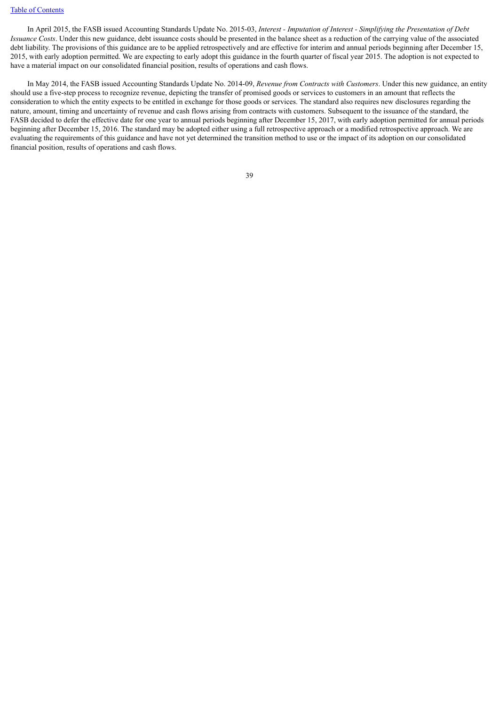In April 2015, the FASB issued Accounting Standards Update No. 2015-03, *Interest - Imputation of Interest - Simplifying the Presentation of Debt Issuance Costs*. Under this new guidance, debt issuance costs should be presented in the balance sheet as a reduction of the carrying value of the associated debt liability. The provisions of this guidance are to be applied retrospectively and are effective for interim and annual periods beginning after December 15, 2015, with early adoption permitted. We are expecting to early adopt this guidance in the fourth quarter of fiscal year 2015. The adoption is not expected to have a material impact on our consolidated financial position, results of operations and cash flows.

<span id="page-38-0"></span>In May 2014, the FASB issued Accounting Standards Update No. 2014-09, *Revenue from Contracts with Customers*. Under this new guidance, an entity should use a five-step process to recognize revenue, depicting the transfer of promised goods or services to customers in an amount that reflects the consideration to which the entity expects to be entitled in exchange for those goods or services. The standard also requires new disclosures regarding the nature, amount, timing and uncertainty of revenue and cash flows arising from contracts with customers. Subsequent to the issuance of the standard, the FASB decided to defer the effective date for one year to annual periods beginning after December 15, 2017, with early adoption permitted for annual periods beginning after December 15, 2016. The standard may be adopted either using a full retrospective approach or a modified retrospective approach. We are evaluating the requirements of this guidance and have not yet determined the transition method to use or the impact of its adoption on our consolidated financial position, results of operations and cash flows.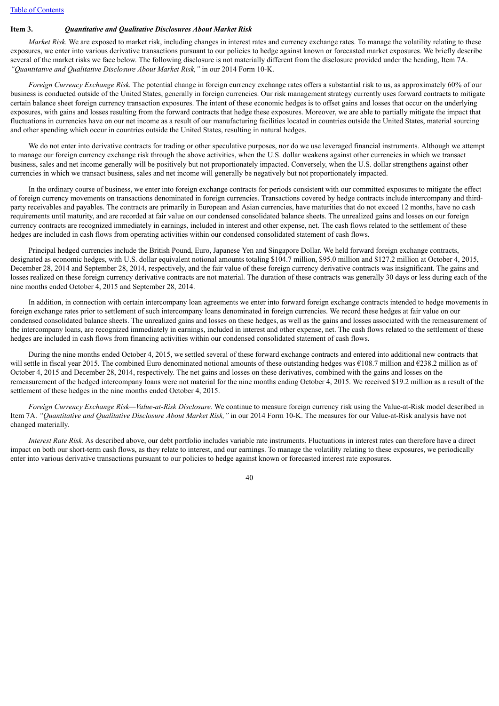#### **Item 3.** *Quantitative and Qualitative Disclosures About Market Risk*

*Market Risk.* We are exposed to market risk, including changes in interest rates and currency exchange rates. To manage the volatility relating to these exposures, we enter into various derivative transactions pursuant to our policies to hedge against known or forecasted market exposures. We briefly describe several of the market risks we face below. The following disclosure is not materially different from the disclosure provided under the heading, Item 7A. *"Quantitative and Qualitative Disclosure About Market Risk,"* in our 2014 Form 10-K.

*Foreign Currency Exchange Risk.* The potential change in foreign currency exchange rates offers a substantial risk to us, as approximately 60% of our business is conducted outside of the United States, generally in foreign currencies. Our risk management strategy currently uses forward contracts to mitigate certain balance sheet foreign currency transaction exposures. The intent of these economic hedges is to offset gains and losses that occur on the underlying exposures, with gains and losses resulting from the forward contracts that hedge these exposures. Moreover, we are able to partially mitigate the impact that fluctuations in currencies have on our net income as a result of our manufacturing facilities located in countries outside the United States, material sourcing and other spending which occur in countries outside the United States, resulting in natural hedges.

We do not enter into derivative contracts for trading or other speculative purposes, nor do we use leveraged financial instruments. Although we attempt to manage our foreign currency exchange risk through the above activities, when the U.S. dollar weakens against other currencies in which we transact business, sales and net income generally will be positively but not proportionately impacted. Conversely, when the U.S. dollar strengthens against other currencies in which we transact business, sales and net income will generally be negatively but not proportionately impacted.

In the ordinary course of business, we enter into foreign exchange contracts for periods consistent with our committed exposures to mitigate the effect of foreign currency movements on transactions denominated in foreign currencies. Transactions covered by hedge contracts include intercompany and thirdparty receivables and payables. The contracts are primarily in European and Asian currencies, have maturities that do not exceed 12 months, have no cash requirements until maturity, and are recorded at fair value on our condensed consolidated balance sheets. The unrealized gains and losses on our foreign currency contracts are recognized immediately in earnings, included in interest and other expense, net. The cash flows related to the settlement of these hedges are included in cash flows from operating activities within our condensed consolidated statement of cash flows.

Principal hedged currencies include the British Pound, Euro, Japanese Yen and Singapore Dollar. We held forward foreign exchange contracts, designated as economic hedges, with U.S. dollar equivalent notional amounts totaling \$104.7 million, \$95.0 million and \$127.2 million at October 4, 2015, December 28, 2014 and September 28, 2014, respectively, and the fair value of these foreign currency derivative contracts was insignificant. The gains and losses realized on these foreign currency derivative contracts are not material. The duration of these contracts was generally 30 days or less during each of the nine months ended October 4, 2015 and September 28, 2014.

In addition, in connection with certain intercompany loan agreements we enter into forward foreign exchange contracts intended to hedge movements in foreign exchange rates prior to settlement of such intercompany loans denominated in foreign currencies. We record these hedges at fair value on our condensed consolidated balance sheets. The unrealized gains and losses on these hedges, as well as the gains and losses associated with the remeasurement of the intercompany loans, are recognized immediately in earnings, included in interest and other expense, net. The cash flows related to the settlement of these hedges are included in cash flows from financing activities within our condensed consolidated statement of cash flows.

During the nine months ended October 4, 2015, we settled several of these forward exchange contracts and entered into additional new contracts that will settle in fiscal year 2015. The combined Euro denominated notional amounts of these outstanding hedges was  $\epsilon$ 108.7 million and  $\epsilon$ 238.2 million as of October 4, 2015 and December 28, 2014, respectively. The net gains and losses on these derivatives, combined with the gains and losses on the remeasurement of the hedged intercompany loans were not material for the nine months ending October 4, 2015. We received \$19.2 million as a result of the settlement of these hedges in the nine months ended October 4, 2015.

*Foreign Currency Exchange Risk—Value-at-Risk Disclosure*. We continue to measure foreign currency risk using the Value-at-Risk model described in Item 7A. *"Quantitative and Qualitative Disclosure About Market Risk,"* in our 2014 Form 10-K. The measures for our Value-at-Risk analysis have not changed materially.

*Interest Rate Risk.* As described above, our debt portfolio includes variable rate instruments. Fluctuations in interest rates can therefore have a direct impact on both our short-term cash flows, as they relate to interest, and our earnings. To manage the volatility relating to these exposures, we periodically enter into various derivative transactions pursuant to our policies to hedge against known or forecasted interest rate exposures.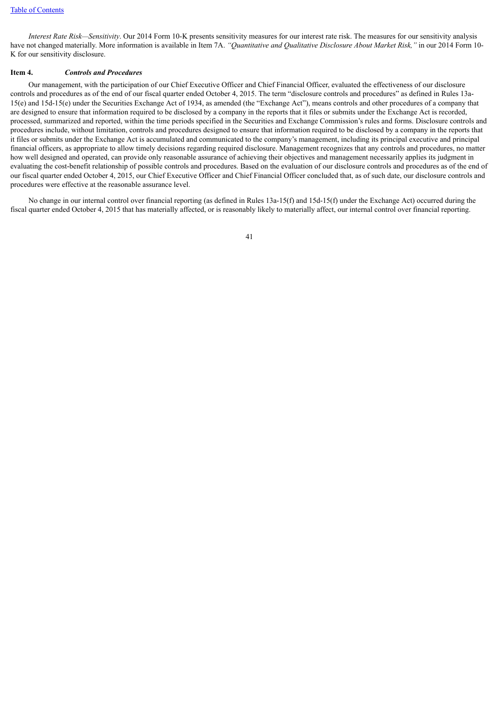*Interest Rate Risk—Sensitivity*. Our 2014 Form 10-K presents sensitivity measures for our interest rate risk. The measures for our sensitivity analysis have not changed materially. More information is available in Item 7A. *"Quantitative and Qualitative Disclosure About Market Risk,"* in our 2014 Form 10- K for our sensitivity disclosure.

### <span id="page-40-0"></span>**Item 4.** *Controls and Procedures*

Our management, with the participation of our Chief Executive Officer and Chief Financial Officer, evaluated the effectiveness of our disclosure controls and procedures as of the end of our fiscal quarter ended October 4, 2015. The term "disclosure controls and procedures" as defined in Rules 13a-15(e) and 15d-15(e) under the Securities Exchange Act of 1934, as amended (the "Exchange Act"), means controls and other procedures of a company that are designed to ensure that information required to be disclosed by a company in the reports that it files or submits under the Exchange Act is recorded, processed, summarized and reported, within the time periods specified in the Securities and Exchange Commission's rules and forms. Disclosure controls and procedures include, without limitation, controls and procedures designed to ensure that information required to be disclosed by a company in the reports that it files or submits under the Exchange Act is accumulated and communicated to the company's management, including its principal executive and principal financial officers, as appropriate to allow timely decisions regarding required disclosure. Management recognizes that any controls and procedures, no matter how well designed and operated, can provide only reasonable assurance of achieving their objectives and management necessarily applies its judgment in evaluating the cost-benefit relationship of possible controls and procedures. Based on the evaluation of our disclosure controls and procedures as of the end of our fiscal quarter ended October 4, 2015, our Chief Executive Officer and Chief Financial Officer concluded that, as of such date, our disclosure controls and procedures were effective at the reasonable assurance level.

No change in our internal control over financial reporting (as defined in Rules 13a-15(f) and 15d-15(f) under the Exchange Act) occurred during the fiscal quarter ended October 4, 2015 that has materially affected, or is reasonably likely to materially affect, our internal control over financial reporting.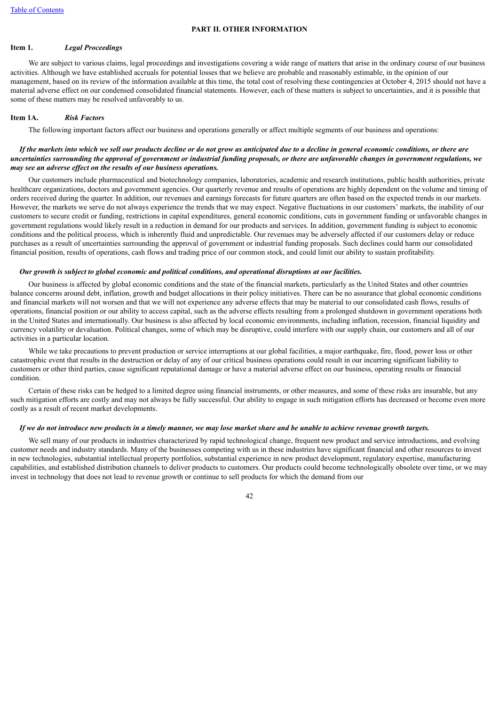# **PART II. OTHER INFORMATION**

# <span id="page-41-0"></span>**Item 1.** *Legal Proceedings*

We are subject to various claims, legal proceedings and investigations covering a wide range of matters that arise in the ordinary course of our business activities. Although we have established accruals for potential losses that we believe are probable and reasonably estimable, in the opinion of our management, based on its review of the information available at this time, the total cost of resolving these contingencies at October 4, 2015 should not have a material adverse effect on our condensed consolidated financial statements. However, each of these matters is subject to uncertainties, and it is possible that some of these matters may be resolved unfavorably to us.

# <span id="page-41-1"></span>**Item 1A.** *Risk Factors*

The following important factors affect our business and operations generally or affect multiple segments of our business and operations:

# If the markets into which we sell our products decline or do not grow as anticipated due to a decline in general economic conditions, or there are uncertainties surrounding the approval of government or industrial funding proposals, or there are unfavorable changes in government regulations, we *may see an adverse ef ect on the results of our business operations.*

Our customers include pharmaceutical and biotechnology companies, laboratories, academic and research institutions, public health authorities, private healthcare organizations, doctors and government agencies. Our quarterly revenue and results of operations are highly dependent on the volume and timing of orders received during the quarter. In addition, our revenues and earnings forecasts for future quarters are often based on the expected trends in our markets. However, the markets we serve do not always experience the trends that we may expect. Negative fluctuations in our customers' markets, the inability of our customers to secure credit or funding, restrictions in capital expenditures, general economic conditions, cuts in government funding or unfavorable changes in government regulations would likely result in a reduction in demand for our products and services. In addition, government funding is subject to economic conditions and the political process, which is inherently fluid and unpredictable. Our revenues may be adversely affected if our customers delay or reduce purchases as a result of uncertainties surrounding the approval of government or industrial funding proposals. Such declines could harm our consolidated financial position, results of operations, cash flows and trading price of our common stock, and could limit our ability to sustain profitability.

#### Our growth is subject to global economic and political conditions, and operational disruptions at our facilities.

Our business is affected by global economic conditions and the state of the financial markets, particularly as the United States and other countries balance concerns around debt, inflation, growth and budget allocations in their policy initiatives. There can be no assurance that global economic conditions and financial markets will not worsen and that we will not experience any adverse effects that may be material to our consolidated cash flows, results of operations, financial position or our ability to access capital, such as the adverse effects resulting from a prolonged shutdown in government operations both in the United States and internationally. Our business is also affected by local economic environments, including inflation, recession, financial liquidity and currency volatility or devaluation. Political changes, some of which may be disruptive, could interfere with our supply chain, our customers and all of our activities in a particular location.

While we take precautions to prevent production or service interruptions at our global facilities, a major earthquake, fire, flood, power loss or other catastrophic event that results in the destruction or delay of any of our critical business operations could result in our incurring significant liability to customers or other third parties, cause significant reputational damage or have a material adverse effect on our business, operating results or financial condition.

Certain of these risks can be hedged to a limited degree using financial instruments, or other measures, and some of these risks are insurable, but any such mitigation efforts are costly and may not always be fully successful. Our ability to engage in such mitigation efforts has decreased or become even more costly as a result of recent market developments.

## If we do not introduce new products in a timely manner, we may lose market share and be unable to achieve revenue growth targets.

We sell many of our products in industries characterized by rapid technological change, frequent new product and service introductions, and evolving customer needs and industry standards. Many of the businesses competing with us in these industries have significant financial and other resources to invest in new technologies, substantial intellectual property portfolios, substantial experience in new product development, regulatory expertise, manufacturing capabilities, and established distribution channels to deliver products to customers. Our products could become technologically obsolete over time, or we may invest in technology that does not lead to revenue growth or continue to sell products for which the demand from our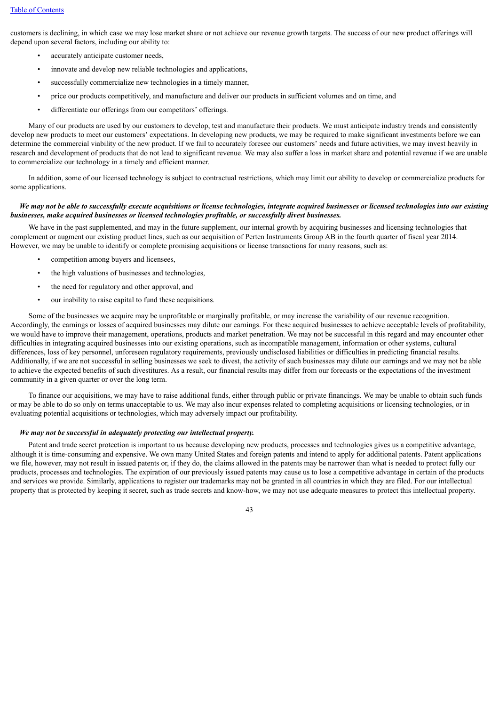customers is declining, in which case we may lose market share or not achieve our revenue growth targets. The success of our new product offerings will depend upon several factors, including our ability to:

- accurately anticipate customer needs,
- innovate and develop new reliable technologies and applications,
- successfully commercialize new technologies in a timely manner,
- price our products competitively, and manufacture and deliver our products in sufficient volumes and on time, and
- differentiate our offerings from our competitors' offerings.

Many of our products are used by our customers to develop, test and manufacture their products. We must anticipate industry trends and consistently develop new products to meet our customers' expectations. In developing new products, we may be required to make significant investments before we can determine the commercial viability of the new product. If we fail to accurately foresee our customers' needs and future activities, we may invest heavily in research and development of products that do not lead to significant revenue. We may also suffer a loss in market share and potential revenue if we are unable to commercialize our technology in a timely and efficient manner.

In addition, some of our licensed technology is subject to contractual restrictions, which may limit our ability to develop or commercialize products for some applications.

# We may not be able to successfully execute acquisitions or license technologies, integrate acquired businesses or licensed technologies into our existing *businesses, make acquired businesses or licensed technologies profitable, or successfully divest businesses.*

We have in the past supplemented, and may in the future supplement, our internal growth by acquiring businesses and licensing technologies that complement or augment our existing product lines, such as our acquisition of Perten Instruments Group AB in the fourth quarter of fiscal year 2014. However, we may be unable to identify or complete promising acquisitions or license transactions for many reasons, such as:

- competition among buyers and licensees,
- the high valuations of businesses and technologies,
- the need for regulatory and other approval, and
- our inability to raise capital to fund these acquisitions.

Some of the businesses we acquire may be unprofitable or marginally profitable, or may increase the variability of our revenue recognition. Accordingly, the earnings or losses of acquired businesses may dilute our earnings. For these acquired businesses to achieve acceptable levels of profitability, we would have to improve their management, operations, products and market penetration. We may not be successful in this regard and may encounter other difficulties in integrating acquired businesses into our existing operations, such as incompatible management, information or other systems, cultural differences, loss of key personnel, unforeseen regulatory requirements, previously undisclosed liabilities or difficulties in predicting financial results. Additionally, if we are not successful in selling businesses we seek to divest, the activity of such businesses may dilute our earnings and we may not be able to achieve the expected benefits of such divestitures. As a result, our financial results may differ from our forecasts or the expectations of the investment community in a given quarter or over the long term.

To finance our acquisitions, we may have to raise additional funds, either through public or private financings. We may be unable to obtain such funds or may be able to do so only on terms unacceptable to us. We may also incur expenses related to completing acquisitions or licensing technologies, or in evaluating potential acquisitions or technologies, which may adversely impact our profitability.

#### *We may not be successful in adequately protecting our intellectual property.*

Patent and trade secret protection is important to us because developing new products, processes and technologies gives us a competitive advantage, although it is time-consuming and expensive. We own many United States and foreign patents and intend to apply for additional patents. Patent applications we file, however, may not result in issued patents or, if they do, the claims allowed in the patents may be narrower than what is needed to protect fully our products, processes and technologies. The expiration of our previously issued patents may cause us to lose a competitive advantage in certain of the products and services we provide. Similarly, applications to register our trademarks may not be granted in all countries in which they are filed. For our intellectual property that is protected by keeping it secret, such as trade secrets and know-how, we may not use adequate measures to protect this intellectual property.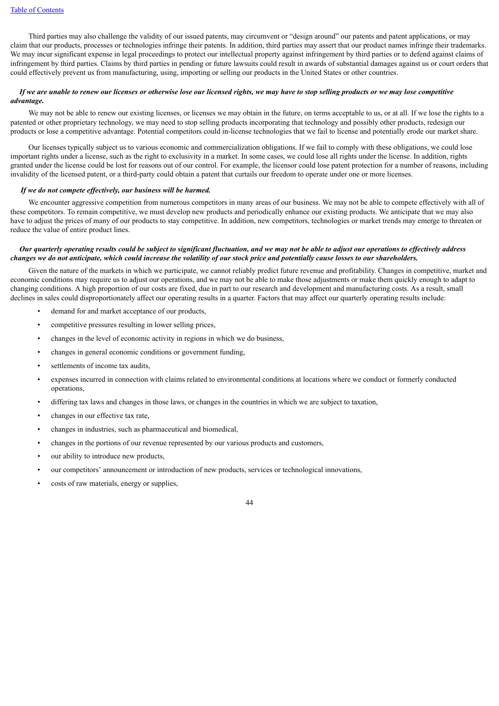Third parties may also challenge the validity of our issued patents, may circumvent or "design around" our patents and patent applications, or may claim that our products, processes or technologies infringe their patents. In addition, third parties may assert that our product names infringe their trademarks. We may incur significant expense in legal proceedings to protect our intellectual property against infringement by third parties or to defend against claims of infringement by third parties. Claims by third parties in pending or future lawsuits could result in awards of substantial damages against us or court orders that could effectively prevent us from manufacturing, using, importing or selling our products in the United States or other countries.

# If we are unable to renew our licenses or otherwise lose our licensed rights, we may have to stop selling products or we may lose competitive *advantage.*

We may not be able to renew our existing licenses, or licenses we may obtain in the future, on terms acceptable to us, or at all. If we lose the rights to a patented or other proprietary technology, we may need to stop selling products incorporating that technology and possibly other products, redesign our products or lose a competitive advantage. Potential competitors could in-license technologies that we fail to license and potentially erode our market share.

Our licenses typically subject us to various economic and commercialization obligations. If we fail to comply with these obligations, we could lose important rights under a license, such as the right to exclusivity in a market. In some cases, we could lose all rights under the license. In addition, rights granted under the license could be lost for reasons out of our control. For example, the licensor could lose patent protection for a number of reasons, including invalidity of the licensed patent, or a third-party could obtain a patent that curtails our freedom to operate under one or more licenses.

# *If we do not compete ef ectively, our business will be harmed.*

We encounter aggressive competition from numerous competitors in many areas of our business. We may not be able to compete effectively with all of these competitors. To remain competitive, we must develop new products and periodically enhance our existing products. We anticipate that we may also have to adjust the prices of many of our products to stay competitive. In addition, new competitors, technologies or market trends may emerge to threaten or reduce the value of entire product lines.

# Our quarterly operating results could be subject to significant fluctuation, and we may not be able to adjust our operations to effectively address changes we do not anticipate, which could increase the volatility of our stock price and potentially cause losses to our shareholders.

Given the nature of the markets in which we participate, we cannot reliably predict future revenue and profitability. Changes in competitive, market and economic conditions may require us to adjust our operations, and we may not be able to make those adjustments or make them quickly enough to adapt to changing conditions. A high proportion of our costs are fixed, due in part to our research and development and manufacturing costs. As a result, small declines in sales could disproportionately affect our operating results in a quarter. Factors that may affect our quarterly operating results include:

- demand for and market acceptance of our products,
- competitive pressures resulting in lower selling prices,
- changes in the level of economic activity in regions in which we do business,
- changes in general economic conditions or government funding,
- settlements of income tax audits,
- expenses incurred in connection with claims related to environmental conditions at locations where we conduct or formerly conducted operations,
- differing tax laws and changes in those laws, or changes in the countries in which we are subject to taxation,
- changes in our effective tax rate,
- changes in industries, such as pharmaceutical and biomedical,
- changes in the portions of our revenue represented by our various products and customers,
- our ability to introduce new products,
- our competitors' announcement or introduction of new products, services or technological innovations,
- costs of raw materials, energy or supplies,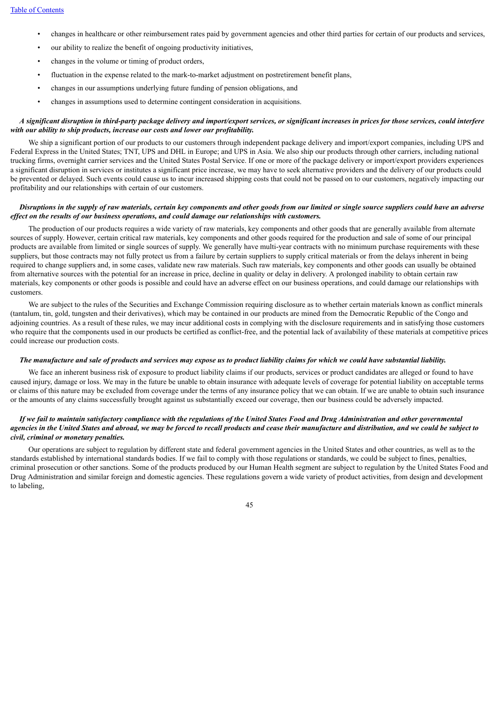- changes in healthcare or other reimbursement rates paid by government agencies and other third parties for certain of our products and services,
- our ability to realize the benefit of ongoing productivity initiatives,
- changes in the volume or timing of product orders,
- fluctuation in the expense related to the mark-to-market adjustment on postretirement benefit plans,
- changes in our assumptions underlying future funding of pension obligations, and
- changes in assumptions used to determine contingent consideration in acquisitions.

#### A significant disruption in third-party package delivery and import/export services, or significant increases in prices for those services, could interfere *with our ability to ship products, increase our costs and lower our profitability.*

We ship a significant portion of our products to our customers through independent package delivery and import/export companies, including UPS and Federal Express in the United States; TNT, UPS and DHL in Europe; and UPS in Asia. We also ship our products through other carriers, including national trucking firms, overnight carrier services and the United States Postal Service. If one or more of the package delivery or import/export providers experiences a significant disruption in services or institutes a significant price increase, we may have to seek alternative providers and the delivery of our products could be prevented or delayed. Such events could cause us to incur increased shipping costs that could not be passed on to our customers, negatively impacting our profitability and our relationships with certain of our customers.

# Disruptions in the supply of raw materials, certain key components and other goods from our limited or single source suppliers could have an adverse *ef ect on the results of our business operations, and could damage our relationships with customers.*

The production of our products requires a wide variety of raw materials, key components and other goods that are generally available from alternate sources of supply. However, certain critical raw materials, key components and other goods required for the production and sale of some of our principal products are available from limited or single sources of supply. We generally have multi-year contracts with no minimum purchase requirements with these suppliers, but those contracts may not fully protect us from a failure by certain suppliers to supply critical materials or from the delays inherent in being required to change suppliers and, in some cases, validate new raw materials. Such raw materials, key components and other goods can usually be obtained from alternative sources with the potential for an increase in price, decline in quality or delay in delivery. A prolonged inability to obtain certain raw materials, key components or other goods is possible and could have an adverse effect on our business operations, and could damage our relationships with customers.

We are subject to the rules of the Securities and Exchange Commission requiring disclosure as to whether certain materials known as conflict minerals (tantalum, tin, gold, tungsten and their derivatives), which may be contained in our products are mined from the Democratic Republic of the Congo and adjoining countries. As a result of these rules, we may incur additional costs in complying with the disclosure requirements and in satisfying those customers who require that the components used in our products be certified as conflict-free, and the potential lack of availability of these materials at competitive prices could increase our production costs.

#### The manufacture and sale of products and services may expose us to product liability claims for which we could have substantial liability.

We face an inherent business risk of exposure to product liability claims if our products, services or product candidates are alleged or found to have caused injury, damage or loss. We may in the future be unable to obtain insurance with adequate levels of coverage for potential liability on acceptable terms or claims of this nature may be excluded from coverage under the terms of any insurance policy that we can obtain. If we are unable to obtain such insurance or the amounts of any claims successfully brought against us substantially exceed our coverage, then our business could be adversely impacted.

# If we fail to maintain satisfactory compliance with the regulations of the United States Food and Drug Administration and other governmental agencies in the United States and abroad, we may be forced to recall products and cease their manufacture and distribution, and we could be subject to *civil, criminal or monetary penalties.*

Our operations are subject to regulation by different state and federal government agencies in the United States and other countries, as well as to the standards established by international standards bodies. If we fail to comply with those regulations or standards, we could be subject to fines, penalties, criminal prosecution or other sanctions. Some of the products produced by our Human Health segment are subject to regulation by the United States Food and Drug Administration and similar foreign and domestic agencies. These regulations govern a wide variety of product activities, from design and development to labeling,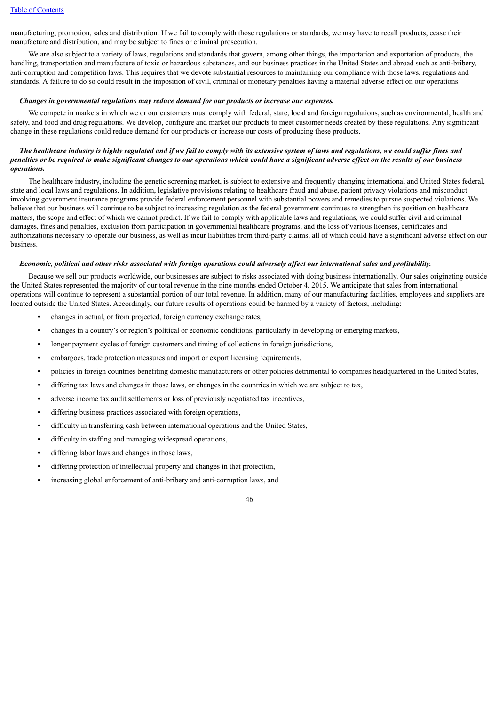manufacturing, promotion, sales and distribution. If we fail to comply with those regulations or standards, we may have to recall products, cease their manufacture and distribution, and may be subject to fines or criminal prosecution.

We are also subject to a variety of laws, regulations and standards that govern, among other things, the importation and exportation of products, the handling, transportation and manufacture of toxic or hazardous substances, and our business practices in the United States and abroad such as anti-bribery, anti-corruption and competition laws. This requires that we devote substantial resources to maintaining our compliance with those laws, regulations and standards. A failure to do so could result in the imposition of civil, criminal or monetary penalties having a material adverse effect on our operations.

#### *Changes in governmental regulations may reduce demand for our products or increase our expenses.*

We compete in markets in which we or our customers must comply with federal, state, local and foreign regulations, such as environmental, health and safety, and food and drug regulations. We develop, configure and market our products to meet customer needs created by these regulations. Any significant change in these regulations could reduce demand for our products or increase our costs of producing these products.

# The healthcare industry is highly regulated and if we fail to comply with its extensive system of laws and regulations, we could suffer fines and penalties or be required to make significant changes to our operations which could have a significant adverse effect on the results of our business *operations.*

The healthcare industry, including the genetic screening market, is subject to extensive and frequently changing international and United States federal, state and local laws and regulations. In addition, legislative provisions relating to healthcare fraud and abuse, patient privacy violations and misconduct involving government insurance programs provide federal enforcement personnel with substantial powers and remedies to pursue suspected violations. We believe that our business will continue to be subject to increasing regulation as the federal government continues to strengthen its position on healthcare matters, the scope and effect of which we cannot predict. If we fail to comply with applicable laws and regulations, we could suffer civil and criminal damages, fines and penalties, exclusion from participation in governmental healthcare programs, and the loss of various licenses, certificates and authorizations necessary to operate our business, as well as incur liabilities from third-party claims, all of which could have a significant adverse effect on our business.

#### Economic, political and other risks associated with foreign operations could adversely affect our international sales and profitability.

Because we sell our products worldwide, our businesses are subject to risks associated with doing business internationally. Our sales originating outside the United States represented the majority of our total revenue in the nine months ended October 4, 2015. We anticipate that sales from international operations will continue to represent a substantial portion of our total revenue. In addition, many of our manufacturing facilities, employees and suppliers are located outside the United States. Accordingly, our future results of operations could be harmed by a variety of factors, including:

- changes in actual, or from projected, foreign currency exchange rates,
- changes in a country's or region's political or economic conditions, particularly in developing or emerging markets,
- longer payment cycles of foreign customers and timing of collections in foreign jurisdictions,
- embargoes, trade protection measures and import or export licensing requirements,
- policies in foreign countries benefiting domestic manufacturers or other policies detrimental to companies headquartered in the United States,
- differing tax laws and changes in those laws, or changes in the countries in which we are subject to tax,
- adverse income tax audit settlements or loss of previously negotiated tax incentives,
- differing business practices associated with foreign operations,
- difficulty in transferring cash between international operations and the United States,
- difficulty in staffing and managing widespread operations,
- differing labor laws and changes in those laws,
- differing protection of intellectual property and changes in that protection,
- increasing global enforcement of anti-bribery and anti-corruption laws, and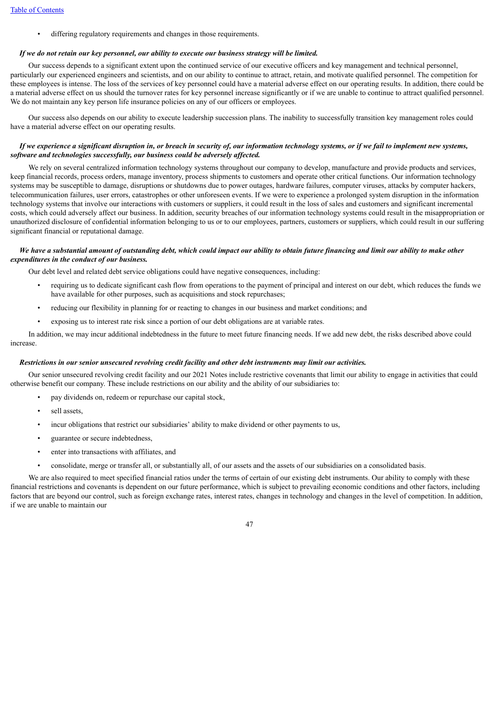• differing regulatory requirements and changes in those requirements.

### If we do not retain our key personnel, our ability to execute our business strategy will be limited.

Our success depends to a significant extent upon the continued service of our executive officers and key management and technical personnel, particularly our experienced engineers and scientists, and on our ability to continue to attract, retain, and motivate qualified personnel. The competition for these employees is intense. The loss of the services of key personnel could have a material adverse effect on our operating results. In addition, there could be a material adverse effect on us should the turnover rates for key personnel increase significantly or if we are unable to continue to attract qualified personnel. We do not maintain any key person life insurance policies on any of our officers or employees.

Our success also depends on our ability to execute leadership succession plans. The inability to successfully transition key management roles could have a material adverse effect on our operating results.

# If we experience a significant disruption in, or breach in security of, our information technology systems, or if we fail to implement new systems, *software and technologies successfully, our business could be adversely af ected.*

We rely on several centralized information technology systems throughout our company to develop, manufacture and provide products and services, keep financial records, process orders, manage inventory, process shipments to customers and operate other critical functions. Our information technology systems may be susceptible to damage, disruptions or shutdowns due to power outages, hardware failures, computer viruses, attacks by computer hackers, telecommunication failures, user errors, catastrophes or other unforeseen events. If we were to experience a prolonged system disruption in the information technology systems that involve our interactions with customers or suppliers, it could result in the loss of sales and customers and significant incremental costs, which could adversely affect our business. In addition, security breaches of our information technology systems could result in the misappropriation or unauthorized disclosure of confidential information belonging to us or to our employees, partners, customers or suppliers, which could result in our suffering significant financial or reputational damage.

# We have a substantial amount of outstanding debt, which could impact our ability to obtain future financing and limit our ability to make other *expenditures in the conduct of our business.*

Our debt level and related debt service obligations could have negative consequences, including:

- requiring us to dedicate significant cash flow from operations to the payment of principal and interest on our debt, which reduces the funds we have available for other purposes, such as acquisitions and stock repurchases;
- reducing our flexibility in planning for or reacting to changes in our business and market conditions; and
- exposing us to interest rate risk since a portion of our debt obligations are at variable rates.

In addition, we may incur additional indebtedness in the future to meet future financing needs. If we add new debt, the risks described above could increase.

# Restrictions in our senior unsecured revolving credit facility and other debt instruments may limit our activities.

Our senior unsecured revolving credit facility and our 2021 Notes include restrictive covenants that limit our ability to engage in activities that could otherwise benefit our company. These include restrictions on our ability and the ability of our subsidiaries to:

- pay dividends on, redeem or repurchase our capital stock,
- sell assets,
- incur obligations that restrict our subsidiaries' ability to make dividend or other payments to us,
- guarantee or secure indebtedness,
- enter into transactions with affiliates, and
- consolidate, merge or transfer all, or substantially all, of our assets and the assets of our subsidiaries on a consolidated basis.

We are also required to meet specified financial ratios under the terms of certain of our existing debt instruments. Our ability to comply with these financial restrictions and covenants is dependent on our future performance, which is subject to prevailing economic conditions and other factors, including factors that are beyond our control, such as foreign exchange rates, interest rates, changes in technology and changes in the level of competition. In addition, if we are unable to maintain our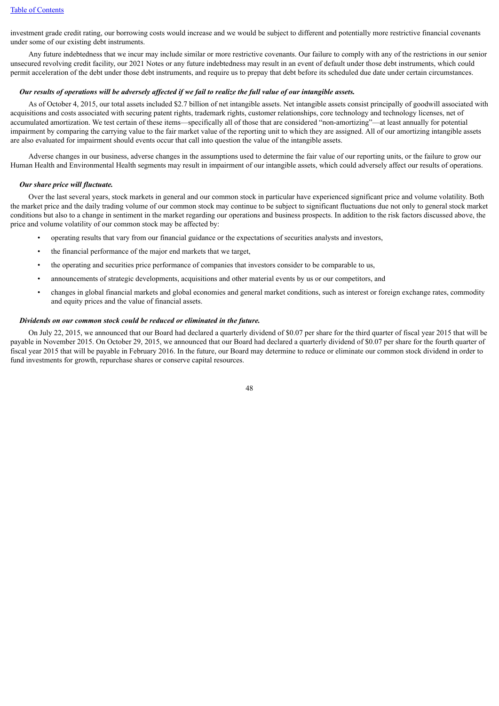investment grade credit rating, our borrowing costs would increase and we would be subject to different and potentially more restrictive financial covenants under some of our existing debt instruments.

Any future indebtedness that we incur may include similar or more restrictive covenants. Our failure to comply with any of the restrictions in our senior unsecured revolving credit facility, our 2021 Notes or any future indebtedness may result in an event of default under those debt instruments, which could permit acceleration of the debt under those debt instruments, and require us to prepay that debt before its scheduled due date under certain circumstances.

# Our results of operations will be adversely affected if we fail to realize the full value of our intangible assets.

As of October 4, 2015, our total assets included \$2.7 billion of net intangible assets. Net intangible assets consist principally of goodwill associated with acquisitions and costs associated with securing patent rights, trademark rights, customer relationships, core technology and technology licenses, net of accumulated amortization. We test certain of these items—specifically all of those that are considered "non-amortizing"—at least annually for potential impairment by comparing the carrying value to the fair market value of the reporting unit to which they are assigned. All of our amortizing intangible assets are also evaluated for impairment should events occur that call into question the value of the intangible assets.

Adverse changes in our business, adverse changes in the assumptions used to determine the fair value of our reporting units, or the failure to grow our Human Health and Environmental Health segments may result in impairment of our intangible assets, which could adversely affect our results of operations.

#### *Our share price will fluctuate.*

Over the last several years, stock markets in general and our common stock in particular have experienced significant price and volume volatility. Both the market price and the daily trading volume of our common stock may continue to be subject to significant fluctuations due not only to general stock market conditions but also to a change in sentiment in the market regarding our operations and business prospects. In addition to the risk factors discussed above, the price and volume volatility of our common stock may be affected by:

- operating results that vary from our financial guidance or the expectations of securities analysts and investors,
- the financial performance of the major end markets that we target,
- the operating and securities price performance of companies that investors consider to be comparable to us,
- announcements of strategic developments, acquisitions and other material events by us or our competitors, and
- changes in global financial markets and global economies and general market conditions, such as interest or foreign exchange rates, commodity and equity prices and the value of financial assets.

# *Dividends on our common stock could be reduced or eliminated in the future.*

<span id="page-47-0"></span>On July 22, 2015, we announced that our Board had declared a quarterly dividend of \$0.07 per share for the third quarter of fiscal year 2015 that will be payable in November 2015. On October 29, 2015, we announced that our Board had declared a quarterly dividend of \$0.07 per share for the fourth quarter of fiscal year 2015 that will be payable in February 2016. In the future, our Board may determine to reduce or eliminate our common stock dividend in order to fund investments for growth, repurchase shares or conserve capital resources.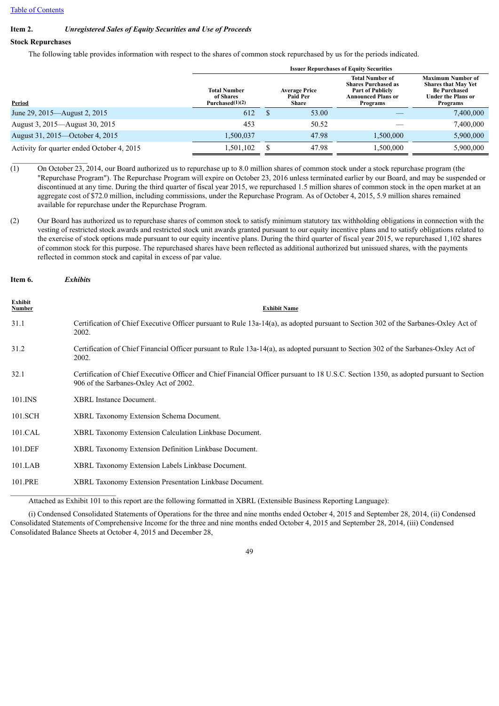# **Item 2.** *Unregistered Sales of Equity Securities and Use of Proceeds*

# **Stock Repurchases**

The following table provides information with respect to the shares of common stock repurchased by us for the periods indicated.

|                                            | <b>Issuer Repurchases of Equity Securities</b>                                                          |   |       |                                                                                                                          |                                                                                                                        |  |  |  |  |  |
|--------------------------------------------|---------------------------------------------------------------------------------------------------------|---|-------|--------------------------------------------------------------------------------------------------------------------------|------------------------------------------------------------------------------------------------------------------------|--|--|--|--|--|
| Period                                     | <b>Total Number</b><br><b>Average Price</b><br><b>Paid Per</b><br>of Shares<br>Purchased(1)(2)<br>Share |   |       | <b>Total Number of</b><br><b>Shares Purchased as</b><br><b>Part of Publicly</b><br><b>Announced Plans or</b><br>Programs | <b>Maximum Number of</b><br><b>Shares that May Yet</b><br><b>Be Purchased</b><br><b>Under the Plans or</b><br>Programs |  |  |  |  |  |
| June 29, 2015—August 2, 2015               | 612                                                                                                     |   | 53.00 |                                                                                                                          | 7,400,000                                                                                                              |  |  |  |  |  |
| August 3, 2015—August 30, 2015             | 453                                                                                                     |   | 50.52 |                                                                                                                          | 7,400,000                                                                                                              |  |  |  |  |  |
| August 31, 2015—October 4, 2015            | 1,500,037                                                                                               |   | 47.98 | 1.500.000                                                                                                                | 5,900,000                                                                                                              |  |  |  |  |  |
| Activity for quarter ended October 4, 2015 | 1,501,102                                                                                               | S | 47.98 | 1.500.000                                                                                                                | 5,900,000                                                                                                              |  |  |  |  |  |

 $(1)$  On October 23, 2014, our Board authorized us to repurchase up to 8.0 million shares of common stock under a stock repurchase program (the "Repurchase Program"). The Repurchase Program will expire on October 23, 2016 unless terminated earlier by our Board, and may be suspended or discontinued at any time. During the third quarter of fiscal year 2015, we repurchased 1.5 million shares of common stock in the open market at an aggregate cost of \$72.0 million, including commissions, under the Repurchase Program. As of October 4, 2015, 5.9 million shares remained available for repurchase under the Repurchase Program.

(2) Our Board has authorized us to repurchase shares of common stock to satisfy minimum statutory tax withholding obligations in connection with the vesting of restricted stock awards and restricted stock unit awards granted pursuant to our equity incentive plans and to satisfy obligations related to the exercise of stock options made pursuant to our equity incentive plans. During the third quarter of fiscal year 2015, we repurchased 1,102 shares of common stock for this purpose. The repurchased shares have been reflected as additional authorized but unissued shares, with the payments reflected in common stock and capital in excess of par value.

<span id="page-48-0"></span>**Item 6.** *Exhibits*

| Exhibit<br><b>Number</b> | <b>Exhibit Name</b>                                                                                                                                                               |
|--------------------------|-----------------------------------------------------------------------------------------------------------------------------------------------------------------------------------|
| 31.1                     | Certification of Chief Executive Officer pursuant to Rule 13a-14(a), as adopted pursuant to Section 302 of the Sarbanes-Oxley Act of<br>2002.                                     |
| 31.2                     | Certification of Chief Financial Officer pursuant to Rule 13a-14(a), as adopted pursuant to Section 302 of the Sarbanes-Oxley Act of<br>2002.                                     |
| 32.1                     | Certification of Chief Executive Officer and Chief Financial Officer pursuant to 18 U.S.C. Section 1350, as adopted pursuant to Section<br>906 of the Sarbanes-Oxley Act of 2002. |
| 101.INS                  | <b>XBRL</b> Instance Document.                                                                                                                                                    |
| 101.SCH                  | XBRL Taxonomy Extension Schema Document.                                                                                                                                          |
| 101.CAL                  | XBRL Taxonomy Extension Calculation Linkbase Document.                                                                                                                            |
| 101.DEF                  | XBRL Taxonomy Extension Definition Linkbase Document.                                                                                                                             |
| $101$ .LAB               | XBRL Taxonomy Extension Labels Linkbase Document.                                                                                                                                 |
| 101.PRE                  | XBRL Taxonomy Extension Presentation Linkbase Document.                                                                                                                           |

Attached as Exhibit 101 to this report are the following formatted in XBRL (Extensible Business Reporting Language):

(i) Condensed Consolidated Statements of Operations for the three and nine months ended October 4, 2015 and September 28, 2014, (ii) Condensed Consolidated Statements of Comprehensive Income for the three and nine months ended October 4, 2015 and September 28, 2014, (iii) Condensed Consolidated Balance Sheets at October 4, 2015 and December 28,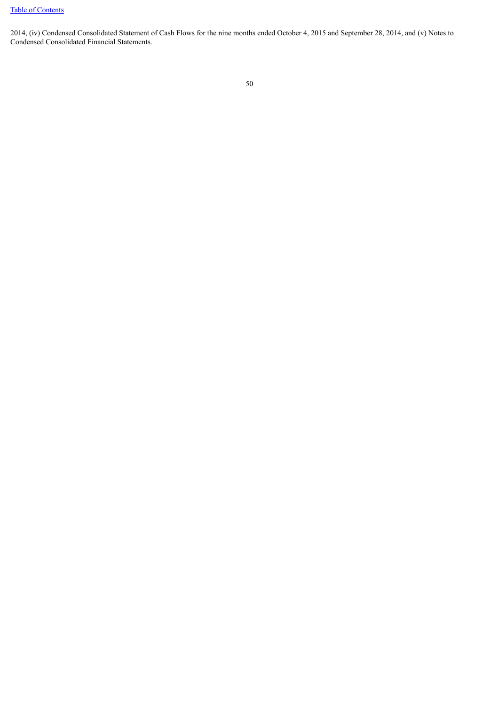# Table of [Contents](#page-0-0)

<span id="page-49-0"></span>2014, (iv) Condensed Consolidated Statement of Cash Flows for the nine months ended October 4, 2015 and September 28, 2014, and (v) Notes to Condensed Consolidated Financial Statements.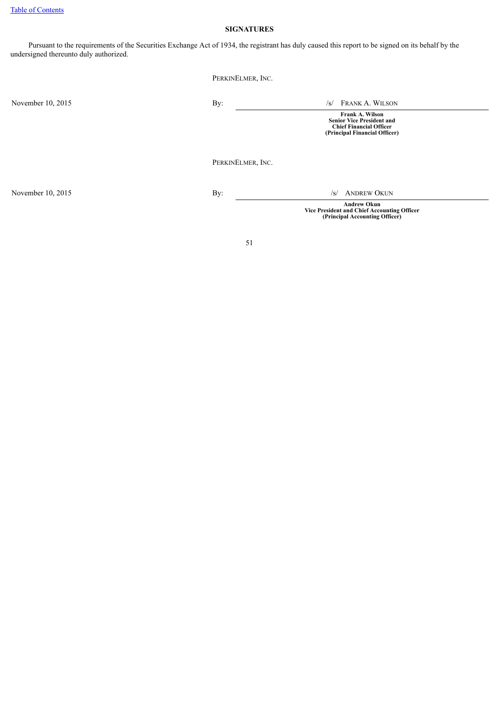# **SIGNATURES**

Pursuant to the requirements of the Securities Exchange Act of 1934, the registrant has duly caused this report to be signed on its behalf by the undersigned thereunto duly authorized.

PERKINELMER, INC.

November 10, 2015 By: *By: By: Similar By: Similar By: Similar By: Similar By: By: Similar By: Similar By: Similar By: Similar By: Similar By: Similar By: Similar By: Similar By: Similar By:*

**Frank A. Wilson Senior Vice President and Chief Financial Officer (Principal Financial Officer)**

PERKINELMER, INC.

<span id="page-50-0"></span>November 10, 2015 By: /s/ ANDREW OKUN

**Andrew Okun Vice President and Chief Accounting Officer (Principal Accounting Officer)**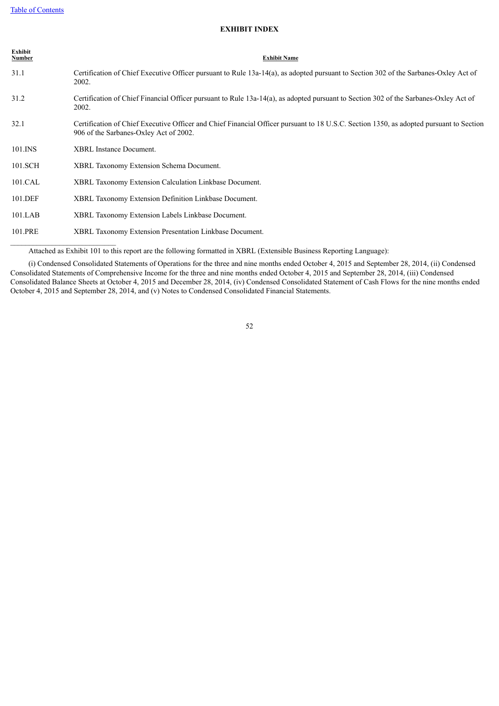# **EXHIBIT INDEX**

| Exhibit<br><b>Number</b> | <b>Exhibit Name</b>                                                                                                                                                               |
|--------------------------|-----------------------------------------------------------------------------------------------------------------------------------------------------------------------------------|
| 31.1                     | Certification of Chief Executive Officer pursuant to Rule 13a-14(a), as adopted pursuant to Section 302 of the Sarbanes-Oxley Act of<br>2002.                                     |
| 31.2                     | Certification of Chief Financial Officer pursuant to Rule 13a-14(a), as adopted pursuant to Section 302 of the Sarbanes-Oxley Act of<br>2002.                                     |
| 32.1                     | Certification of Chief Executive Officer and Chief Financial Officer pursuant to 18 U.S.C. Section 1350, as adopted pursuant to Section<br>906 of the Sarbanes-Oxley Act of 2002. |
| 101.INS                  | <b>XBRL</b> Instance Document.                                                                                                                                                    |
| 101.SCH                  | XBRL Taxonomy Extension Schema Document.                                                                                                                                          |
| 101.CAL                  | XBRL Taxonomy Extension Calculation Linkbase Document.                                                                                                                            |
| 101.DEF                  | XBRL Taxonomy Extension Definition Linkbase Document.                                                                                                                             |
| $101$ .LAB               | XBRL Taxonomy Extension Labels Linkbase Document.                                                                                                                                 |
| 101.PRE                  | XBRL Taxonomy Extension Presentation Linkbase Document.                                                                                                                           |

Attached as Exhibit 101 to this report are the following formatted in XBRL (Extensible Business Reporting Language):

(i) Condensed Consolidated Statements of Operations for the three and nine months ended October 4, 2015 and September 28, 2014, (ii) Condensed Consolidated Statements of Comprehensive Income for the three and nine months ended October 4, 2015 and September 28, 2014, (iii) Condensed Consolidated Balance Sheets at October 4, 2015 and December 28, 2014, (iv) Condensed Consolidated Statement of Cash Flows for the nine months ended October 4, 2015 and September 28, 2014, and (v) Notes to Condensed Consolidated Financial Statements.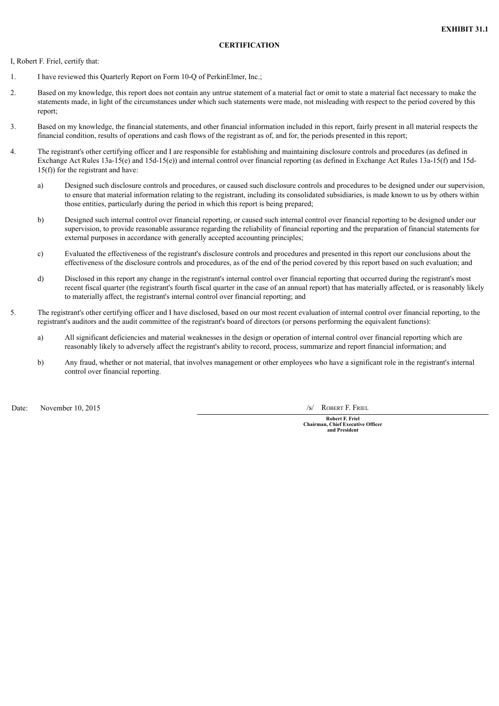# **CERTIFICATION**

I, Robert F. Friel, certify that:

- 1. I have reviewed this Quarterly Report on Form 10-Q of PerkinElmer, Inc.;
- 2. Based on my knowledge, this report does not contain any untrue statement of a material fact or omit to state a material fact necessary to make the statements made, in light of the circumstances under which such statements were made, not misleading with respect to the period covered by this report;
- 3. Based on my knowledge, the financial statements, and other financial information included in this report, fairly present in all material respects the financial condition, results of operations and cash flows of the registrant as of, and for, the periods presented in this report;
- 4. The registrant's other certifying officer and I are responsible for establishing and maintaining disclosure controls and procedures (as defined in Exchange Act Rules 13a-15(e) and 15d-15(e)) and internal control over financial reporting (as defined in Exchange Act Rules 13a-15(f) and 15d-15(f)) for the registrant and have:
	- a) Designed such disclosure controls and procedures, or caused such disclosure controls and procedures to be designed under our supervision, to ensure that material information relating to the registrant, including its consolidated subsidiaries, is made known to us by others within those entities, particularly during the period in which this report is being prepared;
	- b) Designed such internal control over financial reporting, or caused such internal control over financial reporting to be designed under our supervision, to provide reasonable assurance regarding the reliability of financial reporting and the preparation of financial statements for external purposes in accordance with generally accepted accounting principles;
	- c) Evaluated the effectiveness of the registrant's disclosure controls and procedures and presented in this report our conclusions about the effectiveness of the disclosure controls and procedures, as of the end of the period covered by this report based on such evaluation; and
	- d) Disclosed in this report any change in the registrant's internal control over financial reporting that occurred during the registrant's most recent fiscal quarter (the registrant's fourth fiscal quarter in the case of an annual report) that has materially affected, or is reasonably likely to materially affect, the registrant's internal control over financial reporting; and
- 5. The registrant's other certifying officer and I have disclosed, based on our most recent evaluation of internal control over financial reporting, to the registrant's auditors and the audit committee of the registrant's board of directors (or persons performing the equivalent functions):
	- a) All significant deficiencies and material weaknesses in the design or operation of internal control over financial reporting which are reasonably likely to adversely affect the registrant's ability to record, process, summarize and report financial information; and
	- b) Any fraud, whether or not material, that involves management or other employees who have a significant role in the registrant's internal control over financial reporting.

Date: November 10, 2015 /s/ ROBERT F. FRIEL

**Robert F. Friel Chairman, Chief Executive Officer and President**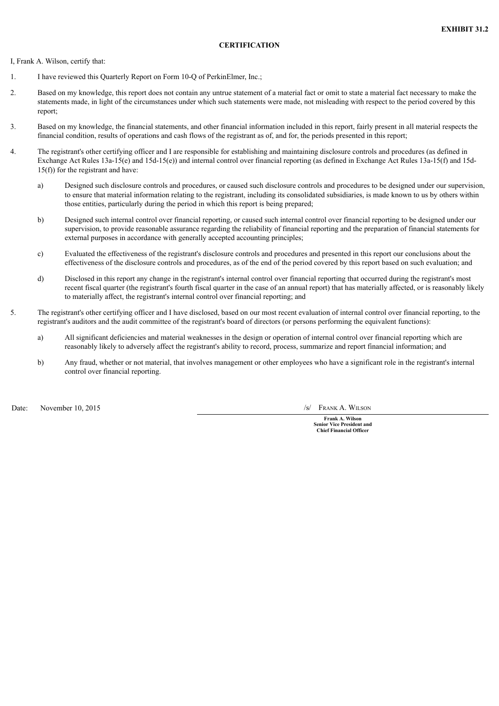#### **CERTIFICATION**

I, Frank A. Wilson, certify that:

- 1. I have reviewed this Quarterly Report on Form 10-Q of PerkinElmer, Inc.;
- 2. Based on my knowledge, this report does not contain any untrue statement of a material fact or omit to state a material fact necessary to make the statements made, in light of the circumstances under which such statements were made, not misleading with respect to the period covered by this report;
- 3. Based on my knowledge, the financial statements, and other financial information included in this report, fairly present in all material respects the financial condition, results of operations and cash flows of the registrant as of, and for, the periods presented in this report;
- 4. The registrant's other certifying officer and I are responsible for establishing and maintaining disclosure controls and procedures (as defined in Exchange Act Rules 13a-15(e) and 15d-15(e)) and internal control over financial reporting (as defined in Exchange Act Rules 13a-15(f) and 15d-15(f)) for the registrant and have:
	- a) Designed such disclosure controls and procedures, or caused such disclosure controls and procedures to be designed under our supervision, to ensure that material information relating to the registrant, including its consolidated subsidiaries, is made known to us by others within those entities, particularly during the period in which this report is being prepared;
	- b) Designed such internal control over financial reporting, or caused such internal control over financial reporting to be designed under our supervision, to provide reasonable assurance regarding the reliability of financial reporting and the preparation of financial statements for external purposes in accordance with generally accepted accounting principles;
	- c) Evaluated the effectiveness of the registrant's disclosure controls and procedures and presented in this report our conclusions about the effectiveness of the disclosure controls and procedures, as of the end of the period covered by this report based on such evaluation; and
	- d) Disclosed in this report any change in the registrant's internal control over financial reporting that occurred during the registrant's most recent fiscal quarter (the registrant's fourth fiscal quarter in the case of an annual report) that has materially affected, or is reasonably likely to materially affect, the registrant's internal control over financial reporting; and
- 5. The registrant's other certifying officer and I have disclosed, based on our most recent evaluation of internal control over financial reporting, to the registrant's auditors and the audit committee of the registrant's board of directors (or persons performing the equivalent functions):
	- a) All significant deficiencies and material weaknesses in the design or operation of internal control over financial reporting which are reasonably likely to adversely affect the registrant's ability to record, process, summarize and report financial information; and
	- b) Any fraud, whether or not material, that involves management or other employees who have a significant role in the registrant's internal control over financial reporting.

Date: November 10, 2015 /s/ FRANK A. WILSON

**Frank A. Wilson Senior Vice President and Chief Financial Officer**